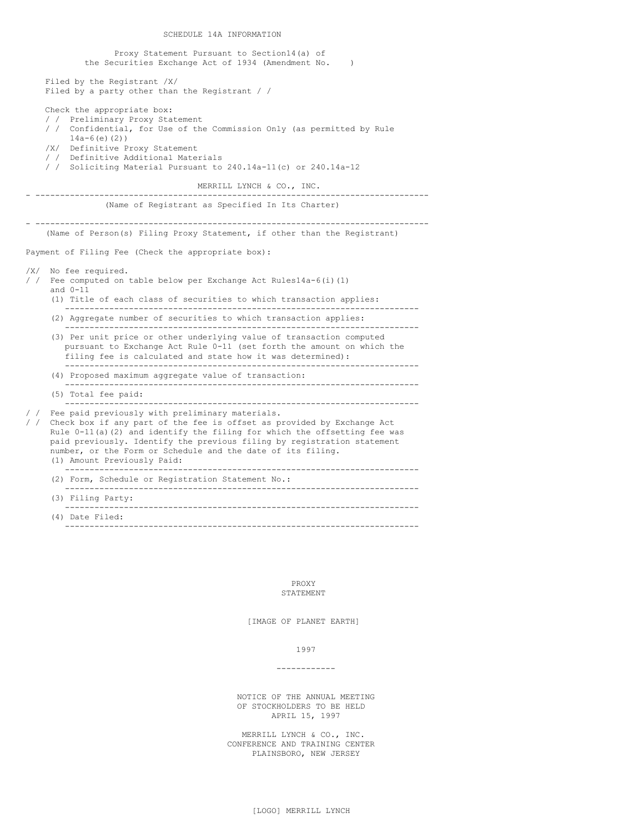SCHEDULE 14A INFORMATION

Proxy Statement Pursuant to Section14(a) of the Securities Exchange Act of 1934 (Amendment No. ) Filed by the Registrant /X/ Filed by a party other than the Registrant / / Check the appropriate box: / / Preliminary Proxy Statement / / Confidential, for Use of the Commission Only (as permitted by Rule 14a-6(e)(2)) /X/ Definitive Proxy Statement / / Definitive Additional Materials / / Soliciting Material Pursuant to 240.14a-11(c) or 240.14a-12 MERRILL LYNCH & CO., INC. - -------------------------------------------------------------------------------- (Name of Registrant as Specified In Its Charter) - -------------------------------------------------------------------------------- (Name of Person(s) Filing Proxy Statement, if other than the Registrant) Payment of Filing Fee (Check the appropriate box): /X/ No fee required. / / Fee computed on table below per Exchange Act Rules14a-6(i)(1) and 0-11 (1) Title of each class of securities to which transaction applies: ------------------------------------------------------------------------ (2) Aggregate number of securities to which transaction applies: ------------------------------------------------------------------------ (3) Per unit price or other underlying value of transaction computed pursuant to Exchange Act Rule 0-11 (set forth the amount on which the filing fee is calculated and state how it was determined): ------------------------------------------------------------------------ (4) Proposed maximum aggregate value of transaction: ------------------------------------------------------------------------ (5) Total fee paid: ------------------------------------------------------------------------ Fee paid previously with preliminary materials. / / Check box if any part of the fee is offset as provided by Exchange Act Rule  $0-11$ (a)(2) and identify the filing for which the offsetting fee was paid previously. Identify the previous filing by registration statement number, or the Form or Schedule and the date of its filing. (1) Amount Previously Paid: ------------------------------------------------------------------------ (2) Form, Schedule or Registration Statement No.: ------------------------------------------------------------------------ (3) Filing Party: ------------------------------------------------------------------------ (4) Date Filed: ------------------------------------------------------------------------

> PROXY STATEMENT

[IMAGE OF PLANET EARTH]

1997

#### ------------

NOTICE OF THE ANNUAL MEETING OF STOCKHOLDERS TO BE HELD APRIL 15, 1997

MERRILL LYNCH & CO., INC. CONFERENCE AND TRAINING CENTER PLAINSBORO, NEW JERSEY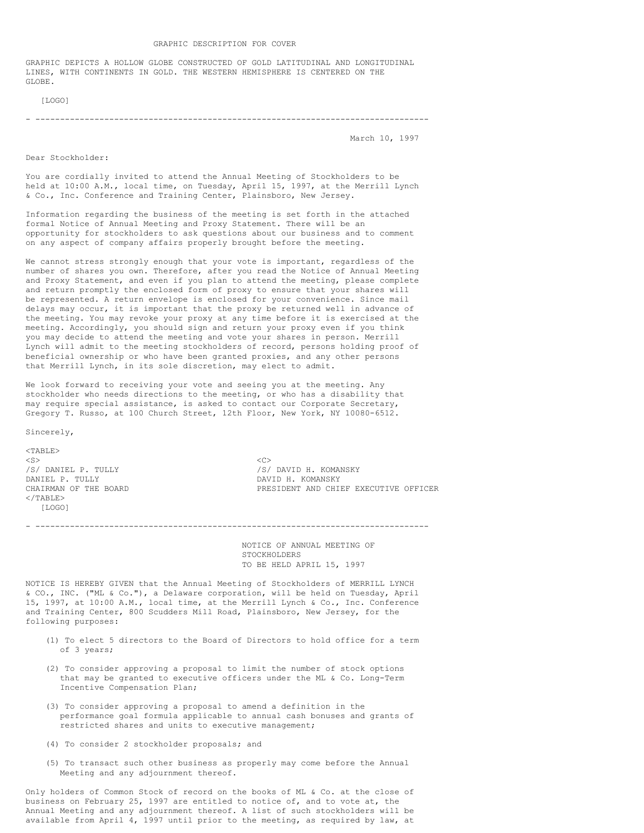GRAPHIC DEPICTS A HOLLOW GLOBE CONSTRUCTED OF GOLD LATITUDINAL AND LONGITUDINAL LINES, WITH CONTINENTS IN GOLD. THE WESTERN HEMISPHERE IS CENTERED ON THE GLOBE.

[LOGO]

- --------------------------------------------------------------------------------

March 10, 1997

Dear Stockholder:

You are cordially invited to attend the Annual Meeting of Stockholders to be held at 10:00 A.M., local time, on Tuesday, April 15, 1997, at the Merrill Lynch & Co., Inc. Conference and Training Center, Plainsboro, New Jersey.

Information regarding the business of the meeting is set forth in the attached formal Notice of Annual Meeting and Proxy Statement. There will be an opportunity for stockholders to ask questions about our business and to comment on any aspect of company affairs properly brought before the meeting.

We cannot stress strongly enough that your vote is important, regardless of the number of shares you own. Therefore, after you read the Notice of Annual Meeting and Proxy Statement, and even if you plan to attend the meeting, please complete and return promptly the enclosed form of proxy to ensure that your shares will be represented. A return envelope is enclosed for your convenience. Since mail delays may occur, it is important that the proxy be returned well in advance of the meeting. You may revoke your proxy at any time before it is exercised at the meeting. Accordingly, you should sign and return your proxy even if you think you may decide to attend the meeting and vote your shares in person. Merrill Lynch will admit to the meeting stockholders of record, persons holding proof of beneficial ownership or who have been granted proxies, and any other persons that Merrill Lynch, in its sole discretion, may elect to admit.

We look forward to receiving your vote and seeing you at the meeting. Any stockholder who needs directions to the meeting, or who has a disability that may require special assistance, is asked to contact our Corporate Secretary, Gregory T. Russo, at 100 Church Street, 12th Floor, New York, NY 10080-6512.

Sincerely,

 $<$ TABLE>  $\langle$ S>  $\langle$ C> /S/ DANIEL P. TULLY /S/ DAVID H. KOMANSKY DANIEL P. TULLY DAVID H. KOMANSKY  $\langle$ /TABLE> [LOGO]

PRESIDENT AND CHIEF EXECUTIVE OFFICER

- --------------------------------------------------------------------------------

NOTICE OF ANNUAL MEETING OF STOCKHOLDERS TO BE HELD APRIL 15, 1997

NOTICE IS HEREBY GIVEN that the Annual Meeting of Stockholders of MERRILL LYNCH & CO., INC. ("ML & Co."), a Delaware corporation, will be held on Tuesday, April 15, 1997, at 10:00 A.M., local time, at the Merrill Lynch & Co., Inc. Conference and Training Center, 800 Scudders Mill Road, Plainsboro, New Jersey, for the following purposes:

- (1) To elect 5 directors to the Board of Directors to hold office for a term of 3 years;
- (2) To consider approving a proposal to limit the number of stock options that may be granted to executive officers under the ML & Co. Long-Term Incentive Compensation Plan;
- (3) To consider approving a proposal to amend a definition in the performance goal formula applicable to annual cash bonuses and grants of restricted shares and units to executive management;
- (4) To consider 2 stockholder proposals; and
- (5) To transact such other business as properly may come before the Annual Meeting and any adjournment thereof.

Only holders of Common Stock of record on the books of ML & Co. at the close of business on February 25, 1997 are entitled to notice of, and to vote at, the Annual Meeting and any adjournment thereof. A list of such stockholders will be available from April 4, 1997 until prior to the meeting, as required by law, at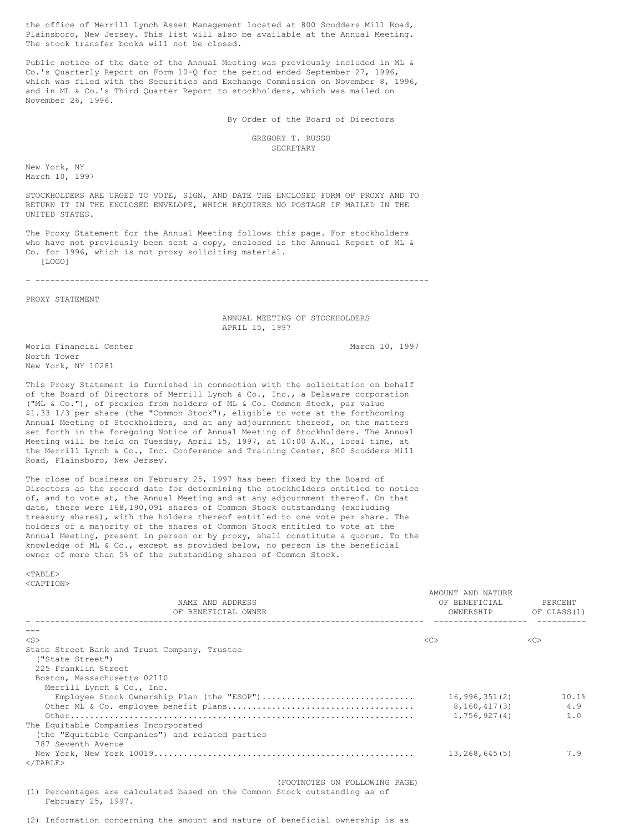the office of Merrill Lynch Asset Management located at 800 Scudders Mill Road, Plainsboro, New Jersey. This list will also be available at the Annual Meeting. The stock transfer books will not be closed.

Public notice of the date of the Annual Meeting was previously included in ML & Co.'s Quarterly Report on Form 10-Q for the period ended September 27, 1996, which was filed with the Securities and Exchange Commission on November 8, 1996, and in ML & Co.'s Third Quarter Report to stockholders, which was mailed on November 26, 1996.

By Order of the Board of Directors

### GREGORY T. RUSSO **SECRETARY**

New York, NY March 10, 1997

STOCKHOLDERS ARE URGED TO VOTE, SIGN, AND DATE THE ENCLOSED FORM OF PROXY AND TO RETURN IT IN THE ENCLOSED ENVELOPE, WHICH REQUIRES NO POSTAGE IF MAILED IN THE UNITED STATES.

The Proxy Statement for the Annual Meeting follows this page. For stockholders who have not previously been sent a copy, enclosed is the Annual Report of ML & Co. for 1996, which is not proxy soliciting material. [LOGO]

- --------------------------------------------------------------------------------

PROXY STATEMENT

ANNUAL MEETING OF STOCKHOLDERS APRIL 15, 1997

World Financial Center March 10, 1997 North Tower New York, NY 10281

This Proxy Statement is furnished in connection with the solicitation on behalf of the Board of Directors of Merrill Lynch & Co., Inc., a Delaware corporation ("ML & Co."), of proxies from holders of ML & Co. Common Stock, par value \$1.33 1/3 per share (the "Common Stock"), eligible to vote at the forthcoming Annual Meeting of Stockholders, and at any adjournment thereof, on the matters set forth in the foregoing Notice of Annual Meeting of Stockholders. The Annual Meeting will be held on Tuesday, April 15, 1997, at 10:00 A.M., local time, at the Merrill Lynch & Co., Inc. Conference and Training Center, 800 Scudders Mill Road, Plainsboro, New Jersey.

The close of business on February 25, 1997 has been fixed by the Board of Directors as the record date for determining the stockholders entitled to notice of, and to vote at, the Annual Meeting and at any adjournment thereof. On that date, there were 168,190,091 shares of Common Stock outstanding (excluding treasury shares), with the holders thereof entitled to one vote per share. The holders of a majority of the shares of Common Stock entitled to vote at the Annual Meeting, present in person or by proxy, shall constitute a quorum. To the knowledge of ML & Co., except as provided below, no person is the beneficial owner of more than 5% of the outstanding shares of Common Stock.

<TABLE> <CAPTION>

| NAME AND ADDRESS<br>OF BENEFICIAL OWNER                                                                                                                                                           | AMOUNT AND NATURE<br>OF BENEFICIAL<br>OWNERSHIP OF CLASS (1) | PERCENT             |
|---------------------------------------------------------------------------------------------------------------------------------------------------------------------------------------------------|--------------------------------------------------------------|---------------------|
|                                                                                                                                                                                                   |                                                              |                     |
| $<$ S>                                                                                                                                                                                            | < <sub></sub>                                                | < <sub></sub>       |
| State Street Bank and Trust Company, Trustee<br>("State Street")<br>225 Franklin Street<br>Boston, Massachusetts 02110<br>Merrill Lynch & Co., Inc.<br>Employee Stock Ownership Plan (the "ESOP") | 16,996,351(2)<br>8,160,417(3)<br>1,756,927(4)                | 10.1%<br>4.9<br>1.0 |
| The Equitable Companies Incorporated<br>(the "Equitable Companies") and related parties<br>787 Seventh Avenue<br>$\langle$ /TABLE>                                                                | 13,268,645(5)                                                | 7.9                 |
| (FOOTNOTES ON FOLLOWING PAGE)<br>(1) Percentages are calculated based on the Common Stock outstanding as of<br>February 25, 1997.                                                                 |                                                              |                     |

(2) Information concerning the amount and nature of beneficial ownership is as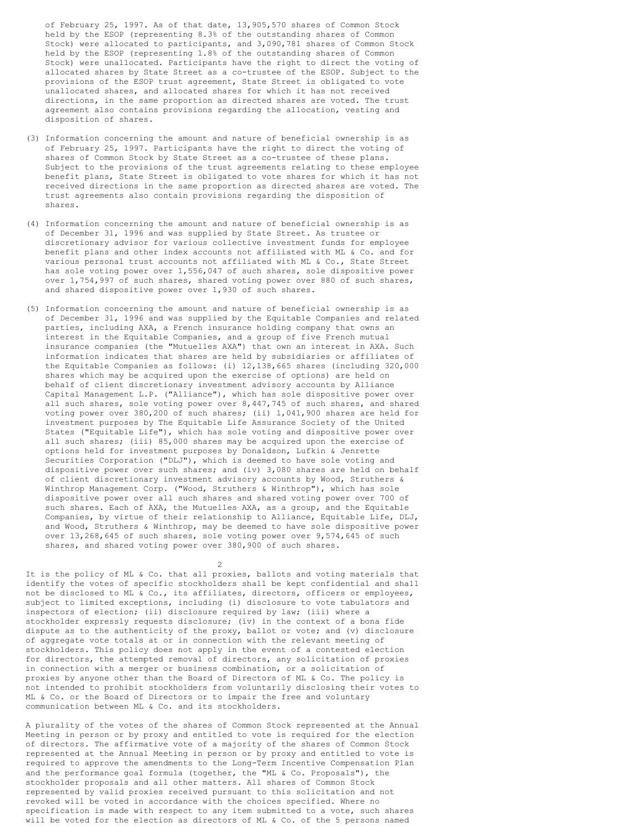of February 25, 1997. As of that date, 13,905,570 shares of Common Stock held by the ESOP (representing 8.3% of the outstanding shares of Common Stock) were allocated to participants, and 3,090,781 shares of Common Stock held by the ESOP (representing 1.8% of the outstanding shares of Common Stock) were unallocated. Participants have the right to direct the voting of allocated shares by State Street as a co-trustee of the ESOP. Subject to the provisions of the ESOP trust agreement, State Street is obligated to vote unallocated shares, and allocated shares for which it has not received directions, in the same proportion as directed shares are voted. The trust agreement also contains provisions regarding the allocation, vesting and disposition of shares.

- (3) Information concerning the amount and nature of beneficial ownership is as of February 25, 1997. Participants have the right to direct the voting of shares of Common Stock by State Street as a co-trustee of these plans. Subject to the provisions of the trust agreements relating to these employee benefit plans, State Street is obligated to vote shares for which it has not received directions in the same proportion as directed shares are voted. The trust agreements also contain provisions regarding the disposition of shares.
- (4) Information concerning the amount and nature of beneficial ownership is as of December 31, 1996 and was supplied by State Street. As trustee or discretionary advisor for various collective investment funds for employee benefit plans and other index accounts not affiliated with ML & Co. and for various personal trust accounts not affiliated with ML & Co., State Street has sole voting power over 1,556,047 of such shares, sole dispositive power over 1,754,997 of such shares, shared voting power over 880 of such shares, and shared dispositive power over 1,930 of such shares.
- (5) Information concerning the amount and nature of beneficial ownership is as of December 31, 1996 and was supplied by the Equitable Companies and related parties, including AXA, a French insurance holding company that owns an interest in the Equitable Companies, and a group of five French mutual insurance companies (the "Mutuelles AXA") that own an interest in AXA. Such information indicates that shares are held by subsidiaries or affiliates of the Equitable Companies as follows: (i) 12,138,665 shares (including 320,000 shares which may be acquired upon the exercise of options) are held on behalf of client discretionary investment advisory accounts by Alliance Capital Management L.P. ("Alliance"), which has sole dispositive power over all such shares, sole voting power over 8,447,745 of such shares, and shared voting power over 380,200 of such shares; (ii) 1,041,900 shares are held for investment purposes by The Equitable Life Assurance Society of the United States ("Equitable Life"), which has sole voting and dispositive power over all such shares; (iii) 85,000 shares may be acquired upon the exercise of options held for investment purposes by Donaldson, Lufkin & Jenrette Securities Corporation ("DLJ"), which is deemed to have sole voting and dispositive power over such shares; and (iv) 3,080 shares are held on behalf of client discretionary investment advisory accounts by Wood, Struthers & Winthrop Management Corp. ("Wood, Struthers & Winthrop"), which has sole dispositive power over all such shares and shared voting power over 700 of such shares. Each of AXA, the Mutuelles AXA, as a group, and the Equitable Companies, by virtue of their relationship to Alliance, Equitable Life, DLJ, and Wood, Struthers & Winthrop, may be deemed to have sole dispositive power over 13,268,645 of such shares, sole voting power over 9,574,645 of such shares, and shared voting power over 380,900 of such shares.

It is the policy of ML & Co. that all proxies, ballots and voting materials that identify the votes of specific stockholders shall be kept confidential and shall not be disclosed to ML & Co., its affiliates, directors, officers or employees, subject to limited exceptions, including (i) disclosure to vote tabulators and inspectors of election; (ii) disclosure required by law; (iii) where a stockholder expressly requests disclosure; (iv) in the context of a bona fide dispute as to the authenticity of the proxy, ballot or vote; and (v) disclosure of aggregate vote totals at or in connection with the relevant meeting of stockholders. This policy does not apply in the event of a contested election for directors, the attempted removal of directors, any solicitation of proxies in connection with a merger or business combination, or a solicitation of proxies by anyone other than the Board of Directors of ML & Co. The policy is not intended to prohibit stockholders from voluntarily disclosing their votes to ML & Co. or the Board of Directors or to impair the free and voluntary communication between ML & Co. and its stockholders.

2

A plurality of the votes of the shares of Common Stock represented at the Annual Meeting in person or by proxy and entitled to vote is required for the election of directors. The affirmative vote of a majority of the shares of Common Stock represented at the Annual Meeting in person or by proxy and entitled to vote is required to approve the amendments to the Long-Term Incentive Compensation Plan and the performance goal formula (together, the "ML & Co. Proposals"), the stockholder proposals and all other matters. All shares of Common Stock represented by valid proxies received pursuant to this solicitation and not revoked will be voted in accordance with the choices specified. Where no specification is made with respect to any item submitted to a vote, such shares will be voted for the election as directors of ML & Co. of the 5 persons named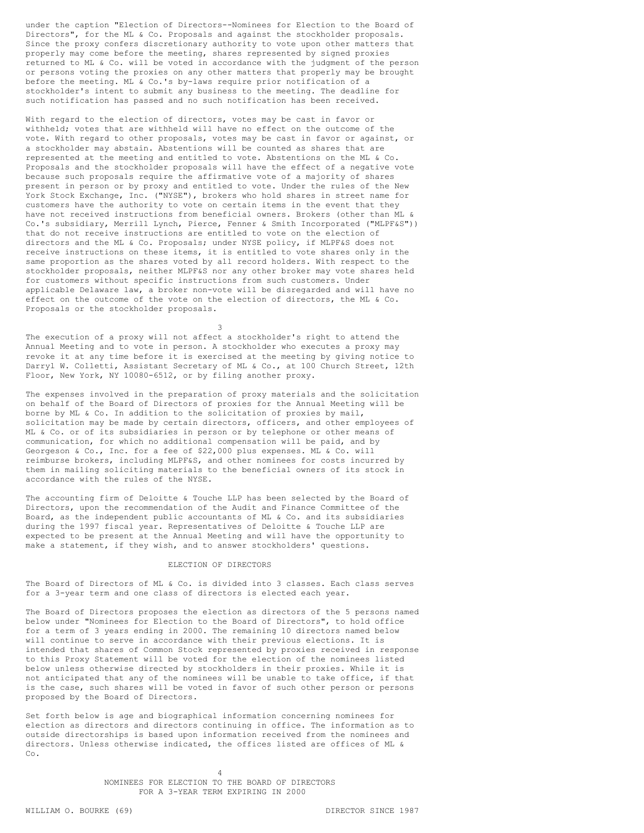under the caption "Election of Directors--Nominees for Election to the Board of Directors", for the ML & Co. Proposals and against the stockholder proposals. Since the proxy confers discretionary authority to vote upon other matters that properly may come before the meeting, shares represented by signed proxies returned to ML & Co. will be voted in accordance with the judgment of the person or persons voting the proxies on any other matters that properly may be brought before the meeting. ML & Co.'s by-laws require prior notification of a stockholder's intent to submit any business to the meeting. The deadline for such notification has passed and no such notification has been received.

With regard to the election of directors, votes may be cast in favor or withheld; votes that are withheld will have no effect on the outcome of the vote. With regard to other proposals, votes may be cast in favor or against, or a stockholder may abstain. Abstentions will be counted as shares that are represented at the meeting and entitled to vote. Abstentions on the ML & Co. Proposals and the stockholder proposals will have the effect of a negative vote because such proposals require the affirmative vote of a majority of shares present in person or by proxy and entitled to vote. Under the rules of the New York Stock Exchange, Inc. ("NYSE"), brokers who hold shares in street name for customers have the authority to vote on certain items in the event that they have not received instructions from beneficial owners. Brokers (other than ML & Co.'s subsidiary, Merrill Lynch, Pierce, Fenner & Smith Incorporated ("MLPF&S")) that do not receive instructions are entitled to vote on the election of directors and the ML & Co. Proposals; under NYSE policy, if MLPF&S does not receive instructions on these items, it is entitled to vote shares only in the same proportion as the shares voted by all record holders. With respect to the stockholder proposals, neither MLPF&S nor any other broker may vote shares held for customers without specific instructions from such customers. Under applicable Delaware law, a broker non-vote will be disregarded and will have no effect on the outcome of the vote on the election of directors, the ML & Co. Proposals or the stockholder proposals.

3

The execution of a proxy will not affect a stockholder's right to attend the Annual Meeting and to vote in person. A stockholder who executes a proxy may revoke it at any time before it is exercised at the meeting by giving notice to Darryl W. Colletti, Assistant Secretary of ML & Co., at 100 Church Street, 12th Floor, New York, NY 10080-6512, or by filing another proxy.

The expenses involved in the preparation of proxy materials and the solicitation on behalf of the Board of Directors of proxies for the Annual Meeting will be borne by ML & Co. In addition to the solicitation of proxies by mail, solicitation may be made by certain directors, officers, and other employees of ML & Co. or of its subsidiaries in person or by telephone or other means of communication, for which no additional compensation will be paid, and by Georgeson & Co., Inc. for a fee of \$22,000 plus expenses. ML & Co. will reimburse brokers, including MLPF&S, and other nominees for costs incurred by them in mailing soliciting materials to the beneficial owners of its stock in accordance with the rules of the NYSE.

The accounting firm of Deloitte & Touche LLP has been selected by the Board of Directors, upon the recommendation of the Audit and Finance Committee of the Board, as the independent public accountants of ML & Co. and its subsidiaries during the 1997 fiscal year. Representatives of Deloitte & Touche LLP are expected to be present at the Annual Meeting and will have the opportunity to make a statement, if they wish, and to answer stockholders' questions.

### ELECTION OF DIRECTORS

The Board of Directors of ML & Co. is divided into 3 classes. Each class serves for a 3-year term and one class of directors is elected each year.

The Board of Directors proposes the election as directors of the 5 persons named below under "Nominees for Election to the Board of Directors", to hold office for a term of 3 years ending in 2000. The remaining 10 directors named below will continue to serve in accordance with their previous elections. It is intended that shares of Common Stock represented by proxies received in response to this Proxy Statement will be voted for the election of the nominees listed below unless otherwise directed by stockholders in their proxies. While it is not anticipated that any of the nominees will be unable to take office, if that is the case, such shares will be voted in favor of such other person or persons proposed by the Board of Directors.

Set forth below is age and biographical information concerning nominees for election as directors and directors continuing in office. The information as to outside directorships is based upon information received from the nominees and directors. Unless otherwise indicated, the offices listed are offices of ML & Co.

> 4 NOMINEES FOR ELECTION TO THE BOARD OF DIRECTORS FOR A 3-YEAR TERM EXPIRING IN 2000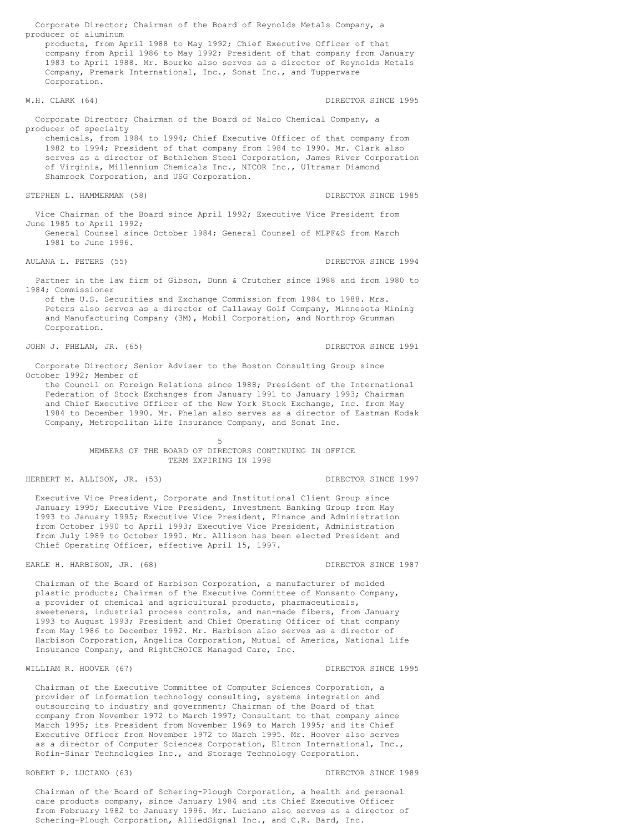Corporate Director; Chairman of the Board of Reynolds Metals Company, a producer of aluminum products, from April 1988 to May 1992; Chief Executive Officer of that company from April 1986 to May 1992; President of that company from January 1983 to April 1988. Mr. Bourke also serves as a director of Reynolds Metals Company, Premark International, Inc., Sonat Inc., and Tupperware Corporation. W.H. CLARK (64) **DIRECTOR SINCE 1995** Corporate Director; Chairman of the Board of Nalco Chemical Company, a producer of specialty chemicals, from 1984 to 1994; Chief Executive Officer of that company from 1982 to 1994; President of that company from 1984 to 1990. Mr. Clark also serves as a director of Bethlehem Steel Corporation, James River Corporation of Virginia, Millennium Chemicals Inc., NICOR Inc., Ultramar Diamond Shamrock Corporation, and USG Corporation. STEPHEN L. HAMMERMAN (58) CONTROLLED BETWEEN SINCE 1985 Vice Chairman of the Board since April 1992; Executive Vice President from June 1985 to April 1992; General Counsel since October 1984; General Counsel of MLPF&S from March 1981 to June 1996. AULANA L. PETERS (55) STATES (55) THE STATE OF STRECTOR SINCE 1994 Partner in the law firm of Gibson, Dunn & Crutcher since 1988 and from 1980 to

1984; Commissioner of the U.S. Securities and Exchange Commission from 1984 to 1988. Mrs. Peters also serves as a director of Callaway Golf Company, Minnesota Mining and Manufacturing Company (3M), Mobil Corporation, and Northrop Grumman Corporation.

JOHN J. PHELAN, JR. (65) CHARLEY SINCE 1991

Corporate Director; Senior Adviser to the Boston Consulting Group since October 1992; Member of

the Council on Foreign Relations since 1988; President of the International Federation of Stock Exchanges from January 1991 to January 1993; Chairman and Chief Executive Officer of the New York Stock Exchange, Inc. from May 1984 to December 1990. Mr. Phelan also serves as a director of Eastman Kodak Company, Metropolitan Life Insurance Company, and Sonat Inc.

> 5 MEMBERS OF THE BOARD OF DIRECTORS CONTINUING IN OFFICE TERM EXPIRING IN 1998

HERBERT M. ALLISON, JR. (53) DIRECTOR SINCE 1997

Executive Vice President, Corporate and Institutional Client Group since January 1995; Executive Vice President, Investment Banking Group from May 1993 to January 1995; Executive Vice President, Finance and Administration from October 1990 to April 1993; Executive Vice President, Administration from July 1989 to October 1990. Mr. Allison has been elected President and Chief Operating Officer, effective April 15, 1997.

EARLE H. HARBISON, JR. (68) CHARBISON, SINCE 1987

Chairman of the Board of Harbison Corporation, a manufacturer of molded plastic products; Chairman of the Executive Committee of Monsanto Company, a provider of chemical and agricultural products, pharmaceuticals, sweeteners, industrial process controls, and man-made fibers, from January 1993 to August 1993; President and Chief Operating Officer of that company from May 1986 to December 1992. Mr. Harbison also serves as a director of Harbison Corporation, Angelica Corporation, Mutual of America, National Life Insurance Company, and RightCHOICE Managed Care, Inc.

#### WILLIAM R. HOOVER (67) DIRECTOR SINCE 1995

Chairman of the Executive Committee of Computer Sciences Corporation, a provider of information technology consulting, systems integration and outsourcing to industry and government; Chairman of the Board of that company from November 1972 to March 1997; Consultant to that company since March 1995; its President from November 1969 to March 1995; and its Chief Executive Officer from November 1972 to March 1995. Mr. Hoover also serves as a director of Computer Sciences Corporation, Eltron International, Inc., Rofin-Sinar Technologies Inc., and Storage Technology Corporation.

### ROBERT P. LUCIANO (63) CONSECTED A ROBERT P. LUCIANO (63)

Chairman of the Board of Schering-Plough Corporation, a health and personal care products company, since January 1984 and its Chief Executive Officer from February 1982 to January 1996. Mr. Luciano also serves as a director of Schering-Plough Corporation, AlliedSignal Inc., and C.R. Bard, Inc.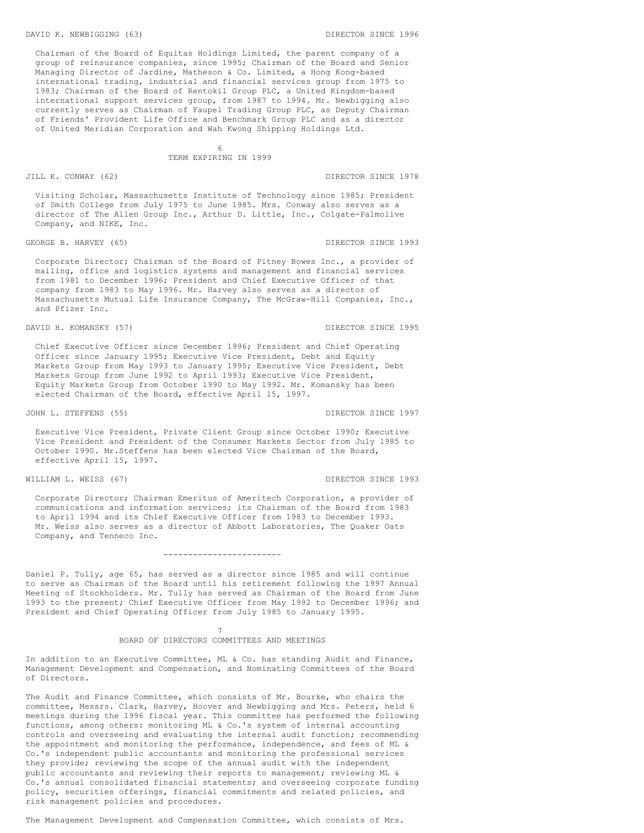Chairman of the Board of Equitas Holdings Limited, the parent company of a group of reinsurance companies, since 1995; Chairman of the Board and Senior Managing Director of Jardine, Matheson & Co. Limited, a Hong Kong-based international trading, industrial and financial services group from 1975 to 1983; Chairman of the Board of Rentokil Group PLC, a United Kingdom-based international support services group, from 1987 to 1994. Mr. Newbigging also currently serves as Chairman of Faupel Trading Group PLC, as Deputy Chairman of Friends' Provident Life Office and Benchmark Group PLC and as a director of United Meridian Corporation and Wah Kwong Shipping Holdings Ltd.

> 6 TERM EXPIRING IN 1999

JILL K. CONWAY (62) DIRECTOR SINCE 1978

Visiting Scholar, Massachusetts Institute of Technology since 1985; President of Smith College from July 1975 to June 1985. Mrs. Conway also serves as a director of The Allen Group Inc., Arthur D. Little, Inc., Colgate-Palmolive Company, and NIKE, Inc.

### GEORGE B. HARVEY (65) CHARGE 1993

Corporate Director; Chairman of the Board of Pitney Bowes Inc., a provider of mailing, office and logistics systems and management and financial services from 1981 to December 1996; President and Chief Executive Officer of that company from 1983 to May 1996. Mr. Harvey also serves as a director of Massachusetts Mutual Life Insurance Company, The McGraw-Hill Companies, Inc., and Pfizer Inc.

#### DAVID H. KOMANSKY (57) DIRECTOR SINCE 1995

Chief Executive Officer since December 1996; President and Chief Operating Officer since January 1995; Executive Vice President, Debt and Equity Markets Group from May 1993 to January 1995; Executive Vice President, Debt Markets Group from June 1992 to April 1993; Executive Vice President, Equity Markets Group from October 1990 to May 1992. Mr. Komansky has been elected Chairman of the Board, effective April 15, 1997.

#### JOHN L. STEFFENS (55) STREET STREET ON A STREET ON A STREET ON A STREET ON A STREET ON A STREET ON A STREET ON A STREET ON A STREET ON A STREET ON A STREET ON A STREET ON A STREET ON A STREET ON A STREET ON A STREET ON A S

Executive Vice President, Private Client Group since October 1990; Executive Vice President and President of the Consumer Markets Sector from July 1985 to October 1990. Mr.Steffens has been elected Vice Chairman of the Board, effective April 15, 1997.

#### WILLIAM L. WEISS (67) STRECTOR SINCE 1993

Corporate Director; Chairman Emeritus of Ameritech Corporation, a provider of communications and information services; its Chairman of the Board from 1983 to April 1994 and its Chief Executive Officer from 1983 to December 1993. Mr. Weiss also serves as a director of Abbott Laboratories, The Quaker Oats Company, and Tenneco Inc.

#### ------------------------

Daniel P. Tully, age 65, has served as a director since 1985 and will continue to serve as Chairman of the Board until his retirement following the 1997 Annual Meeting of Stockholders. Mr. Tully has served as Chairman of the Board from June 1993 to the present; Chief Executive Officer from May 1992 to December 1996; and President and Chief Operating Officer from July 1985 to January 1995.

### 7 BOARD OF DIRECTORS COMMITTEES AND MEETINGS

In addition to an Executive Committee, ML & Co. has standing Audit and Finance, Management Development and Compensation, and Nominating Committees of the Board of Directors.

The Audit and Finance Committee, which consists of Mr. Bourke, who chairs the committee, Messrs. Clark, Harvey, Hoover and Newbigging and Mrs. Peters, held 6 meetings during the 1996 fiscal year. This committee has performed the following functions, among others: monitoring ML & Co.'s system of internal accounting controls and overseeing and evaluating the internal audit function; recommending the appointment and monitoring the performance, independence, and fees of ML & Co.'s independent public accountants and monitoring the professional services they provide; reviewing the scope of the annual audit with the independent public accountants and reviewing their reports to management; reviewing ML & Co.'s annual consolidated financial statements; and overseeing corporate funding policy, securities offerings, financial commitments and related policies, and risk management policies and procedures.

The Management Development and Compensation Committee, which consists of Mrs.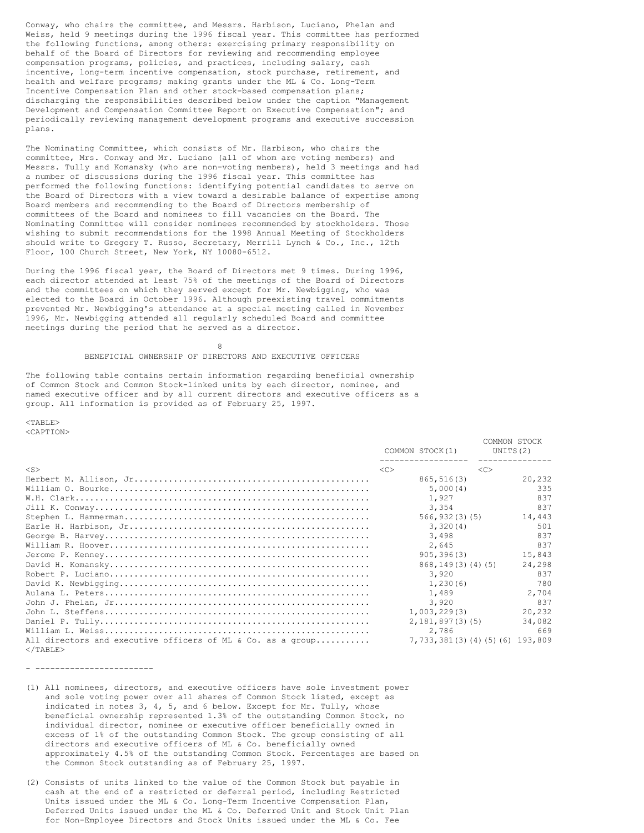Conway, who chairs the committee, and Messrs. Harbison, Luciano, Phelan and Weiss, held 9 meetings during the 1996 fiscal year. This committee has performed the following functions, among others: exercising primary responsibility on behalf of the Board of Directors for reviewing and recommending employee compensation programs, policies, and practices, including salary, cash incentive, long-term incentive compensation, stock purchase, retirement, and health and welfare programs; making grants under the ML & Co. Long-Term Incentive Compensation Plan and other stock-based compensation plans; discharging the responsibilities described below under the caption "Management Development and Compensation Committee Report on Executive Compensation"; and periodically reviewing management development programs and executive succession plans.

The Nominating Committee, which consists of Mr. Harbison, who chairs the committee, Mrs. Conway and Mr. Luciano (all of whom are voting members) and Messrs. Tully and Komansky (who are non-voting members), held 3 meetings and had a number of discussions during the 1996 fiscal year. This committee has performed the following functions: identifying potential candidates to serve on the Board of Directors with a view toward a desirable balance of expertise among Board members and recommending to the Board of Directors membership of committees of the Board and nominees to fill vacancies on the Board. The Nominating Committee will consider nominees recommended by stockholders. Those wishing to submit recommendations for the 1998 Annual Meeting of Stockholders should write to Gregory T. Russo, Secretary, Merrill Lynch & Co., Inc., 12th Floor, 100 Church Street, New York, NY 10080-6512.

During the 1996 fiscal year, the Board of Directors met 9 times. During 1996, each director attended at least 75% of the meetings of the Board of Directors and the committees on which they served except for Mr. Newbigging, who was elected to the Board in October 1996. Although preexisting travel commitments prevented Mr. Newbigging's attendance at a special meeting called in November 1996, Mr. Newbigging attended all regularly scheduled Board and committee meetings during the period that he served as a director.

> 8 BENEFICIAL OWNERSHIP OF DIRECTORS AND EXECUTIVE OFFICERS

The following table contains certain information regarding beneficial ownership of Common Stock and Common Stock-linked units by each director, nominee, and named executive officer and by all current directors and executive officers as a group. All information is provided as of February 25, 1997.

 $<$ TABLE> <CAPTION>

|                                                             |               | COMMON STOCK(1)                      | COMMON STOCK<br>UNITS(2) |
|-------------------------------------------------------------|---------------|--------------------------------------|--------------------------|
| $\langle S \rangle$                                         | < <sub></sub> | < <sub></sub>                        |                          |
|                                                             |               | 865, 516(3)                          | 20,232                   |
|                                                             |               | 5,000(4)                             | 335                      |
|                                                             |               | 1,927                                | 837                      |
|                                                             |               | 3,354                                | 837                      |
|                                                             |               | 566, 932(3)(5)                       | 14,443                   |
|                                                             |               | 3,320(4)                             | 501                      |
|                                                             |               | 3,498                                | 837                      |
|                                                             |               | 2,645                                | 837                      |
|                                                             |               | 905, 396(3)                          | 15,843                   |
|                                                             |               | 868, 149(3)(4)(5)                    | 24,298                   |
|                                                             |               | 3,920                                | 837                      |
|                                                             |               | 1,230(6)                             | 780                      |
|                                                             |               | 1,489                                | 2,704                    |
|                                                             |               | 3,920                                | 837                      |
|                                                             |               | 1,003,229(3)                         | 20,232                   |
|                                                             |               | 2,181,897(3)(5)                      | 34,082                   |
|                                                             |               | 2,786                                | 669                      |
| All directors and executive officers of ML & Co. as a group |               | 7, 733, 381 (3) (4) (5) (6) 193, 809 |                          |
| $<$ /TABLE>                                                 |               |                                      |                          |

- ------------------------

- (1) All nominees, directors, and executive officers have sole investment power and sole voting power over all shares of Common Stock listed, except as indicated in notes 3, 4, 5, and 6 below. Except for Mr. Tully, whose beneficial ownership represented 1.3% of the outstanding Common Stock, no individual director, nominee or executive officer beneficially owned in excess of 1% of the outstanding Common Stock. The group consisting of all directors and executive officers of ML & Co. beneficially owned approximately 4.5% of the outstanding Common Stock. Percentages are based on the Common Stock outstanding as of February 25, 1997.
- (2) Consists of units linked to the value of the Common Stock but payable in cash at the end of a restricted or deferral period, including Restricted Units issued under the ML & Co. Long-Term Incentive Compensation Plan, Deferred Units issued under the ML & Co. Deferred Unit and Stock Unit Plan for Non-Employee Directors and Stock Units issued under the ML & Co. Fee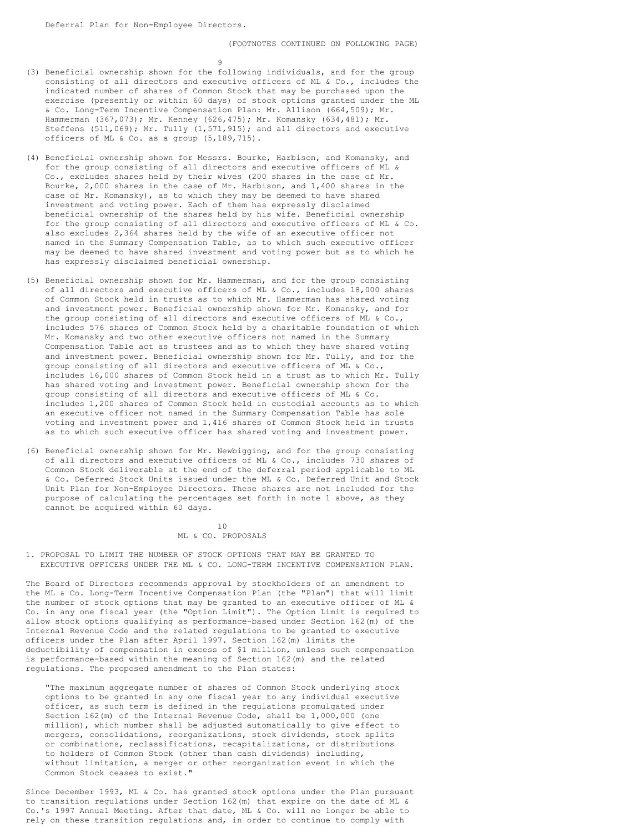$\alpha$ 

- (3) Beneficial ownership shown for the following individuals, and for the group consisting of all directors and executive officers of ML & Co., includes the indicated number of shares of Common Stock that may be purchased upon the exercise (presently or within 60 days) of stock options granted under the ML & Co. Long-Term Incentive Compensation Plan: Mr. Allison (664,509); Mr. Hammerman (367,073); Mr. Kenney (626,475); Mr. Komansky (634,481); Mr. Steffens (511,069); Mr. Tully (1,571,915); and all directors and executive officers of ML & Co. as a group (5,189,715).
- (4) Beneficial ownership shown for Messrs. Bourke, Harbison, and Komansky, and for the group consisting of all directors and executive officers of ML & Co., excludes shares held by their wives (200 shares in the case of Mr. Bourke, 2,000 shares in the case of Mr. Harbison, and 1,400 shares in the case of Mr. Komansky), as to which they may be deemed to have shared investment and voting power. Each of them has expressly disclaimed beneficial ownership of the shares held by his wife. Beneficial ownership for the group consisting of all directors and executive officers of ML & Co. also excludes 2,364 shares held by the wife of an executive officer not named in the Summary Compensation Table, as to which such executive officer may be deemed to have shared investment and voting power but as to which he has expressly disclaimed beneficial ownership.
- (5) Beneficial ownership shown for Mr. Hammerman, and for the group consisting of all directors and executive officers of ML & Co., includes 18,000 shares of Common Stock held in trusts as to which Mr. Hammerman has shared voting and investment power. Beneficial ownership shown for Mr. Komansky, and for the group consisting of all directors and executive officers of ML & Co., includes 576 shares of Common Stock held by a charitable foundation of which Mr. Komansky and two other executive officers not named in the Summary Compensation Table act as trustees and as to which they have shared voting and investment power. Beneficial ownership shown for Mr. Tully, and for the group consisting of all directors and executive officers of ML & Co., includes 16,000 shares of Common Stock held in a trust as to which Mr. Tully has shared voting and investment power. Beneficial ownership shown for the group consisting of all directors and executive officers of ML & Co. includes 1,200 shares of Common Stock held in custodial accounts as to which an executive officer not named in the Summary Compensation Table has sole voting and investment power and 1,416 shares of Common Stock held in trusts as to which such executive officer has shared voting and investment power.
- (6) Beneficial ownership shown for Mr. Newbigging, and for the group consisting of all directors and executive officers of ML & Co., includes 730 shares of Common Stock deliverable at the end of the deferral period applicable to ML & Co. Deferred Stock Units issued under the ML & Co. Deferred Unit and Stock Unit Plan for Non-Employee Directors. These shares are not included for the purpose of calculating the percentages set forth in note 1 above, as they cannot be acquired within 60 days.

### 10 ML & CO. PROPOSALS

1. PROPOSAL TO LIMIT THE NUMBER OF STOCK OPTIONS THAT MAY BE GRANTED TO EXECUTIVE OFFICERS UNDER THE ML & CO. LONG-TERM INCENTIVE COMPENSATION PLAN.

The Board of Directors recommends approval by stockholders of an amendment to the ML & Co. Long-Term Incentive Compensation Plan (the "Plan") that will limit the number of stock options that may be granted to an executive officer of ML & Co. in any one fiscal year (the "Option Limit"). The Option Limit is required to allow stock options qualifying as performance-based under Section 162(m) of the Internal Revenue Code and the related regulations to be granted to executive officers under the Plan after April 1997. Section 162(m) limits the deductibility of compensation in excess of \$1 million, unless such compensation is performance-based within the meaning of Section 162(m) and the related regulations. The proposed amendment to the Plan states:

"The maximum aggregate number of shares of Common Stock underlying stock options to be granted in any one fiscal year to any individual executive officer, as such term is defined in the regulations promulgated under Section 162(m) of the Internal Revenue Code, shall be 1,000,000 (one million), which number shall be adjusted automatically to give effect to mergers, consolidations, reorganizations, stock dividends, stock splits or combinations, reclassifications, recapitalizations, or distributions to holders of Common Stock (other than cash dividends) including, without limitation, a merger or other reorganization event in which the Common Stock ceases to exist."

Since December 1993, ML & Co. has granted stock options under the Plan pursuant to transition regulations under Section 162(m) that expire on the date of ML & Co.'s 1997 Annual Meeting. After that date, ML & Co. will no longer be able to rely on these transition regulations and, in order to continue to comply with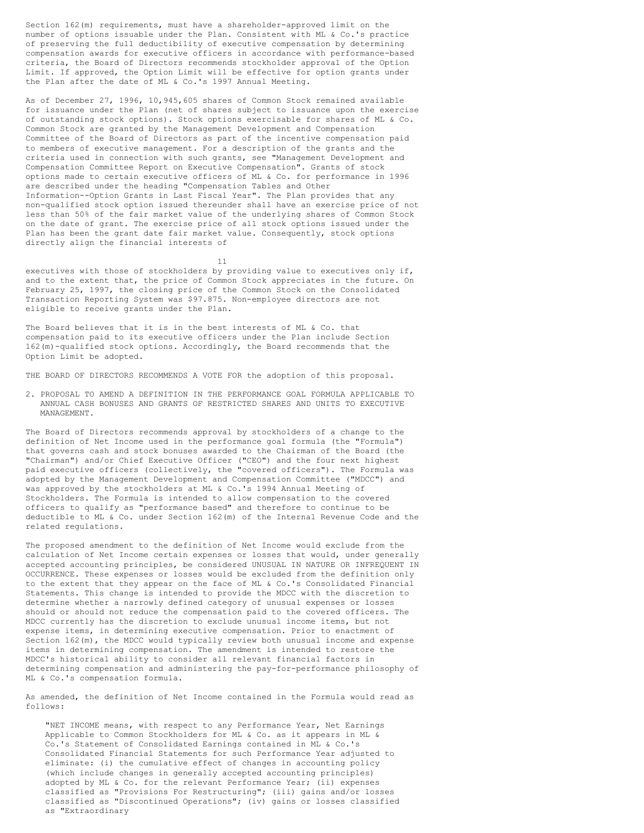Section 162(m) requirements, must have a shareholder-approved limit on the number of options issuable under the Plan. Consistent with ML & Co.'s practice of preserving the full deductibility of executive compensation by determining compensation awards for executive officers in accordance with performance-based criteria, the Board of Directors recommends stockholder approval of the Option Limit. If approved, the Option Limit will be effective for option grants under the Plan after the date of ML & Co.'s 1997 Annual Meeting.

As of December 27, 1996, 10,945,605 shares of Common Stock remained available for issuance under the Plan (net of shares subject to issuance upon the exercise of outstanding stock options). Stock options exercisable for shares of ML & Co. Common Stock are granted by the Management Development and Compensation Committee of the Board of Directors as part of the incentive compensation paid to members of executive management. For a description of the grants and the criteria used in connection with such grants, see "Management Development and Compensation Committee Report on Executive Compensation". Grants of stock options made to certain executive officers of ML & Co. for performance in 1996 are described under the heading "Compensation Tables and Other Information--Option Grants in Last Fiscal Year". The Plan provides that any non-qualified stock option issued thereunder shall have an exercise price of not less than 50% of the fair market value of the underlying shares of Common Stock on the date of grant. The exercise price of all stock options issued under the Plan has been the grant date fair market value. Consequently, stock options directly align the financial interests of

11

executives with those of stockholders by providing value to executives only if, and to the extent that, the price of Common Stock appreciates in the future. On February 25, 1997, the closing price of the Common Stock on the Consolidated Transaction Reporting System was \$97.875. Non-employee directors are not eligible to receive grants under the Plan.

The Board believes that it is in the best interests of ML & Co. that compensation paid to its executive officers under the Plan include Section 162(m)-qualified stock options. Accordingly, the Board recommends that the Option Limit be adopted.

THE BOARD OF DIRECTORS RECOMMENDS A VOTE FOR the adoption of this proposal.

2. PROPOSAL TO AMEND A DEFINITION IN THE PERFORMANCE GOAL FORMULA APPLICABLE TO ANNUAL CASH BONUSES AND GRANTS OF RESTRICTED SHARES AND UNITS TO EXECUTIVE MANAGEMENT.

The Board of Directors recommends approval by stockholders of a change to the definition of Net Income used in the performance goal formula (the "Formula") that governs cash and stock bonuses awarded to the Chairman of the Board (the "Chairman") and/or Chief Executive Officer ("CEO") and the four next highest paid executive officers (collectively, the "covered officers"). The Formula was adopted by the Management Development and Compensation Committee ("MDCC") and was approved by the stockholders at ML & Co.'s 1994 Annual Meeting of Stockholders. The Formula is intended to allow compensation to the covered officers to qualify as "performance based" and therefore to continue to be deductible to ML & Co. under Section 162(m) of the Internal Revenue Code and the related regulations.

The proposed amendment to the definition of Net Income would exclude from the calculation of Net Income certain expenses or losses that would, under generally accepted accounting principles, be considered UNUSUAL IN NATURE OR INFREQUENT IN OCCURRENCE. These expenses or losses would be excluded from the definition only to the extent that they appear on the face of ML & Co.'s Consolidated Financial Statements. This change is intended to provide the MDCC with the discretion to determine whether a narrowly defined category of unusual expenses or losses should or should not reduce the compensation paid to the covered officers. The MDCC currently has the discretion to exclude unusual income items, but not expense items, in determining executive compensation. Prior to enactment of Section 162(m), the MDCC would typically review both unusual income and expense items in determining compensation. The amendment is intended to restore the MDCC's historical ability to consider all relevant financial factors in determining compensation and administering the pay-for-performance philosophy of ML & Co.'s compensation formula.

As amended, the definition of Net Income contained in the Formula would read as follows:

"NET INCOME means, with respect to any Performance Year, Net Earnings Applicable to Common Stockholders for ML & Co. as it appears in ML & Co.'s Statement of Consolidated Earnings contained in ML & Co.'s Consolidated Financial Statements for such Performance Year adjusted to eliminate: (i) the cumulative effect of changes in accounting policy (which include changes in generally accepted accounting principles) adopted by ML & Co. for the relevant Performance Year; (ii) expenses classified as "Provisions For Restructuring"; (iii) gains and/or losses classified as "Discontinued Operations"; (iv) gains or losses classified as "Extraordinary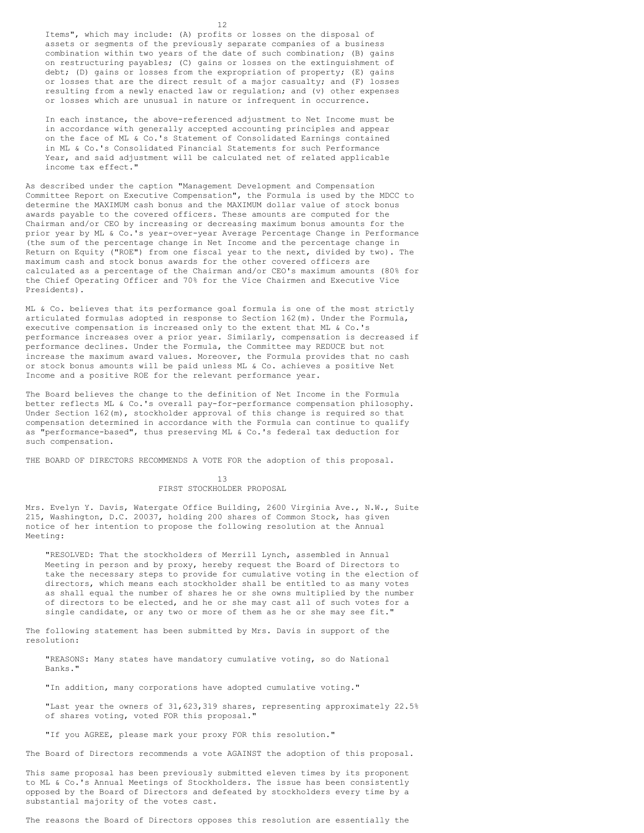Items", which may include: (A) profits or losses on the disposal of assets or segments of the previously separate companies of a business combination within two years of the date of such combination; (B) gains on restructuring payables; (C) gains or losses on the extinguishment of debt; (D) gains or losses from the expropriation of property; (E) gains or losses that are the direct result of a major casualty; and (F) losses resulting from a newly enacted law or regulation; and (v) other expenses or losses which are unusual in nature or infrequent in occurrence.

In each instance, the above-referenced adjustment to Net Income must be in accordance with generally accepted accounting principles and appear on the face of ML & Co.'s Statement of Consolidated Earnings contained in ML & Co.'s Consolidated Financial Statements for such Performance Year, and said adjustment will be calculated net of related applicable income tax effect."

As described under the caption "Management Development and Compensation Committee Report on Executive Compensation", the Formula is used by the MDCC to determine the MAXIMUM cash bonus and the MAXIMUM dollar value of stock bonus awards payable to the covered officers. These amounts are computed for the Chairman and/or CEO by increasing or decreasing maximum bonus amounts for the prior year by ML & Co.'s year-over-year Average Percentage Change in Performance (the sum of the percentage change in Net Income and the percentage change in Return on Equity ("ROE") from one fiscal year to the next, divided by two). The maximum cash and stock bonus awards for the other covered officers are calculated as a percentage of the Chairman and/or CEO's maximum amounts (80% for the Chief Operating Officer and 70% for the Vice Chairmen and Executive Vice Presidents).

ML & Co. believes that its performance goal formula is one of the most strictly articulated formulas adopted in response to Section 162(m). Under the Formula, executive compensation is increased only to the extent that ML & Co.'s performance increases over a prior year. Similarly, compensation is decreased if performance declines. Under the Formula, the Committee may REDUCE but not increase the maximum award values. Moreover, the Formula provides that no cash or stock bonus amounts will be paid unless ML & Co. achieves a positive Net Income and a positive ROE for the relevant performance year.

The Board believes the change to the definition of Net Income in the Formula better reflects ML & Co.'s overall pay-for-performance compensation philosophy. Under Section 162(m), stockholder approval of this change is required so that compensation determined in accordance with the Formula can continue to qualify as "performance-based", thus preserving ML & Co.'s federal tax deduction for such compensation.

THE BOARD OF DIRECTORS RECOMMENDS A VOTE FOR the adoption of this proposal.

### 13 FIRST STOCKHOLDER PROPOSAL

Mrs. Evelyn Y. Davis, Watergate Office Building, 2600 Virginia Ave., N.W., Suite 215, Washington, D.C. 20037, holding 200 shares of Common Stock, has given notice of her intention to propose the following resolution at the Annual Meeting:

"RESOLVED: That the stockholders of Merrill Lynch, assembled in Annual Meeting in person and by proxy, hereby request the Board of Directors to take the necessary steps to provide for cumulative voting in the election of directors, which means each stockholder shall be entitled to as many votes as shall equal the number of shares he or she owns multiplied by the number of directors to be elected, and he or she may cast all of such votes for a single candidate, or any two or more of them as he or she may see fit."

The following statement has been submitted by Mrs. Davis in support of the resolution:

"REASONS: Many states have mandatory cumulative voting, so do National Banks."

"In addition, many corporations have adopted cumulative voting."

"Last year the owners of 31,623,319 shares, representing approximately 22.5% of shares voting, voted FOR this proposal."

"If you AGREE, please mark your proxy FOR this resolution."

The Board of Directors recommends a vote AGAINST the adoption of this proposal.

This same proposal has been previously submitted eleven times by its proponent to ML & Co.'s Annual Meetings of Stockholders. The issue has been consistently opposed by the Board of Directors and defeated by stockholders every time by a substantial majority of the votes cast.

The reasons the Board of Directors opposes this resolution are essentially the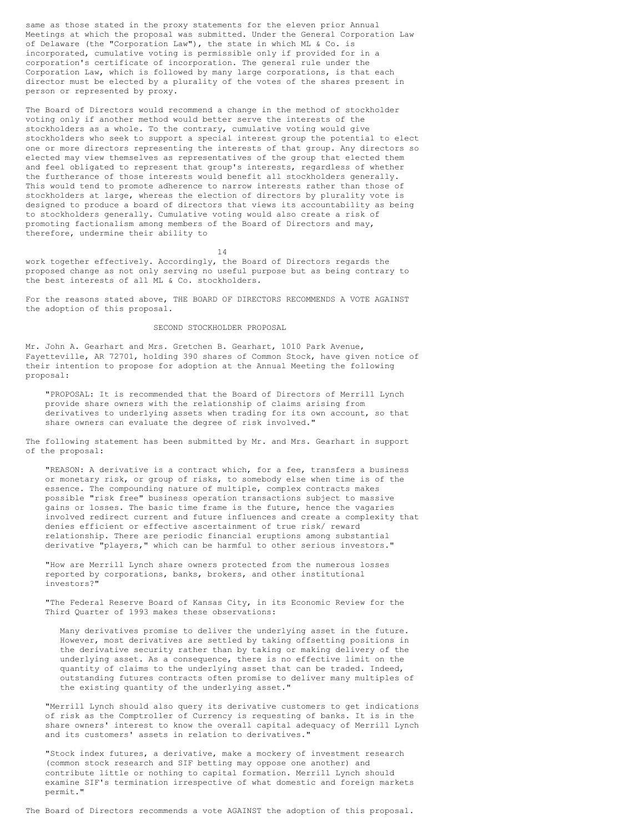same as those stated in the proxy statements for the eleven prior Annual Meetings at which the proposal was submitted. Under the General Corporation Law of Delaware (the "Corporation Law"), the state in which ML & Co. is incorporated, cumulative voting is permissible only if provided for in a corporation's certificate of incorporation. The general rule under the Corporation Law, which is followed by many large corporations, is that each director must be elected by a plurality of the votes of the shares present in person or represented by proxy.

The Board of Directors would recommend a change in the method of stockholder voting only if another method would better serve the interests of the stockholders as a whole. To the contrary, cumulative voting would give stockholders who seek to support a special interest group the potential to elect one or more directors representing the interests of that group. Any directors so elected may view themselves as representatives of the group that elected them and feel obligated to represent that group's interests, regardless of whether the furtherance of those interests would benefit all stockholders generally. This would tend to promote adherence to narrow interests rather than those of stockholders at large, whereas the election of directors by plurality vote is designed to produce a board of directors that views its accountability as being to stockholders generally. Cumulative voting would also create a risk of promoting factionalism among members of the Board of Directors and may, therefore, undermine their ability to

14

work together effectively. Accordingly, the Board of Directors regards the proposed change as not only serving no useful purpose but as being contrary to the best interests of all ML & Co. stockholders.

For the reasons stated above, THE BOARD OF DIRECTORS RECOMMENDS A VOTE AGAINST the adoption of this proposal.

### SECOND STOCKHOLDER PROPOSAL

Mr. John A. Gearhart and Mrs. Gretchen B. Gearhart, 1010 Park Avenue, Fayetteville, AR 72701, holding 390 shares of Common Stock, have given notice of their intention to propose for adoption at the Annual Meeting the following proposal:

"PROPOSAL: It is recommended that the Board of Directors of Merrill Lynch provide share owners with the relationship of claims arising from derivatives to underlying assets when trading for its own account, so that share owners can evaluate the degree of risk involved."

The following statement has been submitted by Mr. and Mrs. Gearhart in support of the proposal:

"REASON: A derivative is a contract which, for a fee, transfers a business or monetary risk, or group of risks, to somebody else when time is of the essence. The compounding nature of multiple, complex contracts makes possible "risk free" business operation transactions subject to massive gains or losses. The basic time frame is the future, hence the vagaries involved redirect current and future influences and create a complexity that denies efficient or effective ascertainment of true risk/ reward relationship. There are periodic financial eruptions among substantial derivative "players," which can be harmful to other serious investors."

"How are Merrill Lynch share owners protected from the numerous losses reported by corporations, banks, brokers, and other institutional investors?"

"The Federal Reserve Board of Kansas City, in its Economic Review for the Third Quarter of 1993 makes these observations:

Many derivatives promise to deliver the underlying asset in the future. However, most derivatives are settled by taking offsetting positions in the derivative security rather than by taking or making delivery of the underlying asset. As a consequence, there is no effective limit on the quantity of claims to the underlying asset that can be traded. Indeed, outstanding futures contracts often promise to deliver many multiples of the existing quantity of the underlying asset."

"Merrill Lynch should also query its derivative customers to get indications of risk as the Comptroller of Currency is requesting of banks. It is in the share owners' interest to know the overall capital adequacy of Merrill Lynch and its customers' assets in relation to derivatives."

"Stock index futures, a derivative, make a mockery of investment research (common stock research and SIF betting may oppose one another) and contribute little or nothing to capital formation. Merrill Lynch should examine SIF's termination irrespective of what domestic and foreign markets permit."

The Board of Directors recommends a vote AGAINST the adoption of this proposal.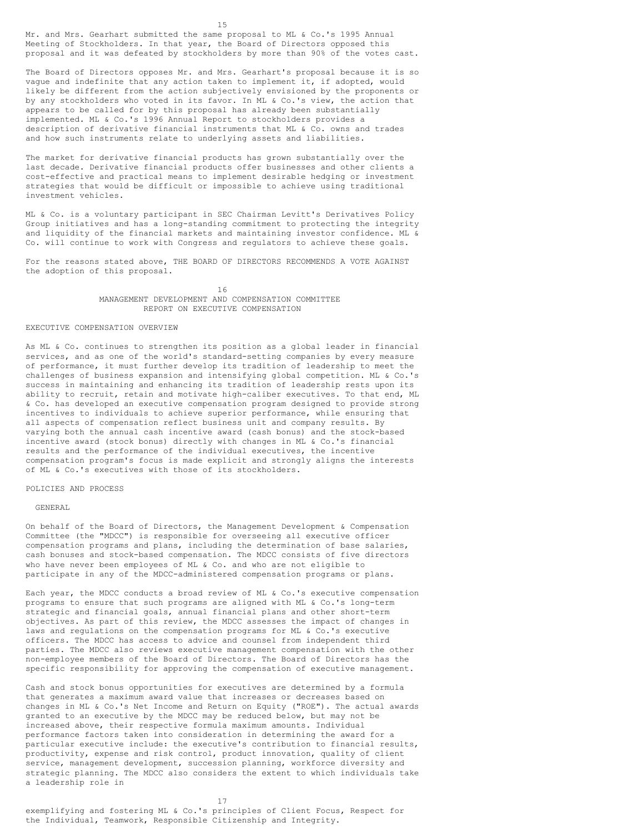Mr. and Mrs. Gearhart submitted the same proposal to ML & Co.'s 1995 Annual Meeting of Stockholders. In that year, the Board of Directors opposed this proposal and it was defeated by stockholders by more than 90% of the votes cast.

The Board of Directors opposes Mr. and Mrs. Gearhart's proposal because it is so vague and indefinite that any action taken to implement it, if adopted, would likely be different from the action subjectively envisioned by the proponents or by any stockholders who voted in its favor. In ML & Co.'s view, the action that appears to be called for by this proposal has already been substantially implemented. ML & Co.'s 1996 Annual Report to stockholders provides a description of derivative financial instruments that ML & Co. owns and trades and how such instruments relate to underlying assets and liabilities.

The market for derivative financial products has grown substantially over the last decade. Derivative financial products offer businesses and other clients a cost-effective and practical means to implement desirable hedging or investment strategies that would be difficult or impossible to achieve using traditional investment vehicles.

ML & Co. is a voluntary participant in SEC Chairman Levitt's Derivatives Policy Group initiatives and has a long-standing commitment to protecting the integrity and liquidity of the financial markets and maintaining investor confidence. ML & Co. will continue to work with Congress and regulators to achieve these goals.

For the reasons stated above, THE BOARD OF DIRECTORS RECOMMENDS A VOTE AGAINST the adoption of this proposal.

> 16 MANAGEMENT DEVELOPMENT AND COMPENSATION COMMITTEE REPORT ON EXECUTIVE COMPENSATION

### EXECUTIVE COMPENSATION OVERVIEW

As ML & Co. continues to strengthen its position as a global leader in financial services, and as one of the world's standard-setting companies by every measure of performance, it must further develop its tradition of leadership to meet the challenges of business expansion and intensifying global competition. ML & Co.'s success in maintaining and enhancing its tradition of leadership rests upon its ability to recruit, retain and motivate high-caliber executives. To that end, ML & Co. has developed an executive compensation program designed to provide strong incentives to individuals to achieve superior performance, while ensuring that all aspects of compensation reflect business unit and company results. By varying both the annual cash incentive award (cash bonus) and the stock-based incentive award (stock bonus) directly with changes in ML & Co.'s financial results and the performance of the individual executives, the incentive compensation program's focus is made explicit and strongly aligns the interests of ML & Co.'s executives with those of its stockholders.

POLICIES AND PROCESS

GENERAL

On behalf of the Board of Directors, the Management Development & Compensation Committee (the "MDCC") is responsible for overseeing all executive officer compensation programs and plans, including the determination of base salaries, cash bonuses and stock-based compensation. The MDCC consists of five directors who have never been employees of ML  $\&$  Co. and who are not eligible to participate in any of the MDCC-administered compensation programs or plans.

Each year, the MDCC conducts a broad review of ML & Co.'s executive compensation programs to ensure that such programs are aligned with ML & Co.'s long-term strategic and financial goals, annual financial plans and other short-term objectives. As part of this review, the MDCC assesses the impact of changes in laws and regulations on the compensation programs for ML & Co.'s executive officers. The MDCC has access to advice and counsel from independent third parties. The MDCC also reviews executive management compensation with the other non-employee members of the Board of Directors. The Board of Directors has the specific responsibility for approving the compensation of executive management.

Cash and stock bonus opportunities for executives are determined by a formula that generates a maximum award value that increases or decreases based on changes in ML & Co.'s Net Income and Return on Equity ("ROE"). The actual awards granted to an executive by the MDCC may be reduced below, but may not be increased above, their respective formula maximum amounts. Individual performance factors taken into consideration in determining the award for a particular executive include: the executive's contribution to financial results, productivity, expense and risk control, product innovation, quality of client service, management development, succession planning, workforce diversity and strategic planning. The MDCC also considers the extent to which individuals take a leadership role in

17

exemplifying and fostering ML & Co.'s principles of Client Focus, Respect for the Individual, Teamwork, Responsible Citizenship and Integrity.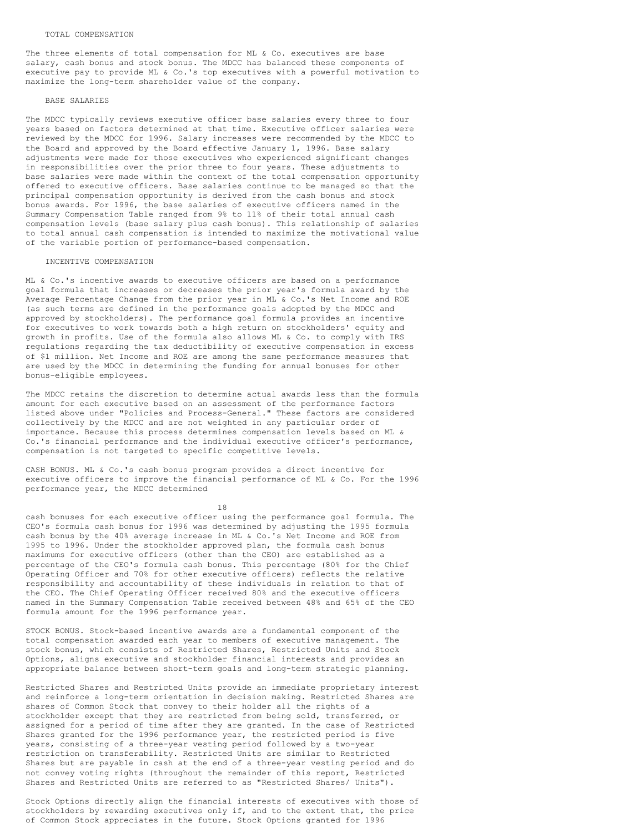The three elements of total compensation for ML & Co. executives are base salary, cash bonus and stock bonus. The MDCC has balanced these components of executive pay to provide ML & Co.'s top executives with a powerful motivation to maximize the long-term shareholder value of the company.

### BASE SALARIES

The MDCC typically reviews executive officer base salaries every three to four years based on factors determined at that time. Executive officer salaries were reviewed by the MDCC for 1996. Salary increases were recommended by the MDCC to the Board and approved by the Board effective January 1, 1996. Base salary adjustments were made for those executives who experienced significant changes in responsibilities over the prior three to four years. These adjustments to base salaries were made within the context of the total compensation opportunity offered to executive officers. Base salaries continue to be managed so that the principal compensation opportunity is derived from the cash bonus and stock bonus awards. For 1996, the base salaries of executive officers named in the Summary Compensation Table ranged from 9% to 11% of their total annual cash compensation levels (base salary plus cash bonus). This relationship of salaries to total annual cash compensation is intended to maximize the motivational value of the variable portion of performance-based compensation.

### INCENTIVE COMPENSATION

ML & Co.'s incentive awards to executive officers are based on a performance goal formula that increases or decreases the prior year's formula award by the Average Percentage Change from the prior year in ML & Co.'s Net Income and ROE (as such terms are defined in the performance goals adopted by the MDCC and approved by stockholders). The performance goal formula provides an incentive for executives to work towards both a high return on stockholders' equity and growth in profits. Use of the formula also allows ML & Co. to comply with IRS regulations regarding the tax deductibility of executive compensation in excess of \$1 million. Net Income and ROE are among the same performance measures that are used by the MDCC in determining the funding for annual bonuses for other bonus-eligible employees.

The MDCC retains the discretion to determine actual awards less than the formula amount for each executive based on an assessment of the performance factors listed above under "Policies and Process-General." These factors are considered collectively by the MDCC and are not weighted in any particular order of importance. Because this process determines compensation levels based on ML & Co.'s financial performance and the individual executive officer's performance, compensation is not targeted to specific competitive levels.

CASH BONUS. ML & Co.'s cash bonus program provides a direct incentive for executive officers to improve the financial performance of ML & Co. For the 1996 performance year, the MDCC determined

18

cash bonuses for each executive officer using the performance goal formula. The CEO's formula cash bonus for 1996 was determined by adjusting the 1995 formula cash bonus by the 40% average increase in ML & Co.'s Net Income and ROE from 1995 to 1996. Under the stockholder approved plan, the formula cash bonus maximums for executive officers (other than the CEO) are established as a percentage of the CEO's formula cash bonus. This percentage (80% for the Chief Operating Officer and 70% for other executive officers) reflects the relative responsibility and accountability of these individuals in relation to that of the CEO. The Chief Operating Officer received 80% and the executive officers named in the Summary Compensation Table received between 48% and 65% of the CEO formula amount for the 1996 performance year.

STOCK BONUS. Stock-based incentive awards are a fundamental component of the total compensation awarded each year to members of executive management. The stock bonus, which consists of Restricted Shares, Restricted Units and Stock Options, aligns executive and stockholder financial interests and provides an appropriate balance between short-term goals and long-term strategic planning.

Restricted Shares and Restricted Units provide an immediate proprietary interest and reinforce a long-term orientation in decision making. Restricted Shares are shares of Common Stock that convey to their holder all the rights of a stockholder except that they are restricted from being sold, transferred, or assigned for a period of time after they are granted. In the case of Restricted Shares granted for the 1996 performance year, the restricted period is five years, consisting of a three-year vesting period followed by a two-year restriction on transferability. Restricted Units are similar to Restricted Shares but are payable in cash at the end of a three-year vesting period and do not convey voting rights (throughout the remainder of this report, Restricted Shares and Restricted Units are referred to as "Restricted Shares/ Units").

Stock Options directly align the financial interests of executives with those of stockholders by rewarding executives only if, and to the extent that, the price of Common Stock appreciates in the future. Stock Options granted for 1996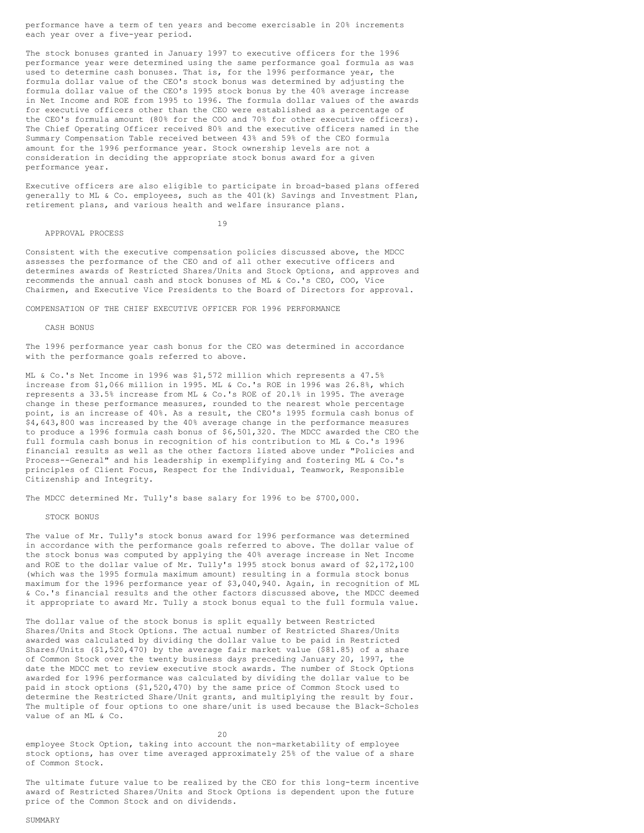performance have a term of ten years and become exercisable in 20% increments each year over a five-year period.

The stock bonuses granted in January 1997 to executive officers for the 1996 performance year were determined using the same performance goal formula as was used to determine cash bonuses. That is, for the 1996 performance year, the formula dollar value of the CEO's stock bonus was determined by adjusting the formula dollar value of the CEO's 1995 stock bonus by the 40% average increase in Net Income and ROE from 1995 to 1996. The formula dollar values of the awards for executive officers other than the CEO were established as a percentage of the CEO's formula amount (80% for the COO and 70% for other executive officers). The Chief Operating Officer received 80% and the executive officers named in the Summary Compensation Table received between 43% and 59% of the CEO formula amount for the 1996 performance year. Stock ownership levels are not a consideration in deciding the appropriate stock bonus award for a given performance year.

Executive officers are also eligible to participate in broad-based plans offered generally to ML & Co. employees, such as the 401(k) Savings and Investment Plan, retirement plans, and various health and welfare insurance plans.

### 19

APPROVAL PROCESS

Consistent with the executive compensation policies discussed above, the MDCC assesses the performance of the CEO and of all other executive officers and determines awards of Restricted Shares/Units and Stock Options, and approves and recommends the annual cash and stock bonuses of ML & Co.'s CEO, COO, Vice Chairmen, and Executive Vice Presidents to the Board of Directors for approval.

#### COMPENSATION OF THE CHIEF EXECUTIVE OFFICER FOR 1996 PERFORMANCE

#### CASH BONUS

The 1996 performance year cash bonus for the CEO was determined in accordance with the performance goals referred to above.

ML & Co.'s Net Income in 1996 was \$1,572 million which represents a 47.5% increase from \$1,066 million in 1995. ML & Co.'s ROE in 1996 was 26.8%, which represents a 33.5% increase from ML & Co.'s ROE of 20.1% in 1995. The average change in these performance measures, rounded to the nearest whole percentage point, is an increase of 40%. As a result, the CEO's 1995 formula cash bonus of \$4,643,800 was increased by the 40% average change in the performance measures to produce a 1996 formula cash bonus of \$6,501,320. The MDCC awarded the CEO the full formula cash bonus in recognition of his contribution to ML & Co.'s 1996 financial results as well as the other factors listed above under "Policies and Process--General" and his leadership in exemplifying and fostering ML & Co.'s principles of Client Focus, Respect for the Individual, Teamwork, Responsible Citizenship and Integrity.

The MDCC determined Mr. Tully's base salary for 1996 to be \$700,000.

### STOCK BONUS

The value of Mr. Tully's stock bonus award for 1996 performance was determined in accordance with the performance goals referred to above. The dollar value of the stock bonus was computed by applying the 40% average increase in Net Income and ROE to the dollar value of Mr. Tully's 1995 stock bonus award of \$2,172,100 (which was the 1995 formula maximum amount) resulting in a formula stock bonus maximum for the 1996 performance year of \$3,040,940. Again, in recognition of ML & Co.'s financial results and the other factors discussed above, the MDCC deemed it appropriate to award Mr. Tully a stock bonus equal to the full formula value.

The dollar value of the stock bonus is split equally between Restricted Shares/Units and Stock Options. The actual number of Restricted Shares/Units awarded was calculated by dividing the dollar value to be paid in Restricted Shares/Units (\$1,520,470) by the average fair market value (\$81.85) of a share of Common Stock over the twenty business days preceding January 20, 1997, the date the MDCC met to review executive stock awards. The number of Stock Options awarded for 1996 performance was calculated by dividing the dollar value to be paid in stock options (\$1,520,470) by the same price of Common Stock used to determine the Restricted Share/Unit grants, and multiplying the result by four. The multiple of four options to one share/unit is used because the Black-Scholes value of an ML & Co.

 $20$ employee Stock Option, taking into account the non-marketability of employee stock options, has over time averaged approximately 25% of the value of a share of Common Stock.

The ultimate future value to be realized by the CEO for this long-term incentive award of Restricted Shares/Units and Stock Options is dependent upon the future price of the Common Stock and on dividends.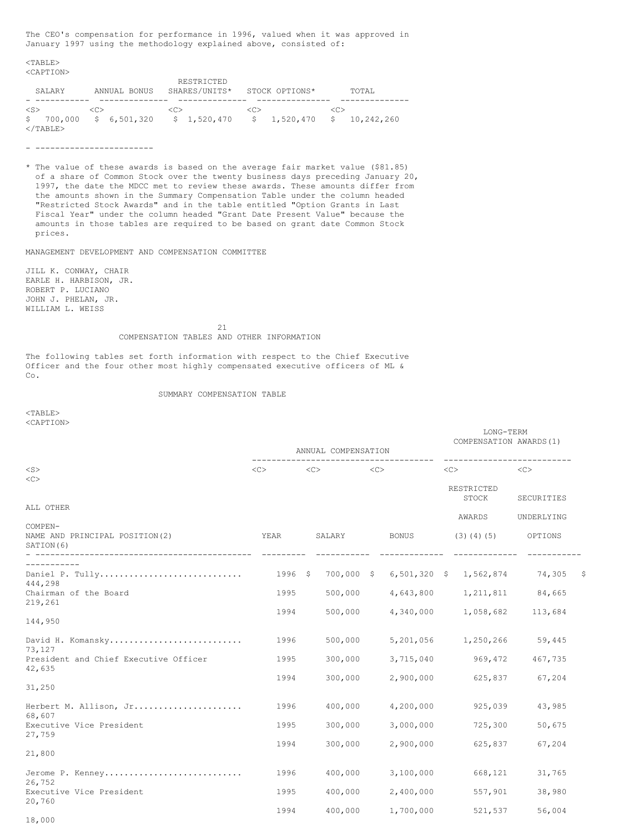The CEO's compensation for performance in 1996, valued when it was approved in January 1997 using the methodology explained above, consisted of:

<TABLE> <CAPTION>

|                   |                         | RESTRICTED          |                             |               |
|-------------------|-------------------------|---------------------|-----------------------------|---------------|
| SALARY            | ANNUAL BONUS            | SHARES/UNITS*       | STOCK OPTIONS*              | TOTAL         |
|                   |                         |                     |                             |               |
| $\langle$ S>      | $\langle C \rangle$     | $\langle C \rangle$ | < <sub></sub>               | < <sub></sub> |
|                   | $$700,000 \t$6,501,320$ | \$1,520,470         | $$1,520,470 \t$ 10,242,260$ |               |
| $\langle$ /TABLE> |                         |                     |                             |               |

- ------------------------

\* The value of these awards is based on the average fair market value (\$81.85) of a share of Common Stock over the twenty business days preceding January 20, 1997, the date the MDCC met to review these awards. These amounts differ from the amounts shown in the Summary Compensation Table under the column headed "Restricted Stock Awards" and in the table entitled "Option Grants in Last Fiscal Year" under the column headed "Grant Date Present Value" because the amounts in those tables are required to be based on grant date Common Stock prices.

MANAGEMENT DEVELOPMENT AND COMPENSATION COMMITTEE

JILL K. CONWAY, CHAIR EARLE H. HARBISON, JR. ROBERT P. LUCIANO JOHN J. PHELAN, JR. WILLIAM L. WEISS

21

#### COMPENSATION TABLES AND OTHER INFORMATION

The following tables set forth information with respect to the Chief Executive Officer and the four other most highly compensated executive officers of ML & Co.

### SUMMARY COMPENSATION TABLE

<TABLE> <CAPTION>

|                                                          | ANNUAL COMPENSATION |               |            |                     |                |                             | LONG-TERM<br>COMPENSATION AWARDS (1) |                       |      |
|----------------------------------------------------------|---------------------|---------------|------------|---------------------|----------------|-----------------------------|--------------------------------------|-----------------------|------|
| $<$ S>                                                   | <<                  | < <sub></sub> |            | $\langle C \rangle$ |                |                             | -----------------------<br><<        | <<                    |      |
| <<                                                       |                     |               |            |                     |                |                             | RESTRICTED<br>STOCK                  | SECURITIES            |      |
| ALL OTHER                                                |                     |               |            |                     |                |                             |                                      |                       |      |
| COMPEN-<br>NAME AND PRINCIPAL POSITION (2)<br>SATION (6) | YEAR                |               | SALARY     |                     | BONUS          | AWARDS<br>$(3)$ $(4)$ $(5)$ |                                      | UNDERLYING<br>OPTIONS |      |
| ---------------------------------<br>.                   |                     |               |            |                     |                |                             |                                      |                       |      |
| Daniel P. Tully<br>444,298                               | $1996$ \$           |               | 700,000 \$ |                     | $6,501,320$ \$ |                             | 1,562,874                            | 74,305                | - \$ |
| Chairman of the Board                                    | 1995                |               | 500,000    |                     | 4,643,800      |                             | 1, 211, 811                          | 84,665                |      |
| 219,261<br>144,950                                       | 1994                |               | 500,000    |                     | 4,340,000      |                             | 1,058,682                            | 113,684               |      |
| David H. Komansky<br>73,127                              | 1996                |               | 500,000    |                     | 5,201,056      |                             | 1,250,266                            | 59,445                |      |
| President and Chief Executive Officer<br>42,635          | 1995                |               | 300,000    |                     | 3,715,040      |                             | 969,472                              | 467,735               |      |
| 31,250                                                   | 1994                |               | 300,000    |                     | 2,900,000      |                             | 625,837                              | 67,204                |      |
| Herbert M. Allison, Jr<br>68,607                         | 1996                |               | 400,000    |                     | 4,200,000      |                             | 925,039                              | 43,985                |      |
| Executive Vice President                                 | 1995                |               | 300,000    |                     | 3,000,000      |                             | 725,300                              | 50,675                |      |
| 27,759<br>21,800                                         | 1994                |               | 300,000    |                     | 2,900,000      |                             | 625,837                              | 67,204                |      |
| Jerome P. Kenney<br>26,752                               | 1996                |               | 400,000    |                     | 3,100,000      |                             | 668,121                              | 31,765                |      |
| Executive Vice President<br>20,760                       | 1995                |               | 400,000    |                     | 2,400,000      |                             | 557,901                              | 38,980                |      |
| $\sim$ 0.00                                              | 1994                |               | 400,000    |                     | 1,700,000      |                             | 521,537                              | 56,004                |      |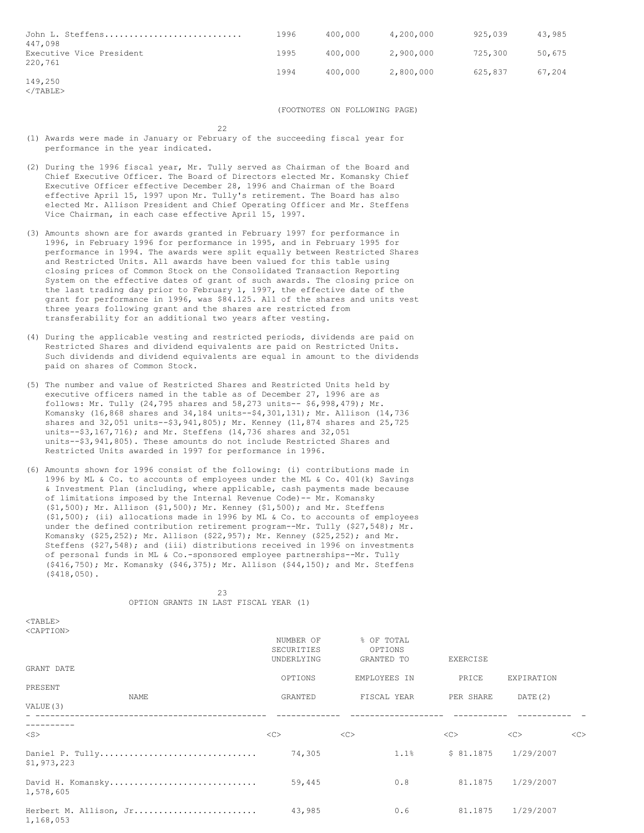| John L. Steffens<br>447.098         | 1996 | 400,000 | 4,200,000 | 925,039 | 43,985 |
|-------------------------------------|------|---------|-----------|---------|--------|
| Executive Vice President<br>220,761 | 1995 | 400,000 | 2,900,000 | 725,300 | 50,675 |
| 149,250                             | 1994 | 400.000 | 2,800,000 | 625,837 | 67,204 |

 $<$ /TABLE>

(FOOTNOTES ON FOLLOWING PAGE)

22

- (1) Awards were made in January or February of the succeeding fiscal year for performance in the year indicated.
- (2) During the 1996 fiscal year, Mr. Tully served as Chairman of the Board and Chief Executive Officer. The Board of Directors elected Mr. Komansky Chief Executive Officer effective December 28, 1996 and Chairman of the Board effective April 15, 1997 upon Mr. Tully's retirement. The Board has also elected Mr. Allison President and Chief Operating Officer and Mr. Steffens Vice Chairman, in each case effective April 15, 1997.
- (3) Amounts shown are for awards granted in February 1997 for performance in 1996, in February 1996 for performance in 1995, and in February 1995 for performance in 1994. The awards were split equally between Restricted Shares and Restricted Units. All awards have been valued for this table using closing prices of Common Stock on the Consolidated Transaction Reporting System on the effective dates of grant of such awards. The closing price on the last trading day prior to February 1, 1997, the effective date of the grant for performance in 1996, was \$84.125. All of the shares and units vest three years following grant and the shares are restricted from transferability for an additional two years after vesting.
- (4) During the applicable vesting and restricted periods, dividends are paid on Restricted Shares and dividend equivalents are paid on Restricted Units. Such dividends and dividend equivalents are equal in amount to the dividends paid on shares of Common Stock.
- (5) The number and value of Restricted Shares and Restricted Units held by executive officers named in the table as of December 27, 1996 are as follows: Mr. Tully (24,795 shares and 58,273 units-- \$6,998,479); Mr. Komansky (16,868 shares and 34,184 units--\$4,301,131); Mr. Allison (14,736 shares and 32,051 units--\$3,941,805); Mr. Kenney (11,874 shares and 25,725 units--\$3,167,716); and Mr. Steffens (14,736 shares and 32,051 units--\$3,941,805). These amounts do not include Restricted Shares and Restricted Units awarded in 1997 for performance in 1996.
- (6) Amounts shown for 1996 consist of the following: (i) contributions made in 1996 by ML & Co. to accounts of employees under the ML & Co. 401(k) Savings & Investment Plan (including, where applicable, cash payments made because of limitations imposed by the Internal Revenue Code)-- Mr. Komansky (\$1,500); Mr. Allison (\$1,500); Mr. Kenney (\$1,500); and Mr. Steffens (\$1,500); (ii) allocations made in 1996 by ML & Co. to accounts of employees under the defined contribution retirement program--Mr. Tully (\$27,548); Mr. Komansky (\$25,252); Mr. Allison (\$22,957); Mr. Kenney (\$25,252); and Mr. Steffens (\$27,548); and (iii) distributions received in 1996 on investments of personal funds in ML & Co.-sponsored employee partnerships--Mr. Tully (\$416,750); Mr. Komansky (\$46,375); Mr. Allison (\$44,150); and Mr. Steffens (\$418,050).

23 OPTION GRANTS IN LAST FISCAL YEAR (1)

 $<$ TABLE> <CAPTION>

|                                     | NUMBER OF  | % OF TOTAL   |           |            |    |
|-------------------------------------|------------|--------------|-----------|------------|----|
|                                     | SECURITIES | OPTIONS      |           |            |    |
|                                     | UNDERLYING | GRANTED TO   | EXERCISE  |            |    |
| GRANT DATE                          |            |              |           |            |    |
|                                     | OPTIONS    | EMPLOYEES IN | PRICE     | EXPIRATION |    |
| PRESENT                             |            |              |           |            |    |
| NAME                                | GRANTED    | FISCAL YEAR  | PER SHARE | DATE(2)    |    |
| VALUE (3)                           |            |              |           |            |    |
|                                     |            |              |           |            |    |
| $<$ S $>$                           | <<         | <<           | <<        | <<         | << |
| Daniel P. Tully<br>\$1,973,223      | 74,305     | 1.1%         | \$81.1875 | 1/29/2007  |    |
| David H. Komansky<br>1,578,605      | 59,445     | 0.8          | 81.1875   | 1/29/2007  |    |
| Herbert M. Allison, Jr<br>1,168,053 | 43,985     | 0.6          | 81.1875   | 1/29/2007  |    |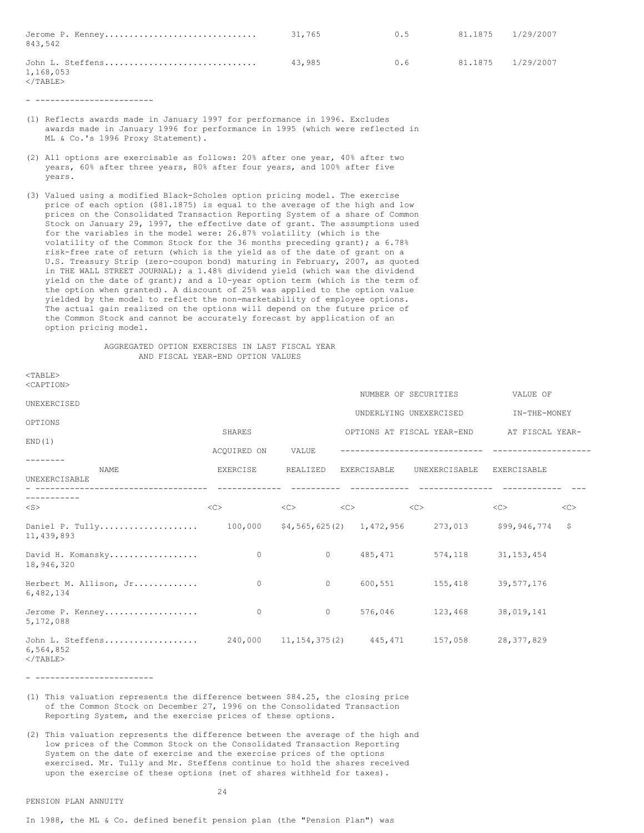| Jerome P. Kenney<br>843,542                  | 31,765 | 0.5 | 81.1875 1/29/2007 |  |
|----------------------------------------------|--------|-----|-------------------|--|
| John L. Steffens<br>1,168,053<br>$<$ /TABLE> | 43.985 | 0.6 | 81.1875 1/29/2007 |  |

- ------------------------

- (1) Reflects awards made in January 1997 for performance in 1996. Excludes awards made in January 1996 for performance in 1995 (which were reflected in ML & Co.'s 1996 Proxy Statement).
- (2) All options are exercisable as follows: 20% after one year, 40% after two years, 60% after three years, 80% after four years, and 100% after five years.
- (3) Valued using a modified Black-Scholes option pricing model. The exercise price of each option (\$81.1875) is equal to the average of the high and low prices on the Consolidated Transaction Reporting System of a share of Common Stock on January 29, 1997, the effective date of grant. The assumptions used for the variables in the model were: 26.87% volatility (which is the volatility of the Common Stock for the 36 months preceding grant); a 6.78% risk-free rate of return (which is the yield as of the date of grant on a U.S. Treasury Strip (zero-coupon bond) maturing in February, 2007, as quoted in THE WALL STREET JOURNAL); a 1.48% dividend yield (which was the dividend yield on the date of grant); and a 10-year option term (which is the term of the option when granted). A discount of 25% was applied to the option value yielded by the model to reflect the non-marketability of employee options. The actual gain realized on the options will depend on the future price of the Common Stock and cannot be accurately forecast by application of an option pricing model.

### AGGREGATED OPTION EXERCISES IN LAST FISCAL YEAR AND FISCAL YEAR-END OPTION VALUES

| $<$ TABLE><br><caption></caption>                  |                     |                               |                  |                    |                                          |                 |    |
|----------------------------------------------------|---------------------|-------------------------------|------------------|--------------------|------------------------------------------|-----------------|----|
|                                                    |                     |                               |                  |                    | NUMBER OF SECURITIES                     | VALUE OF        |    |
| UNEXERCISED                                        |                     |                               |                  |                    | UNDERLYING UNEXERCISED                   |                 |    |
| OPTIONS                                            |                     |                               |                  |                    |                                          | IN-THE-MONEY    |    |
|                                                    | SHARES              |                               |                  |                    | OPTIONS AT FISCAL YEAR-END               | AT FISCAL YEAR- |    |
| END(1)                                             | ACOUIRED ON         | VALUE                         |                  |                    |                                          |                 |    |
| <b>NAME</b><br>UNEXERCISABLE<br>_________________  | EXERCISE            | REALIZED                      |                  | <b>EXERCISABLE</b> | UNEXERCISABLE                            | EXERCISABLE     |    |
| $<$ S $>$                                          | $\langle C \rangle$ | $\langle C \rangle$           | $<<$ $<$ $<$ $>$ |                    | <<                                       | <<              | << |
| Daniel P. Tully<br>11,439,893                      |                     |                               |                  |                    | 100,000 \$4,565,625(2) 1,472,956 273,013 | \$99,946,774    | \$ |
| David H. Komansky<br>18,946,320                    | $\circ$             | $\circ$                       |                  | 485, 471           | 574,118                                  | 31, 153, 454    |    |
| Herbert M. Allison, Jr<br>6,482,134                | $\circ$             | $\circ$                       |                  | 600,551            | 155,418                                  | 39,577,176      |    |
| Jerome P. Kenney<br>5,172,088                      | $\mathbf{0}$        | $\mathbf{0}$                  |                  | 576,046            | 123,468                                  | 38,019,141      |    |
| John L. Steffens<br>6,564,852<br>$2/m \pi n \pi n$ |                     | 240,000 11,154,375(2) 445,471 |                  |                    | 157,058                                  | 28, 377, 829    |    |

</TABLE>

- ------------------------

(1) This valuation represents the difference between \$84.25, the closing price of the Common Stock on December 27, 1996 on the Consolidated Transaction Reporting System, and the exercise prices of these options.

(2) This valuation represents the difference between the average of the high and low prices of the Common Stock on the Consolidated Transaction Reporting System on the date of exercise and the exercise prices of the options exercised. Mr. Tully and Mr. Steffens continue to hold the shares received upon the exercise of these options (net of shares withheld for taxes).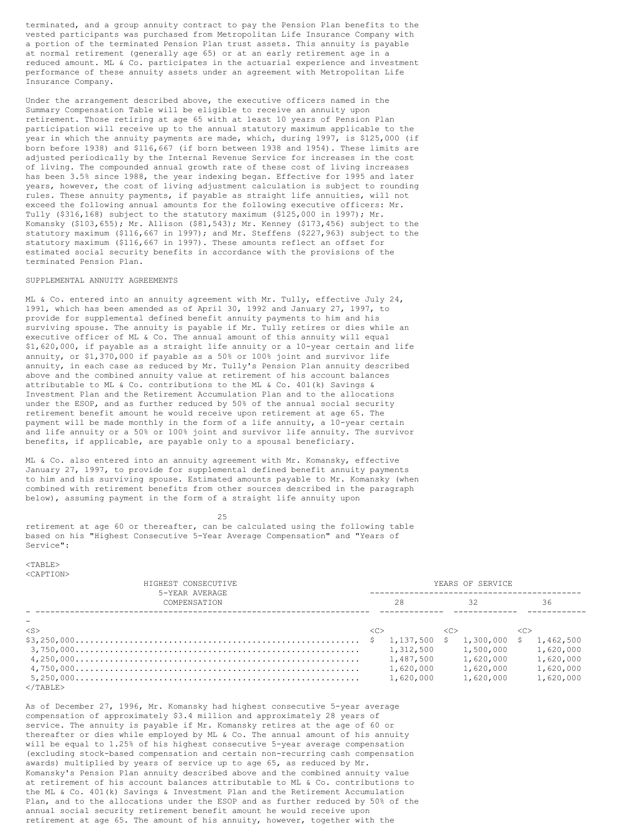terminated, and a group annuity contract to pay the Pension Plan benefits to the vested participants was purchased from Metropolitan Life Insurance Company with a portion of the terminated Pension Plan trust assets. This annuity is payable at normal retirement (generally age 65) or at an early retirement age in a reduced amount. ML & Co. participates in the actuarial experience and investment performance of these annuity assets under an agreement with Metropolitan Life Insurance Company.

Under the arrangement described above, the executive officers named in the Summary Compensation Table will be eligible to receive an annuity upon retirement. Those retiring at age 65 with at least 10 years of Pension Plan participation will receive up to the annual statutory maximum applicable to the year in which the annuity payments are made, which, during 1997, is \$125,000 (if born before 1938) and \$116,667 (if born between 1938 and 1954). These limits are adjusted periodically by the Internal Revenue Service for increases in the cost of living. The compounded annual growth rate of these cost of living increases has been 3.5% since 1988, the year indexing began. Effective for 1995 and later years, however, the cost of living adjustment calculation is subject to rounding rules. These annuity payments, if payable as straight life annuities, will not exceed the following annual amounts for the following executive officers: Mr. Tully  $(§316,168)$  subject to the statutory maximum  $(§125,000$  in 1997); Mr. Komansky (\$103,655); Mr. Allison (\$81,543); Mr. Kenney (\$173,456) subject to the statutory maximum (\$116,667 in 1997); and Mr. Steffens (\$227,963) subject to the statutory maximum (\$116,667 in 1997). These amounts reflect an offset for estimated social security benefits in accordance with the provisions of the terminated Pension Plan.

#### SUPPLEMENTAL ANNUITY AGREEMENTS

ML & Co. entered into an annuity agreement with Mr. Tully, effective July 24, 1991, which has been amended as of April 30, 1992 and January 27, 1997, to provide for supplemental defined benefit annuity payments to him and his surviving spouse. The annuity is payable if Mr. Tully retires or dies while an executive officer of ML & Co. The annual amount of this annuity will equal \$1,620,000, if payable as a straight life annuity or a 10-year certain and life annuity, or \$1,370,000 if payable as a 50% or 100% joint and survivor life annuity, in each case as reduced by Mr. Tully's Pension Plan annuity described above and the combined annuity value at retirement of his account balances attributable to ML & Co. contributions to the ML & Co. 401(k) Savings & Investment Plan and the Retirement Accumulation Plan and to the allocations under the ESOP, and as further reduced by 50% of the annual social security retirement benefit amount he would receive upon retirement at age 65. The payment will be made monthly in the form of a life annuity, a 10-year certain and life annuity or a 50% or 100% joint and survivor life annuity. The survivor benefits, if applicable, are payable only to a spousal beneficiary.

ML & Co. also entered into an annuity agreement with Mr. Komansky, effective January 27, 1997, to provide for supplemental defined benefit annuity payments to him and his surviving spouse. Estimated amounts payable to Mr. Komansky (when combined with retirement benefits from other sources described in the paragraph below), assuming payment in the form of a straight life annuity upon

25

retirement at age 60 or thereafter, can be calculated using the following table based on his "Highest Consecutive 5-Year Average Compensation" and "Years of Service":

 $<$ TABLE> <CAPTION>

| HIGHEST CONSECUTIVE            |               | YEARS OF SERVICE |         |              |         |           |  |
|--------------------------------|---------------|------------------|---------|--------------|---------|-----------|--|
| 5-YEAR AVERAGE<br>COMPENSATION |               | 28               |         | 32           |         | 36        |  |
|                                |               |                  |         |              |         |           |  |
| $<$ S $>$                      | < <sub></sub> |                  | <c></c> |              | <c></c> |           |  |
|                                |               | 1,137,500 \$     |         | 1,300,000 \$ |         | 1,462,500 |  |
|                                |               | 1,312,500        |         | 1,500,000    |         | 1,620,000 |  |
|                                |               | 1,487,500        |         | 1,620,000    |         | 1,620,000 |  |
|                                |               | 1,620,000        |         | 1,620,000    |         | 1,620,000 |  |
|                                |               | 1,620,000        |         | 1,620,000    |         | 1,620,000 |  |
| $\langle$ /TABLE>              |               |                  |         |              |         |           |  |

As of December 27, 1996, Mr. Komansky had highest consecutive 5-year average compensation of approximately \$3.4 million and approximately 28 years of service. The annuity is payable if Mr. Komansky retires at the age of 60 or thereafter or dies while employed by ML & Co. The annual amount of his annuity will be equal to 1.25% of his highest consecutive 5-year average compensation (excluding stock-based compensation and certain non-recurring cash compensation awards) multiplied by years of service up to age 65, as reduced by Mr. Komansky's Pension Plan annuity described above and the combined annuity value at retirement of his account balances attributable to ML & Co. contributions to the ML & Co. 401(k) Savings & Investment Plan and the Retirement Accumulation Plan, and to the allocations under the ESOP and as further reduced by 50% of the annual social security retirement benefit amount he would receive upon retirement at age 65. The amount of his annuity, however, together with the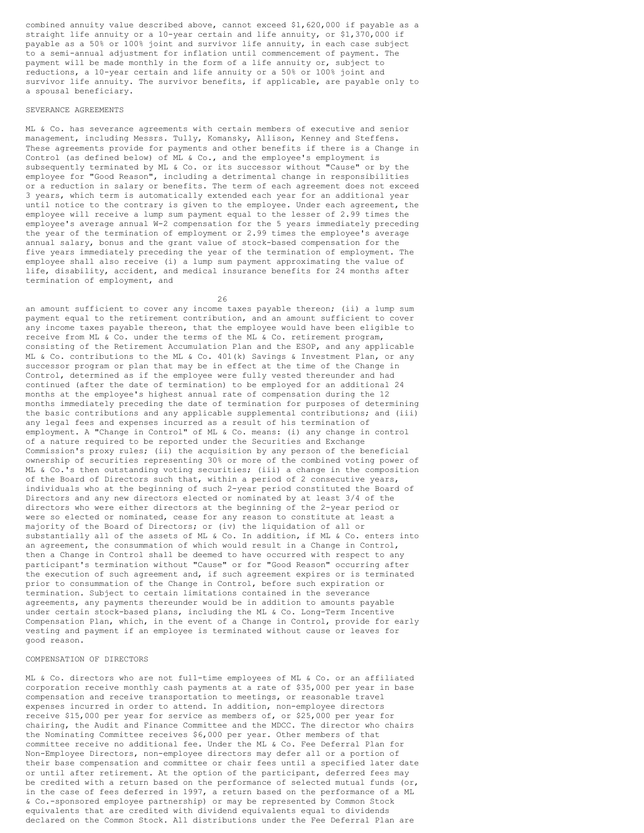combined annuity value described above, cannot exceed \$1,620,000 if payable as a straight life annuity or a 10-year certain and life annuity, or \$1,370,000 if payable as a 50% or 100% joint and survivor life annuity, in each case subject to a semi-annual adjustment for inflation until commencement of payment. The payment will be made monthly in the form of a life annuity or, subject to reductions, a 10-year certain and life annuity or a 50% or 100% joint and survivor life annuity. The survivor benefits, if applicable, are payable only to a spousal beneficiary.

#### SEVERANCE AGREEMENTS

ML & Co. has severance agreements with certain members of executive and senior management, including Messrs. Tully, Komansky, Allison, Kenney and Steffens. These agreements provide for payments and other benefits if there is a Change in Control (as defined below) of ML & Co., and the employee's employment is subsequently terminated by ML & Co. or its successor without "Cause" or by the employee for "Good Reason", including a detrimental change in responsibilities or a reduction in salary or benefits. The term of each agreement does not exceed 3 years, which term is automatically extended each year for an additional year until notice to the contrary is given to the employee. Under each agreement, the employee will receive a lump sum payment equal to the lesser of 2.99 times the employee's average annual W-2 compensation for the 5 years immediately preceding the year of the termination of employment or 2.99 times the employee's average annual salary, bonus and the grant value of stock-based compensation for the five years immediately preceding the year of the termination of employment. The employee shall also receive (i) a lump sum payment approximating the value of life, disability, accident, and medical insurance benefits for 24 months after termination of employment, and

26

an amount sufficient to cover any income taxes payable thereon; (ii) a lump sum payment equal to the retirement contribution, and an amount sufficient to cover any income taxes payable thereon, that the employee would have been eligible to receive from ML & Co. under the terms of the ML & Co. retirement program, consisting of the Retirement Accumulation Plan and the ESOP, and any applicable ML & Co. contributions to the ML & Co. 401(k) Savings & Investment Plan, or any successor program or plan that may be in effect at the time of the Change in Control, determined as if the employee were fully vested thereunder and had continued (after the date of termination) to be employed for an additional 24 months at the employee's highest annual rate of compensation during the 12 months immediately preceding the date of termination for purposes of determining the basic contributions and any applicable supplemental contributions; and (iii) any legal fees and expenses incurred as a result of his termination of employment. A "Change in Control" of ML & Co. means: (i) any change in control of a nature required to be reported under the Securities and Exchange Commission's proxy rules; (ii) the acquisition by any person of the beneficial ownership of securities representing 30% or more of the combined voting power of ML & Co.'s then outstanding voting securities; (iii) a change in the composition of the Board of Directors such that, within a period of 2 consecutive years, individuals who at the beginning of such 2-year period constituted the Board of Directors and any new directors elected or nominated by at least 3/4 of the directors who were either directors at the beginning of the 2-year period or were so elected or nominated, cease for any reason to constitute at least a majority of the Board of Directors; or (iv) the liquidation of all or substantially all of the assets of ML & Co. In addition, if ML & Co. enters into an agreement, the consummation of which would result in a Change in Control, then a Change in Control shall be deemed to have occurred with respect to any participant's termination without "Cause" or for "Good Reason" occurring after the execution of such agreement and, if such agreement expires or is terminated prior to consummation of the Change in Control, before such expiration or termination. Subject to certain limitations contained in the severance agreements, any payments thereunder would be in addition to amounts payable under certain stock-based plans, including the ML & Co. Long-Term Incentive Compensation Plan, which, in the event of a Change in Control, provide for early vesting and payment if an employee is terminated without cause or leaves for good reason.

### COMPENSATION OF DIRECTORS

ML & Co. directors who are not full-time employees of ML & Co. or an affiliated corporation receive monthly cash payments at a rate of \$35,000 per year in base compensation and receive transportation to meetings, or reasonable travel expenses incurred in order to attend. In addition, non-employee directors receive \$15,000 per year for service as members of, or \$25,000 per year for chairing, the Audit and Finance Committee and the MDCC. The director who chairs the Nominating Committee receives \$6,000 per year. Other members of that committee receive no additional fee. Under the ML & Co. Fee Deferral Plan for Non-Employee Directors, non-employee directors may defer all or a portion of their base compensation and committee or chair fees until a specified later date or until after retirement. At the option of the participant, deferred fees may be credited with a return based on the performance of selected mutual funds (or, in the case of fees deferred in 1997, a return based on the performance of a ML & Co.-sponsored employee partnership) or may be represented by Common Stock equivalents that are credited with dividend equivalents equal to dividends declared on the Common Stock. All distributions under the Fee Deferral Plan are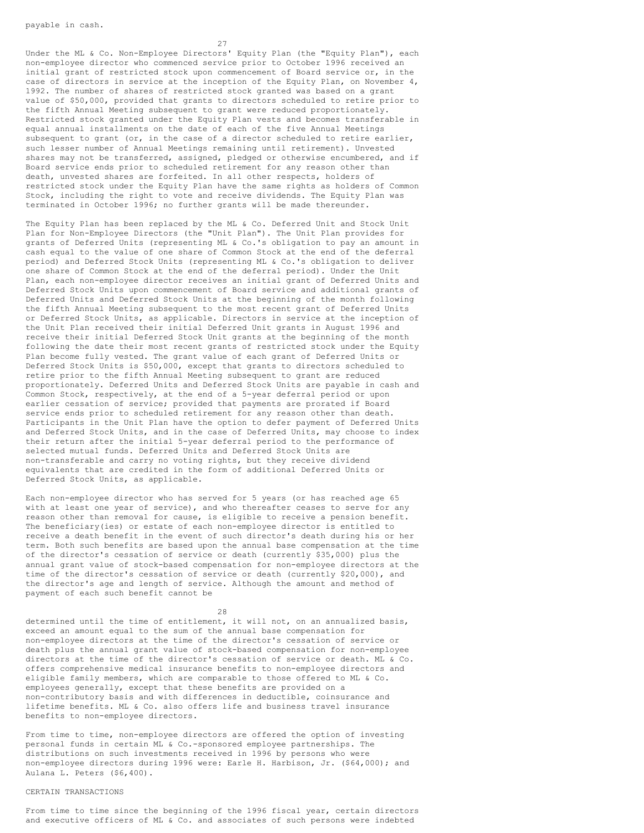27

Under the ML & Co. Non-Employee Directors' Equity Plan (the "Equity Plan"), each non-employee director who commenced service prior to October 1996 received an initial grant of restricted stock upon commencement of Board service or, in the case of directors in service at the inception of the Equity Plan, on November 4, 1992. The number of shares of restricted stock granted was based on a grant value of \$50,000, provided that grants to directors scheduled to retire prior to the fifth Annual Meeting subsequent to grant were reduced proportionately. Restricted stock granted under the Equity Plan vests and becomes transferable in equal annual installments on the date of each of the five Annual Meetings subsequent to grant (or, in the case of a director scheduled to retire earlier, such lesser number of Annual Meetings remaining until retirement). Unvested shares may not be transferred, assigned, pledged or otherwise encumbered, and if Board service ends prior to scheduled retirement for any reason other than death, unvested shares are forfeited. In all other respects, holders of restricted stock under the Equity Plan have the same rights as holders of Common Stock, including the right to vote and receive dividends. The Equity Plan was terminated in October 1996; no further grants will be made thereunder.

The Equity Plan has been replaced by the ML & Co. Deferred Unit and Stock Unit Plan for Non-Employee Directors (the "Unit Plan"). The Unit Plan provides for grants of Deferred Units (representing ML & Co.'s obligation to pay an amount in cash equal to the value of one share of Common Stock at the end of the deferral period) and Deferred Stock Units (representing ML & Co.'s obligation to deliver one share of Common Stock at the end of the deferral period). Under the Unit Plan, each non-employee director receives an initial grant of Deferred Units and Deferred Stock Units upon commencement of Board service and additional grants of Deferred Units and Deferred Stock Units at the beginning of the month following the fifth Annual Meeting subsequent to the most recent grant of Deferred Units or Deferred Stock Units, as applicable. Directors in service at the inception of the Unit Plan received their initial Deferred Unit grants in August 1996 and receive their initial Deferred Stock Unit grants at the beginning of the month following the date their most recent grants of restricted stock under the Equity Plan become fully vested. The grant value of each grant of Deferred Units or Deferred Stock Units is \$50,000, except that grants to directors scheduled to retire prior to the fifth Annual Meeting subsequent to grant are reduced proportionately. Deferred Units and Deferred Stock Units are payable in cash and Common Stock, respectively, at the end of a 5-year deferral period or upon earlier cessation of service; provided that payments are prorated if Board service ends prior to scheduled retirement for any reason other than death. Participants in the Unit Plan have the option to defer payment of Deferred Units and Deferred Stock Units, and in the case of Deferred Units, may choose to index their return after the initial 5-year deferral period to the performance of selected mutual funds. Deferred Units and Deferred Stock Units are non-transferable and carry no voting rights, but they receive dividend equivalents that are credited in the form of additional Deferred Units or Deferred Stock Units, as applicable.

Each non-employee director who has served for 5 years (or has reached age 65 with at least one year of service), and who thereafter ceases to serve for any reason other than removal for cause, is eligible to receive a pension benefit. The beneficiary(ies) or estate of each non-employee director is entitled to receive a death benefit in the event of such director's death during his or her term. Both such benefits are based upon the annual base compensation at the time of the director's cessation of service or death (currently \$35,000) plus the annual grant value of stock-based compensation for non-employee directors at the time of the director's cessation of service or death (currently \$20,000), and the director's age and length of service. Although the amount and method of payment of each such benefit cannot be

28

determined until the time of entitlement, it will not, on an annualized basis, exceed an amount equal to the sum of the annual base compensation for non-employee directors at the time of the director's cessation of service or death plus the annual grant value of stock-based compensation for non-employee directors at the time of the director's cessation of service or death. ML & Co. offers comprehensive medical insurance benefits to non-employee directors and eligible family members, which are comparable to those offered to ML & Co. employees generally, except that these benefits are provided on a non-contributory basis and with differences in deductible, coinsurance and lifetime benefits. ML & Co. also offers life and business travel insurance benefits to non-employee directors.

From time to time, non-employee directors are offered the option of investing personal funds in certain ML & Co.-sponsored employee partnerships. The distributions on such investments received in 1996 by persons who were non-employee directors during 1996 were: Earle H. Harbison, Jr. (\$64,000); and Aulana L. Peters (\$6,400).

### CERTAIN TRANSACTIONS

From time to time since the beginning of the 1996 fiscal year, certain directors and executive officers of ML & Co. and associates of such persons were indebted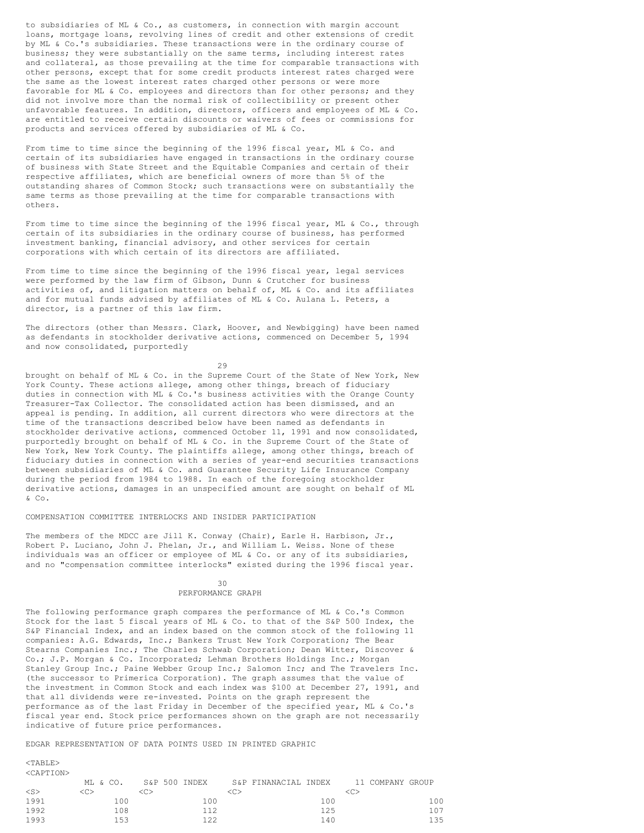to subsidiaries of ML & Co., as customers, in connection with margin account loans, mortgage loans, revolving lines of credit and other extensions of credit by ML & Co.'s subsidiaries. These transactions were in the ordinary course of business; they were substantially on the same terms, including interest rates and collateral, as those prevailing at the time for comparable transactions with other persons, except that for some credit products interest rates charged were the same as the lowest interest rates charged other persons or were more favorable for ML & Co. employees and directors than for other persons; and they did not involve more than the normal risk of collectibility or present other unfavorable features. In addition, directors, officers and employees of ML & Co. are entitled to receive certain discounts or waivers of fees or commissions for products and services offered by subsidiaries of ML & Co.

From time to time since the beginning of the 1996 fiscal year, ML & Co. and certain of its subsidiaries have engaged in transactions in the ordinary course of business with State Street and the Equitable Companies and certain of their respective affiliates, which are beneficial owners of more than 5% of the outstanding shares of Common Stock; such transactions were on substantially the same terms as those prevailing at the time for comparable transactions with others.

From time to time since the beginning of the 1996 fiscal year, ML & Co., through certain of its subsidiaries in the ordinary course of business, has performed investment banking, financial advisory, and other services for certain corporations with which certain of its directors are affiliated.

From time to time since the beginning of the 1996 fiscal year, legal services were performed by the law firm of Gibson, Dunn & Crutcher for business activities of, and litigation matters on behalf of, ML & Co. and its affiliates and for mutual funds advised by affiliates of ML & Co. Aulana L. Peters, a director, is a partner of this law firm.

The directors (other than Messrs. Clark, Hoover, and Newbigging) have been named as defendants in stockholder derivative actions, commenced on December 5, 1994 and now consolidated, purportedly

29

brought on behalf of ML & Co. in the Supreme Court of the State of New York, New York County. These actions allege, among other things, breach of fiduciary duties in connection with ML & Co.'s business activities with the Orange County Treasurer-Tax Collector. The consolidated action has been dismissed, and an appeal is pending. In addition, all current directors who were directors at the time of the transactions described below have been named as defendants in stockholder derivative actions, commenced October 11, 1991 and now consolidated, purportedly brought on behalf of ML & Co. in the Supreme Court of the State of New York, New York County. The plaintiffs allege, among other things, breach of fiduciary duties in connection with a series of year-end securities transactions between subsidiaries of ML & Co. and Guarantee Security Life Insurance Company during the period from 1984 to 1988. In each of the foregoing stockholder derivative actions, damages in an unspecified amount are sought on behalf of ML  $&$  Co.

### COMPENSATION COMMITTEE INTERLOCKS AND INSIDER PARTICIPATION

The members of the MDCC are Jill K. Conway (Chair), Earle H. Harbison, Jr., Robert P. Luciano, John J. Phelan, Jr., and William L. Weiss. None of these individuals was an officer or employee of ML & Co. or any of its subsidiaries, and no "compensation committee interlocks" existed during the 1996 fiscal year.

### 30 PERFORMANCE GRAPH

The following performance graph compares the performance of ML & Co.'s Common Stock for the last 5 fiscal years of ML & Co. to that of the S&P 500 Index, the S&P Financial Index, and an index based on the common stock of the following 11 companies: A.G. Edwards, Inc.; Bankers Trust New York Corporation; The Bear Stearns Companies Inc.; The Charles Schwab Corporation; Dean Witter, Discover & Co.; J.P. Morgan & Co. Incorporated; Lehman Brothers Holdings Inc.; Morgan Stanley Group Inc.; Paine Webber Group Inc.; Salomon Inc; and The Travelers Inc. (the successor to Primerica Corporation). The graph assumes that the value of the investment in Common Stock and each index was \$100 at December 27, 1991, and that all dividends were re-invested. Points on the graph represent the performance as of the last Friday in December of the specified year, ML & Co.'s fiscal year end. Stock price performances shown on the graph are not necessarily indicative of future price performances.

## EDGAR REPRESENTATION OF DATA POINTS USED IN PRINTED GRAPHIC

#### <TABLE> <CAPTION>

|        | ML & CO. | S&P 500 INDEX |     | S&P FINANACIAL INDEX |     | 11 COMPANY GROUP |     |
|--------|----------|---------------|-----|----------------------|-----|------------------|-----|
| $<$ S> | <c></c>  |               |     | いつ                   |     |                  |     |
| 1991   | $100 -$  |               | 100 |                      | 100 |                  | 100 |
| 1992   | 108      |               | 112 |                      | 125 |                  | 107 |
| 1993   | 153      |               | 122 |                      | 140 |                  | 135 |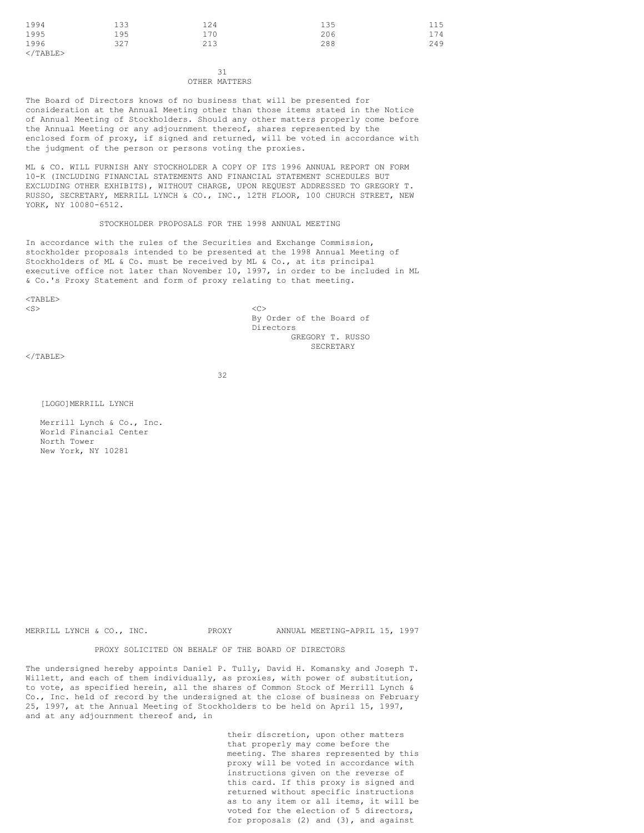| 1994              | 133 | 124 | 135 | 115 |
|-------------------|-----|-----|-----|-----|
| 1995              | 195 | 170 | 206 | 174 |
| 1996              | 327 | 213 | 288 | 249 |
| $\langle$ /TABLE> |     |     |     |     |

31 OTHER MATTERS

The Board of Directors knows of no business that will be presented for consideration at the Annual Meeting other than those items stated in the Notice of Annual Meeting of Stockholders. Should any other matters properly come before the Annual Meeting or any adjournment thereof, shares represented by the enclosed form of proxy, if signed and returned, will be voted in accordance with the judgment of the person or persons voting the proxies.

ML & CO. WILL FURNISH ANY STOCKHOLDER A COPY OF ITS 1996 ANNUAL REPORT ON FORM 10-K (INCLUDING FINANCIAL STATEMENTS AND FINANCIAL STATEMENT SCHEDULES BUT EXCLUDING OTHER EXHIBITS), WITHOUT CHARGE, UPON REQUEST ADDRESSED TO GREGORY T. RUSSO, SECRETARY, MERRILL LYNCH & CO., INC., 12TH FLOOR, 100 CHURCH STREET, NEW YORK, NY 10080-6512.

### STOCKHOLDER PROPOSALS FOR THE 1998 ANNUAL MEETING

In accordance with the rules of the Securities and Exchange Commission, stockholder proposals intended to be presented at the 1998 Annual Meeting of Stockholders of ML & Co. must be received by ML & Co., at its principal executive office not later than November 10, 1997, in order to be included in ML & Co.'s Proxy Statement and form of proxy relating to that meeting.

 $<$ TABLE>  $\langle$ S>  $\langle$ C>

By Order of the Board of Directors GREGORY T. RUSSO **SECRETARY** 

 $\langle$ /TABLE>

32

[LOGO]MERRILL LYNCH

Merrill Lynch & Co., Inc. World Financial Center North Tower New York, NY 10281

MERRILL LYNCH & CO., INC. PROXY ANNUAL MEETING-APRIL 15, 1997

PROXY SOLICITED ON BEHALF OF THE BOARD OF DIRECTORS

The undersigned hereby appoints Daniel P. Tully, David H. Komansky and Joseph T. Willett, and each of them individually, as proxies, with power of substitution, to vote, as specified herein, all the shares of Common Stock of Merrill Lynch & Co., Inc. held of record by the undersigned at the close of business on February 25, 1997, at the Annual Meeting of Stockholders to be held on April 15, 1997, and at any adjournment thereof and, in

> their discretion, upon other matters that properly may come before the meeting. The shares represented by this proxy will be voted in accordance with instructions given on the reverse of this card. If this proxy is signed and returned without specific instructions as to any item or all items, it will be voted for the election of 5 directors, for proposals (2) and (3), and against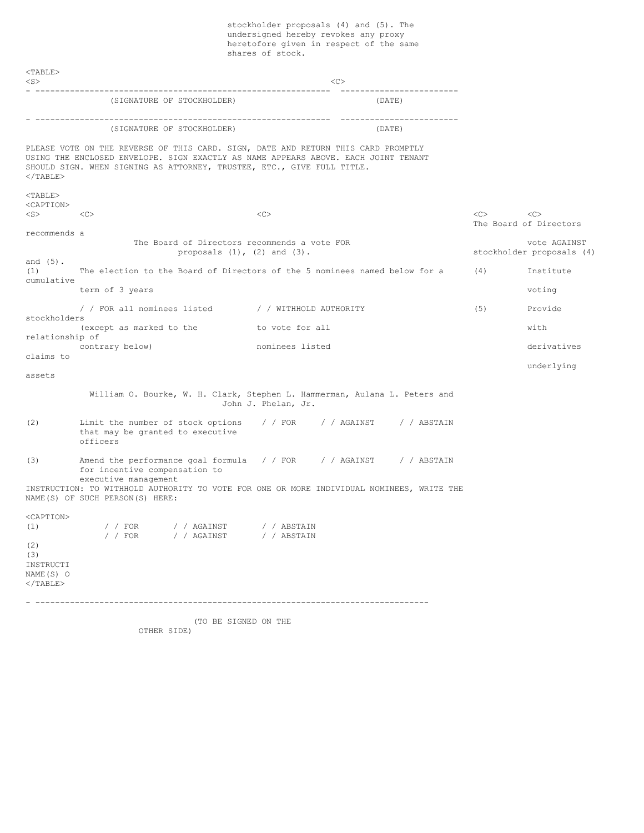stockholder proposals (4) and (5). The undersigned hereby revokes any proxy heretofore given in respect of the same shares of stock.

<TABLE>  $\langle$ S>  $\langle$ C> - ------------------------------------------------------------ ------------------------ (SIGNATURE OF STOCKHOLDER) (DATE) - ------------------------------------------------------------ ------------------------ (SIGNATURE OF STOCKHOLDER) (DATE) PLEASE VOTE ON THE REVERSE OF THIS CARD. SIGN, DATE AND RETURN THIS CARD PROMPTLY USING THE ENCLOSED ENVELOPE. SIGN EXACTLY AS NAME APPEARS ABOVE. EACH JOINT TENANT SHOULD SIGN. WHEN SIGNING AS ATTORNEY, TRUSTEE, ETC., GIVE FULL TITLE.  $<$ /TABLE $>$  $<$ TABLE $>$ <CAPTION> <S> <C> <C> <C> <C> The Board of Directors recommends a The Board of Directors recommends a vote FOR vote AGAINST proposals (1), (2) and (3). Stockholder proposals (4) and (5). (1) The election to the Board of Directors of the 5 nominees named below for a (4) Institute cumulative term of 3 years voting that the set of the set of the set of the set of the set of the set of the set of the set of the set of the set of the set of the set of the set of the set of the set of the set of the set of the set / / FOR all nominees listed / / WITHHOLD AUTHORITY (5) Provide stockholders (except as marked to the to vote for all with relationship of contrary below) contrary below) contrary below) contrary below) contrary below) contrary derivatives claims to underlying assets William O. Bourke, W. H. Clark, Stephen L. Hammerman, Aulana L. Peters and John J. Phelan, Jr. (2) Limit the number of stock options / / FOR / / AGAINST / / ABSTAIN that may be granted to executive officers (3) Amend the performance goal formula / / FOR / / AGAINST / / ABSTAIN for incentive compensation to executive management INSTRUCTION: TO WITHHOLD AUTHORITY TO VOTE FOR ONE OR MORE INDIVIDUAL NOMINEES, WRITE THE NAME(S) OF SUCH PERSON(S) HERE: <CAPTION> (1) / / FOR / / AGAINST / / ABSTAIN / / FOR / / AGAINST / / ABSTAIN (2) (3) INSTRUCTI NAME(S) O  $<$ /TABLE $>$ - -------------------------------------------------------------------------------- (TO BE SIGNED ON THE OTHER SIDE)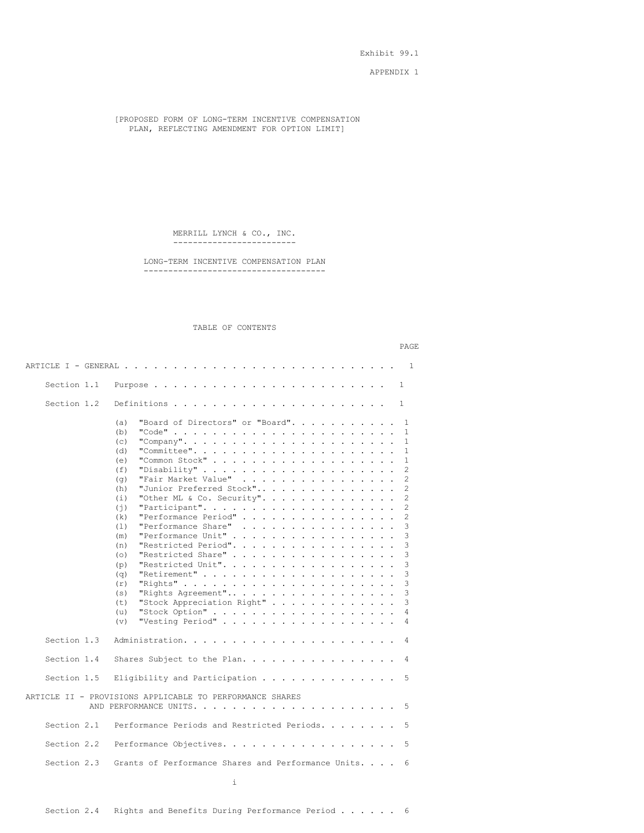Exhibit 99.1

APPENDIX 1

[PROPOSED FORM OF LONG-TERM INCENTIVE COMPENSATION PLAN, REFLECTING AMENDMENT FOR OPTION LIMIT]

> MERRILL LYNCH & CO., INC. -------------------------

LONG-TERM INCENTIVE COMPENSATION PLAN -------------------------------------

### TABLE OF CONTENTS

|             | PAGE                                                                                                                                                                                                                                                                                                                                                                                                                                                                                                                                                                                                                                                                                                                                                                                                                                                                                                                                                                                                                                                                                                                                                                                                                                                                                                                     |
|-------------|--------------------------------------------------------------------------------------------------------------------------------------------------------------------------------------------------------------------------------------------------------------------------------------------------------------------------------------------------------------------------------------------------------------------------------------------------------------------------------------------------------------------------------------------------------------------------------------------------------------------------------------------------------------------------------------------------------------------------------------------------------------------------------------------------------------------------------------------------------------------------------------------------------------------------------------------------------------------------------------------------------------------------------------------------------------------------------------------------------------------------------------------------------------------------------------------------------------------------------------------------------------------------------------------------------------------------|
|             | ARTICLE I - GENERAL<br>1<br>. The contract of the contract of the contract of the contract of the contract of the contract of the contract of the contract of the contract of the contract of the contract of the contract of the contract of the contrac                                                                                                                                                                                                                                                                                                                                                                                                                                                                                                                                                                                                                                                                                                                                                                                                                                                                                                                                                                                                                                                                |
| Section 1.1 | 1                                                                                                                                                                                                                                                                                                                                                                                                                                                                                                                                                                                                                                                                                                                                                                                                                                                                                                                                                                                                                                                                                                                                                                                                                                                                                                                        |
| Section 1.2 | 1                                                                                                                                                                                                                                                                                                                                                                                                                                                                                                                                                                                                                                                                                                                                                                                                                                                                                                                                                                                                                                                                                                                                                                                                                                                                                                                        |
|             | "Board of Directors" or "Board".<br>(a)<br>1<br>$\mathbf{1}$<br>(b)<br>"Company".<br>1<br>(c)<br>(d)<br>"Committee".<br>1<br>"Common Stock"<br>1<br>(e)<br>.<br>"Disability"<br>2<br>(f)<br>$\ddot{\phantom{0}}$<br>"Fair Market Value"<br>$\overline{c}$<br>(q)<br>$\mathbf{r}$ and $\mathbf{r}$ and $\mathbf{r}$ and $\mathbf{r}$<br>$\overline{c}$<br>"Junior Preferred Stock"<br>(h)<br>"Other ML & Co. Security".<br>2<br>(i)<br>$\overline{c}$<br>"Participant".<br>(†)<br>$\sim$ $\sim$<br>$\sim$<br>"Performance Period"<br>2<br>(k)<br>"Performance Share"<br>3<br>(1)<br>$\mathbf{r}$ . The set of the set of the set of the set of the set of the set of the set of the set of the set of the set of the set of the set of the set of the set of the set of the set of the set of the set of the set of t<br>"Performance Unit"<br>3<br>(m)<br>"Restricted Period".<br>3<br>(n)<br>$\mathbf{r}$ . The set of the set of $\mathbf{r}$<br>"Restricted Share"<br>3<br>(0)<br>3<br>"Restricted Unit".<br>(p)<br>$\mathbf{r}$<br>$\overline{a}$<br>$\ddot{\phantom{a}}$<br>$\ddot{\phantom{a}}$<br>$\ddot{\phantom{a}}$<br>3<br>"Retirement"<br>(q)<br>3<br>"Rights"<br>(r)<br>$\sim$ $\sim$ $\sim$<br>3<br>(s)<br>"Rights Agreement"<br>3<br>(t)<br>"Stock Appreciation Right"<br>"Stock Option"<br>4<br>(u)<br>4 |
|             | "Vesting Period"<br>(v)                                                                                                                                                                                                                                                                                                                                                                                                                                                                                                                                                                                                                                                                                                                                                                                                                                                                                                                                                                                                                                                                                                                                                                                                                                                                                                  |
| Section 1.3 | 4                                                                                                                                                                                                                                                                                                                                                                                                                                                                                                                                                                                                                                                                                                                                                                                                                                                                                                                                                                                                                                                                                                                                                                                                                                                                                                                        |
| Section 1.4 | Shares Subject to the Plan.<br>4                                                                                                                                                                                                                                                                                                                                                                                                                                                                                                                                                                                                                                                                                                                                                                                                                                                                                                                                                                                                                                                                                                                                                                                                                                                                                         |
| Section 1.5 | Eligibility and Participation<br>5                                                                                                                                                                                                                                                                                                                                                                                                                                                                                                                                                                                                                                                                                                                                                                                                                                                                                                                                                                                                                                                                                                                                                                                                                                                                                       |
|             | ARTICLE II - PROVISIONS APPLICABLE TO PERFORMANCE SHARES<br>5                                                                                                                                                                                                                                                                                                                                                                                                                                                                                                                                                                                                                                                                                                                                                                                                                                                                                                                                                                                                                                                                                                                                                                                                                                                            |
| Section 2.1 | Performance Periods and Restricted Periods.<br>5                                                                                                                                                                                                                                                                                                                                                                                                                                                                                                                                                                                                                                                                                                                                                                                                                                                                                                                                                                                                                                                                                                                                                                                                                                                                         |
| Section 2.2 | 5                                                                                                                                                                                                                                                                                                                                                                                                                                                                                                                                                                                                                                                                                                                                                                                                                                                                                                                                                                                                                                                                                                                                                                                                                                                                                                                        |
| Section 2.3 | Grants of Performance Shares and Performance Units.<br>6                                                                                                                                                                                                                                                                                                                                                                                                                                                                                                                                                                                                                                                                                                                                                                                                                                                                                                                                                                                                                                                                                                                                                                                                                                                                 |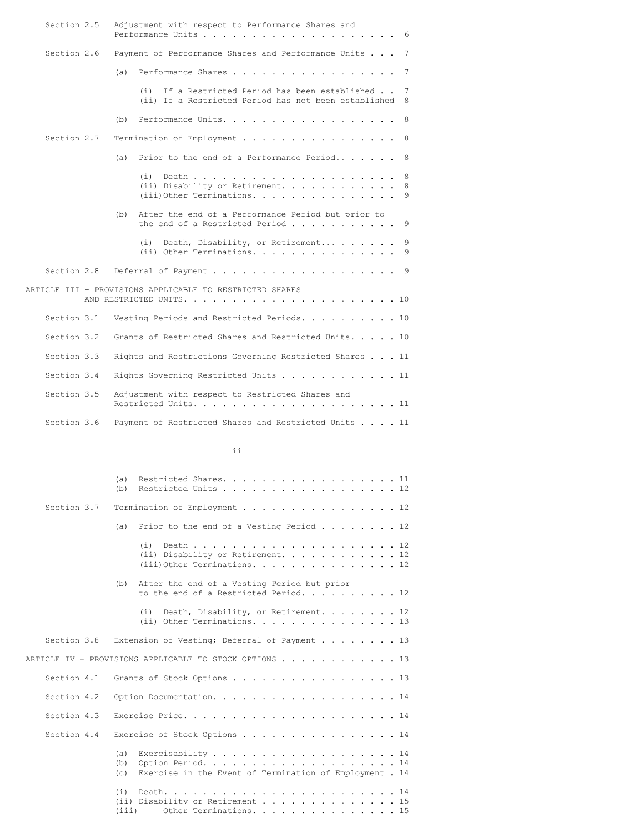| Section 2.5 | Adjustment with respect to Performance Shares and<br>Performance Units<br>6                                          |
|-------------|----------------------------------------------------------------------------------------------------------------------|
| Section 2.6 | Payment of Performance Shares and Performance Units<br>$\overline{7}$                                                |
|             | (a)<br>Performance Shares<br>7                                                                                       |
|             | If a Restricted Period has been established<br>(i)<br>7<br>(ii) If a Restricted Period has not been established<br>8 |
|             | Performance Units.<br>(b)<br>- 8                                                                                     |
| Section 2.7 | Termination of Employment<br>8 <sup>8</sup>                                                                          |
|             | Prior to the end of a Performance Period<br>8<br>(a)                                                                 |
|             | 8<br>(i)<br>(ii) Disability or Retirement.<br>8<br>$(iii)$ Other Terminations.<br>9                                  |
|             | After the end of a Performance Period but prior to<br>(b)<br>the end of a Restricted Period<br>9                     |
|             | 9<br>(i)<br>Death, Disability, or Retirement<br>$(i)$ Other Terminations.<br>9                                       |
| Section 2.8 | Deferral of Payment 9                                                                                                |
|             | ARTICLE III - PROVISIONS APPLICABLE TO RESTRICTED SHARES                                                             |
| Section 3.1 | Vesting Periods and Restricted Periods. 10                                                                           |
| Section 3.2 | Grants of Restricted Shares and Restricted Units. 10                                                                 |
| Section 3.3 | Rights and Restrictions Governing Restricted Shares 11                                                               |
| Section 3.4 | Rights Governing Restricted Units 11                                                                                 |
| Section 3.5 | Adjustment with respect to Restricted Shares and<br>Restricted Units.<br>. 11                                        |
| Section 3.6 | Payment of Restricted Shares and Restricted Units 11                                                                 |

# ii

|             | Restricted Shares. 11<br>(a)<br>Restricted Units 12<br>(b)                                        |
|-------------|---------------------------------------------------------------------------------------------------|
| Section 3.7 | Termination of Employment 12                                                                      |
|             | Prior to the end of a Vesting Period $\ldots$ 12<br>(a)                                           |
|             | (i)<br>(ii) Disability or Retirement. 12<br>$(iii)$ Other Terminations. 12                        |
|             | After the end of a Vesting Period but prior<br>(b)<br>to the end of a Restricted Period. 12       |
|             | Death, Disability, or Retirement. 12<br>(i)<br>(ii) Other Terminations. 13                        |
| Section 3.8 | Extension of Vesting; Deferral of Payment $\ldots$ 13                                             |
|             | ARTICLE IV - PROVISIONS APPLICABLE TO STOCK OPTIONS $\ldots$ 13                                   |
| Section 4.1 | Grants of Stock Options 13                                                                        |
| Section 4.2 | Option Documentation. 14                                                                          |
| Section 4.3 |                                                                                                   |
| Section 4.4 | Exercise of Stock Options 14                                                                      |
|             | (a)<br>Exercisability 14<br>(b)<br>Exercise in the Event of Termination of Employment . 14<br>(c) |
|             | (i)<br>(ii) Disability or Retirement 15<br>(iii)<br>Other Terminations. 15                        |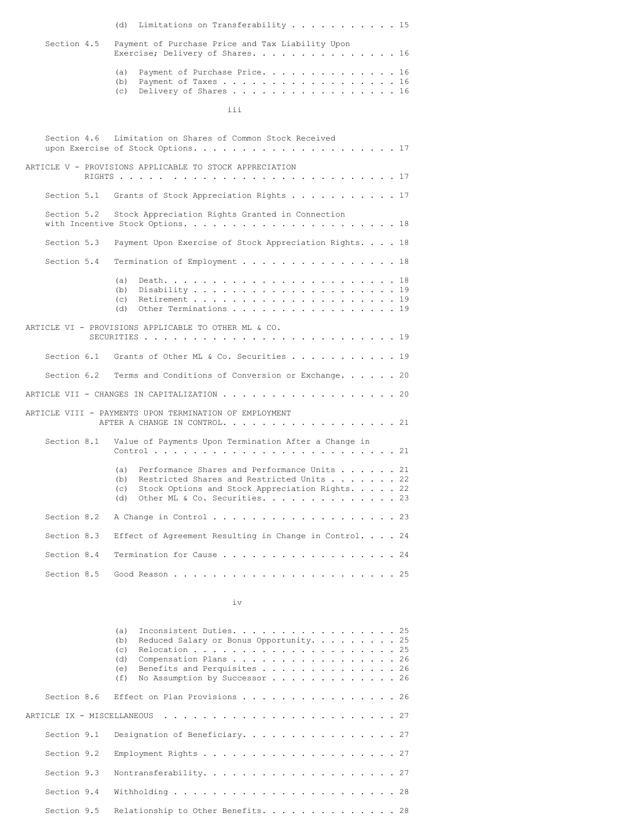|             | (d) Limitations on Transferability 15                                                                                                                                                                 |  |
|-------------|-------------------------------------------------------------------------------------------------------------------------------------------------------------------------------------------------------|--|
| Section 4.5 | Payment of Purchase Price and Tax Liability Upon<br>Exercise; Delivery of Shares. 16                                                                                                                  |  |
|             | Payment of Purchase Price. 16<br>(a)<br>(b)<br>Payment of Taxes 16<br>Delivery of Shares 16<br>(c)                                                                                                    |  |
|             | iii                                                                                                                                                                                                   |  |
|             | Section 4.6 Limitation on Shares of Common Stock Received                                                                                                                                             |  |
|             | ARTICLE V - PROVISIONS APPLICABLE TO STOCK APPRECIATION                                                                                                                                               |  |
|             | Section 5.1 Grants of Stock Appreciation Rights 17                                                                                                                                                    |  |
| Section 5.2 | Stock Appreciation Rights Granted in Connection                                                                                                                                                       |  |
| Section 5.3 | Payment Upon Exercise of Stock Appreciation Rights. 18                                                                                                                                                |  |
| Section 5.4 | Termination of Employment 18                                                                                                                                                                          |  |
|             | (a)<br>(b)<br>(c)<br>Other Terminations 19<br>(d)                                                                                                                                                     |  |
|             | ARTICLE VI - PROVISIONS APPLICABLE TO OTHER ML & CO.                                                                                                                                                  |  |
|             | Section 6.1 Grants of Other ML & Co. Securities 19                                                                                                                                                    |  |
|             | Section 6.2 Terms and Conditions of Conversion or Exchange. 20                                                                                                                                        |  |
|             | ARTICLE VII - CHANGES IN CAPITALIZATION $\ldots$ 20                                                                                                                                                   |  |
|             | ARTICLE VIII - PAYMENTS UPON TERMINATION OF EMPLOYMENT<br>AFTER A CHANGE IN CONTROL. 21                                                                                                               |  |
| Section 8.1 | Value of Payments Upon Termination After a Change in                                                                                                                                                  |  |
|             | Performance Shares and Performance Units 21<br>(a)<br>Restricted Shares and Restricted Units 22<br>(b)<br>(c) Stock Options and Stock Appreciation Rights. 22<br>Other ML & Co. Securities. 23<br>(d) |  |
| Section 8.2 | A Change in Control 23                                                                                                                                                                                |  |
| Section 8.3 | Effect of Agreement Resulting in Change in Control. 24                                                                                                                                                |  |
| Section 8.4 | Termination for Cause 24                                                                                                                                                                              |  |
| Section 8.5 |                                                                                                                                                                                                       |  |
|             |                                                                                                                                                                                                       |  |

iv

| Inconsistent Duties. 25<br>(a)<br>Reduced Salary or Bonus Opportunity. 25<br>(b)<br>(C)<br>Compensation Plans 26<br>(d)<br>Benefits and Perquisites 26<br>(e) |
|---------------------------------------------------------------------------------------------------------------------------------------------------------------|
| No Assumption by Successor $\ldots$ 26<br>(f)                                                                                                                 |
| Section 8.6 Effect on Plan Provisions 26                                                                                                                      |
|                                                                                                                                                               |
| Section 9.1 Designation of Beneficiary. 27                                                                                                                    |
|                                                                                                                                                               |
|                                                                                                                                                               |
|                                                                                                                                                               |
| Section 9.5 Relationship to Other Benefits. 28                                                                                                                |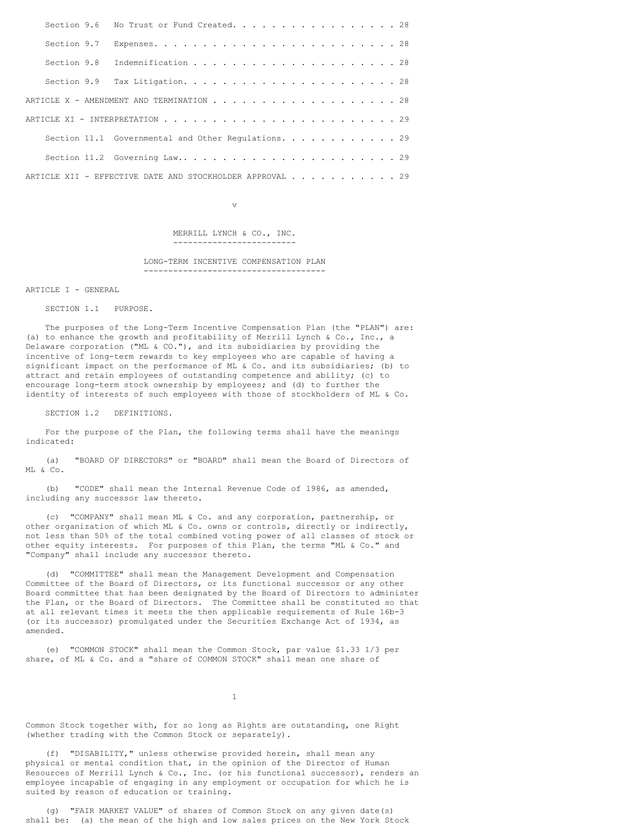| Section 9.6 No Trust or Fund Created. 28                 |  |  |  |  |  |  |  |  |  |  |  |  |  |
|----------------------------------------------------------|--|--|--|--|--|--|--|--|--|--|--|--|--|
|                                                          |  |  |  |  |  |  |  |  |  |  |  |  |  |
|                                                          |  |  |  |  |  |  |  |  |  |  |  |  |  |
|                                                          |  |  |  |  |  |  |  |  |  |  |  |  |  |
|                                                          |  |  |  |  |  |  |  |  |  |  |  |  |  |
|                                                          |  |  |  |  |  |  |  |  |  |  |  |  |  |
| Section 11.1 Governmental and Other Regulations. 29      |  |  |  |  |  |  |  |  |  |  |  |  |  |
|                                                          |  |  |  |  |  |  |  |  |  |  |  |  |  |
| ARTICLE XII - EFFECTIVE DATE AND STOCKHOLDER APPROVAL 29 |  |  |  |  |  |  |  |  |  |  |  |  |  |

v

MERRILL LYNCH & CO., INC. -------------------------

LONG-TERM INCENTIVE COMPENSATION PLAN -------------------------------------

ARTICLE I - GENERAL

SECTION 1.1 PURPOSE.

The purposes of the Long-Term Incentive Compensation Plan (the "PLAN") are: (a) to enhance the growth and profitability of Merrill Lynch & Co., Inc., a Delaware corporation ("ML & CO."), and its subsidiaries by providing the incentive of long-term rewards to key employees who are capable of having a significant impact on the performance of ML & Co. and its subsidiaries; (b) to attract and retain employees of outstanding competence and ability; (c) to encourage long-term stock ownership by employees; and (d) to further the identity of interests of such employees with those of stockholders of ML & Co.

SECTION 1.2 DEFINITIONS.

For the purpose of the Plan, the following terms shall have the meanings indicated:

(a) "BOARD OF DIRECTORS" or "BOARD" shall mean the Board of Directors of ML & Co.

(b) "CODE" shall mean the Internal Revenue Code of l986, as amended, including any successor law thereto.

(c) "COMPANY" shall mean ML & Co. and any corporation, partnership, or other organization of which ML & Co. owns or controls, directly or indirectly, not less than 50% of the total combined voting power of all classes of stock or other equity interests. For purposes of this Plan, the terms "ML & Co." and "Company" shall include any successor thereto.

(d) "COMMITTEE" shall mean the Management Development and Compensation Committee of the Board of Directors, or its functional successor or any other Board committee that has been designated by the Board of Directors to administer the Plan, or the Board of Directors. The Committee shall be constituted so that at all relevant times it meets the then applicable requirements of Rule 16b-3 (or its successor) promulgated under the Securities Exchange Act of 1934, as amended.

(e) "COMMON STOCK" shall mean the Common Stock, par value \$1.33 1/3 per share, of ML & Co. and a "share of COMMON STOCK" shall mean one share of

1

Common Stock together with, for so long as Rights are outstanding, one Right (whether trading with the Common Stock or separately).

(f) "DISABILITY," unless otherwise provided herein, shall mean any physical or mental condition that, in the opinion of the Director of Human Resources of Merrill Lynch & Co., Inc. (or his functional successor), renders an employee incapable of engaging in any employment or occupation for which he is suited by reason of education or training.

(g) "FAIR MARKET VALUE" of shares of Common Stock on any given date(s) shall be: (a) the mean of the high and low sales prices on the New York Stock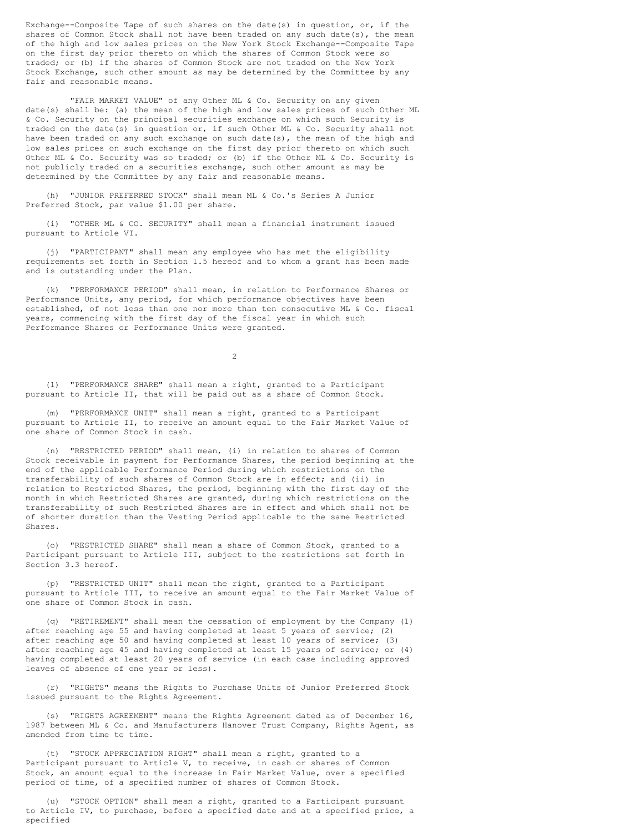Exchange--Composite Tape of such shares on the date(s) in question, or, if the shares of Common Stock shall not have been traded on any such date(s), the mean of the high and low sales prices on the New York Stock Exchange--Composite Tape on the first day prior thereto on which the shares of Common Stock were so traded; or (b) if the shares of Common Stock are not traded on the New York Stock Exchange, such other amount as may be determined by the Committee by any fair and reasonable means.

"FAIR MARKET VALUE" of any Other ML & Co. Security on any given date(s) shall be: (a) the mean of the high and low sales prices of such Other ML & Co. Security on the principal securities exchange on which such Security is traded on the date(s) in question or, if such Other ML & Co. Security shall not have been traded on any such exchange on such date(s), the mean of the high and low sales prices on such exchange on the first day prior thereto on which such Other ML & Co. Security was so traded; or (b) if the Other ML & Co. Security is not publicly traded on a securities exchange, such other amount as may be determined by the Committee by any fair and reasonable means.

(h) "JUNIOR PREFERRED STOCK" shall mean ML & Co.'s Series A Junior Preferred Stock, par value \$1.00 per share.

(i) "OTHER ML & CO. SECURITY" shall mean a financial instrument issued pursuant to Article VI.

(j) "PARTICIPANT" shall mean any employee who has met the eligibility requirements set forth in Section 1.5 hereof and to whom a grant has been made and is outstanding under the Plan.

(k) "PERFORMANCE PERIOD" shall mean, in relation to Performance Shares or Performance Units, any period, for which performance objectives have been established, of not less than one nor more than ten consecutive ML & Co. fiscal years, commencing with the first day of the fiscal year in which such Performance Shares or Performance Units were granted.

 $\mathfrak{D}$ 

(l) "PERFORMANCE SHARE" shall mean a right, granted to a Participant pursuant to Article II, that will be paid out as a share of Common Stock.

(m) "PERFORMANCE UNIT" shall mean a right, granted to a Participant pursuant to Article II, to receive an amount equal to the Fair Market Value of one share of Common Stock in cash.

(n) "RESTRICTED PERIOD" shall mean, (i) in relation to shares of Common Stock receivable in payment for Performance Shares, the period beginning at the end of the applicable Performance Period during which restrictions on the transferability of such shares of Common Stock are in effect; and (ii) in relation to Restricted Shares, the period, beginning with the first day of the month in which Restricted Shares are granted, during which restrictions on the transferability of such Restricted Shares are in effect and which shall not be of shorter duration than the Vesting Period applicable to the same Restricted Shares.

(o) "RESTRICTED SHARE" shall mean a share of Common Stock, granted to a Participant pursuant to Article III, subject to the restrictions set forth in Section 3.3 hereof.

(p) "RESTRICTED UNIT" shall mean the right, granted to a Participant pursuant to Article III, to receive an amount equal to the Fair Market Value of one share of Common Stock in cash.

(q) "RETIREMENT" shall mean the cessation of employment by the Company (1) after reaching age 55 and having completed at least 5 years of service; (2) after reaching age 50 and having completed at least 10 years of service; (3) after reaching age 45 and having completed at least 15 years of service; or (4) having completed at least 20 years of service (in each case including approved leaves of absence of one year or less).

(r) "RIGHTS" means the Rights to Purchase Units of Junior Preferred Stock issued pursuant to the Rights Agreement.

(s) "RIGHTS AGREEMENT" means the Rights Agreement dated as of December 16, 1987 between ML & Co. and Manufacturers Hanover Trust Company, Rights Agent, as amended from time to time.

(t) "STOCK APPRECIATION RIGHT" shall mean a right, granted to a Participant pursuant to Article V, to receive, in cash or shares of Common Stock, an amount equal to the increase in Fair Market Value, over a specified period of time, of a specified number of shares of Common Stock.

(u) "STOCK OPTION" shall mean a right, granted to a Participant pursuant to Article IV, to purchase, before a specified date and at a specified price, a specified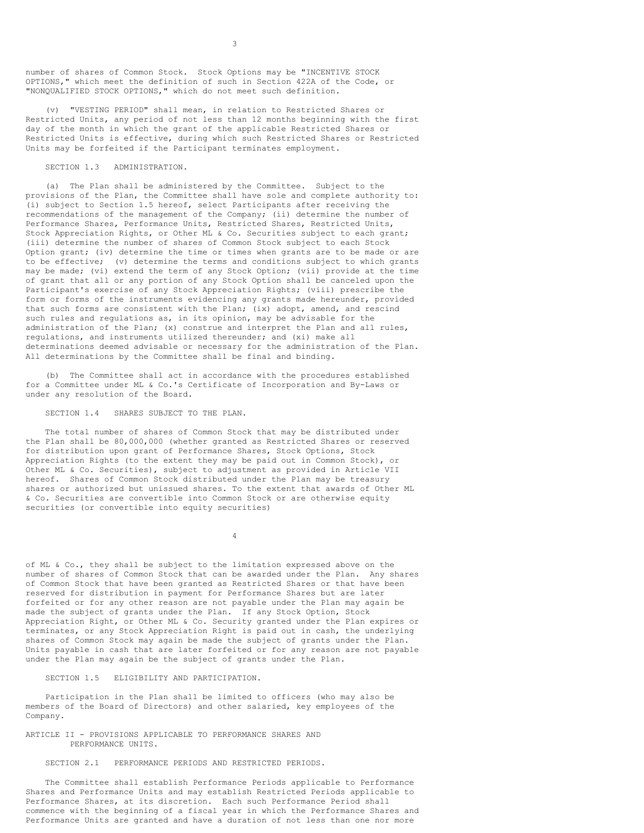number of shares of Common Stock. Stock Options may be "INCENTIVE STOCK OPTIONS," which meet the definition of such in Section 422A of the Code, or "NONQUALIFIED STOCK OPTIONS," which do not meet such definition.

(v) "VESTING PERIOD" shall mean, in relation to Restricted Shares or Restricted Units, any period of not less than 12 months beginning with the first day of the month in which the grant of the applicable Restricted Shares or Restricted Units is effective, during which such Restricted Shares or Restricted Units may be forfeited if the Participant terminates employment.

### SECTION 1.3 ADMINISTRATION.

(a) The Plan shall be administered by the Committee. Subject to the provisions of the Plan, the Committee shall have sole and complete authority to: (i) subject to Section 1.5 hereof, select Participants after receiving the recommendations of the management of the Company; (ii) determine the number of Performance Shares, Performance Units, Restricted Shares, Restricted Units, Stock Appreciation Rights, or Other ML & Co. Securities subject to each grant; (iii) determine the number of shares of Common Stock subject to each Stock Option grant; (iv) determine the time or times when grants are to be made or are to be effective; (v) determine the terms and conditions subject to which grants may be made; (vi) extend the term of any Stock Option; (vii) provide at the time of grant that all or any portion of any Stock Option shall be canceled upon the Participant's exercise of any Stock Appreciation Rights; (viii) prescribe the form or forms of the instruments evidencing any grants made hereunder, provided that such forms are consistent with the Plan; (ix) adopt, amend, and rescind such rules and regulations as, in its opinion, may be advisable for the administration of the Plan; (x) construe and interpret the Plan and all rules, regulations, and instruments utilized thereunder; and (xi) make all determinations deemed advisable or necessary for the administration of the Plan. All determinations by the Committee shall be final and binding.

(b) The Committee shall act in accordance with the procedures established for a Committee under ML & Co.'s Certificate of Incorporation and By-Laws or under any resolution of the Board.

#### SECTION 1.4 SHARES SUBJECT TO THE PLAN.

The total number of shares of Common Stock that may be distributed under the Plan shall be 80,000,000 (whether granted as Restricted Shares or reserved for distribution upon grant of Performance Shares, Stock Options, Stock Appreciation Rights (to the extent they may be paid out in Common Stock), or Other ML & Co. Securities), subject to adjustment as provided in Article VII hereof. Shares of Common Stock distributed under the Plan may be treasury shares or authorized but unissued shares. To the extent that awards of Other ML & Co. Securities are convertible into Common Stock or are otherwise equity securities (or convertible into equity securities)

4

of ML & Co., they shall be subject to the limitation expressed above on the number of shares of Common Stock that can be awarded under the Plan. Any shares of Common Stock that have been granted as Restricted Shares or that have been reserved for distribution in payment for Performance Shares but are later forfeited or for any other reason are not payable under the Plan may again be made the subject of grants under the Plan. If any Stock Option, Stock Appreciation Right, or Other ML & Co. Security granted under the Plan expires or terminates, or any Stock Appreciation Right is paid out in cash, the underlying shares of Common Stock may again be made the subject of grants under the Plan. Units payable in cash that are later forfeited or for any reason are not payable under the Plan may again be the subject of grants under the Plan.

### SECTION 1.5 ELIGIBILITY AND PARTICIPATION.

Participation in the Plan shall be limited to officers (who may also be members of the Board of Directors) and other salaried, key employees of the Company.

### ARTICLE II - PROVISIONS APPLICABLE TO PERFORMANCE SHARES AND PERFORMANCE UNITS.

### SECTION 2.1 PERFORMANCE PERIODS AND RESTRICTED PERIODS.

The Committee shall establish Performance Periods applicable to Performance Shares and Performance Units and may establish Restricted Periods applicable to Performance Shares, at its discretion. Each such Performance Period shall commence with the beginning of a fiscal year in which the Performance Shares and Performance Units are granted and have a duration of not less than one nor more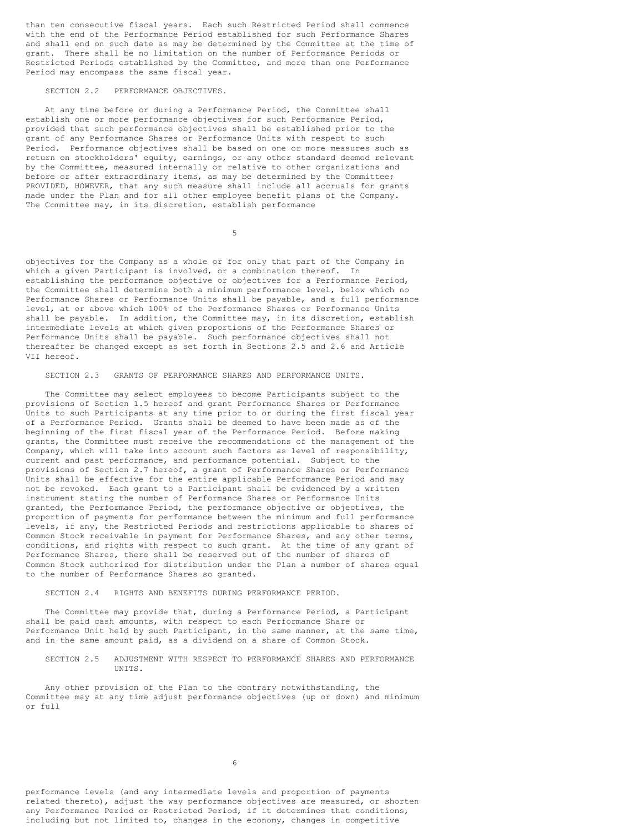than ten consecutive fiscal years. Each such Restricted Period shall commence with the end of the Performance Period established for such Performance Shares and shall end on such date as may be determined by the Committee at the time of grant. There shall be no limitation on the number of Performance Periods or Restricted Periods established by the Committee, and more than one Performance Period may encompass the same fiscal year.

### SECTION 2.2 PERFORMANCE OBJECTIVES.

At any time before or during a Performance Period, the Committee shall establish one or more performance objectives for such Performance Period, provided that such performance objectives shall be established prior to the grant of any Performance Shares or Performance Units with respect to such Period. Performance objectives shall be based on one or more measures such as return on stockholders' equity, earnings, or any other standard deemed relevant by the Committee, measured internally or relative to other organizations and before or after extraordinary items, as may be determined by the Committee; PROVIDED, HOWEVER, that any such measure shall include all accruals for grants made under the Plan and for all other employee benefit plans of the Company. The Committee may, in its discretion, establish performance

5

objectives for the Company as a whole or for only that part of the Company in which a given Participant is involved, or a combination thereof. In establishing the performance objective or objectives for a Performance Period, the Committee shall determine both a minimum performance level, below which no Performance Shares or Performance Units shall be payable, and a full performance level, at or above which 100% of the Performance Shares or Performance Units shall be payable. In addition, the Committee may, in its discretion, establish intermediate levels at which given proportions of the Performance Shares or Performance Units shall be payable. Such performance objectives shall not thereafter be changed except as set forth in Sections 2.5 and 2.6 and Article VII hereof.

### SECTION 2.3 GRANTS OF PERFORMANCE SHARES AND PERFORMANCE UNITS.

The Committee may select employees to become Participants subject to the provisions of Section 1.5 hereof and grant Performance Shares or Performance Units to such Participants at any time prior to or during the first fiscal year of a Performance Period. Grants shall be deemed to have been made as of the beginning of the first fiscal year of the Performance Period. Before making grants, the Committee must receive the recommendations of the management of the Company, which will take into account such factors as level of responsibility, current and past performance, and performance potential. Subject to the provisions of Section 2.7 hereof, a grant of Performance Shares or Performance Units shall be effective for the entire applicable Performance Period and may not be revoked. Each grant to a Participant shall be evidenced by a written instrument stating the number of Performance Shares or Performance Units granted, the Performance Period, the performance objective or objectives, the proportion of payments for performance between the minimum and full performance levels, if any, the Restricted Periods and restrictions applicable to shares of Common Stock receivable in payment for Performance Shares, and any other terms, conditions, and rights with respect to such grant. At the time of any grant of Performance Shares, there shall be reserved out of the number of shares of Common Stock authorized for distribution under the Plan a number of shares equal to the number of Performance Shares so granted.

#### SECTION 2.4 RIGHTS AND BENEFITS DURING PERFORMANCE PERIOD.

The Committee may provide that, during a Performance Period, a Participant shall be paid cash amounts, with respect to each Performance Share or Performance Unit held by such Participant, in the same manner, at the same time, and in the same amount paid, as a dividend on a share of Common Stock.

SECTION 2.5 ADJUSTMENT WITH RESPECT TO PERFORMANCE SHARES AND PERFORMANCE UNITS.

Any other provision of the Plan to the contrary notwithstanding, the Committee may at any time adjust performance objectives (up or down) and minimum or full

6

performance levels (and any intermediate levels and proportion of payments related thereto), adjust the way performance objectives are measured, or shorten any Performance Period or Restricted Period, if it determines that conditions, including but not limited to, changes in the economy, changes in competitive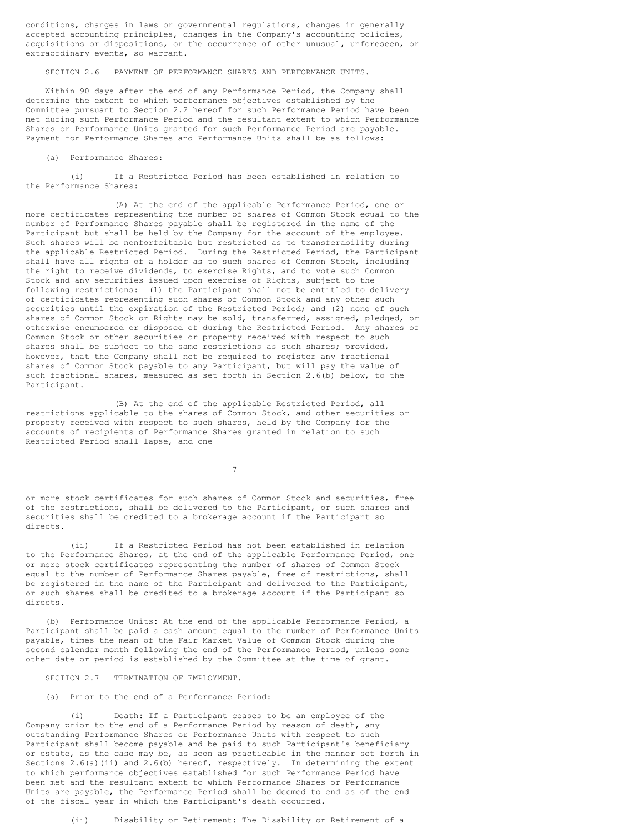conditions, changes in laws or governmental regulations, changes in generally accepted accounting principles, changes in the Company's accounting policies, acquisitions or dispositions, or the occurrence of other unusual, unforeseen, or extraordinary events, so warrant.

SECTION 2.6 PAYMENT OF PERFORMANCE SHARES AND PERFORMANCE UNITS.

Within 90 days after the end of any Performance Period, the Company shall determine the extent to which performance objectives established by the Committee pursuant to Section 2.2 hereof for such Performance Period have been met during such Performance Period and the resultant extent to which Performance Shares or Performance Units granted for such Performance Period are payable. Payment for Performance Shares and Performance Units shall be as follows:

(a) Performance Shares:

(i) If a Restricted Period has been established in relation to the Performance Shares:

(A) At the end of the applicable Performance Period, one or more certificates representing the number of shares of Common Stock equal to the number of Performance Shares payable shall be registered in the name of the Participant but shall be held by the Company for the account of the employee. Such shares will be nonforfeitable but restricted as to transferability during the applicable Restricted Period. During the Restricted Period, the Participant shall have all rights of a holder as to such shares of Common Stock, including the right to receive dividends, to exercise Rights, and to vote such Common Stock and any securities issued upon exercise of Rights, subject to the following restrictions: (1) the Participant shall not be entitled to delivery of certificates representing such shares of Common Stock and any other such securities until the expiration of the Restricted Period; and (2) none of such shares of Common Stock or Rights may be sold, transferred, assigned, pledged, or otherwise encumbered or disposed of during the Restricted Period. Any shares of Common Stock or other securities or property received with respect to such shares shall be subject to the same restrictions as such shares; provided, however, that the Company shall not be required to register any fractional shares of Common Stock payable to any Participant, but will pay the value of such fractional shares, measured as set forth in Section 2.6(b) below, to the Participant.

(B) At the end of the applicable Restricted Period, all restrictions applicable to the shares of Common Stock, and other securities or property received with respect to such shares, held by the Company for the accounts of recipients of Performance Shares granted in relation to such Restricted Period shall lapse, and one

7

or more stock certificates for such shares of Common Stock and securities, free of the restrictions, shall be delivered to the Participant, or such shares and securities shall be credited to a brokerage account if the Participant so directs.

(ii) If a Restricted Period has not been established in relation to the Performance Shares, at the end of the applicable Performance Period, one or more stock certificates representing the number of shares of Common Stock equal to the number of Performance Shares payable, free of restrictions, shall be registered in the name of the Participant and delivered to the Participant, or such shares shall be credited to a brokerage account if the Participant so directs.

(b) Performance Units: At the end of the applicable Performance Period, a Participant shall be paid a cash amount equal to the number of Performance Units payable, times the mean of the Fair Market Value of Common Stock during the second calendar month following the end of the Performance Period, unless some other date or period is established by the Committee at the time of grant.

SECTION 2.7 TERMINATION OF EMPLOYMENT.

(a) Prior to the end of a Performance Period:

(i) Death: If a Participant ceases to be an employee of the Company prior to the end of a Performance Period by reason of death, any outstanding Performance Shares or Performance Units with respect to such Participant shall become payable and be paid to such Participant's beneficiary or estate, as the case may be, as soon as practicable in the manner set forth in Sections  $2.6(a)$  (ii) and  $2.6(b)$  hereof, respectively. In determining the extent to which performance objectives established for such Performance Period have been met and the resultant extent to which Performance Shares or Performance Units are payable, the Performance Period shall be deemed to end as of the end of the fiscal year in which the Participant's death occurred.

(ii) Disability or Retirement: The Disability or Retirement of a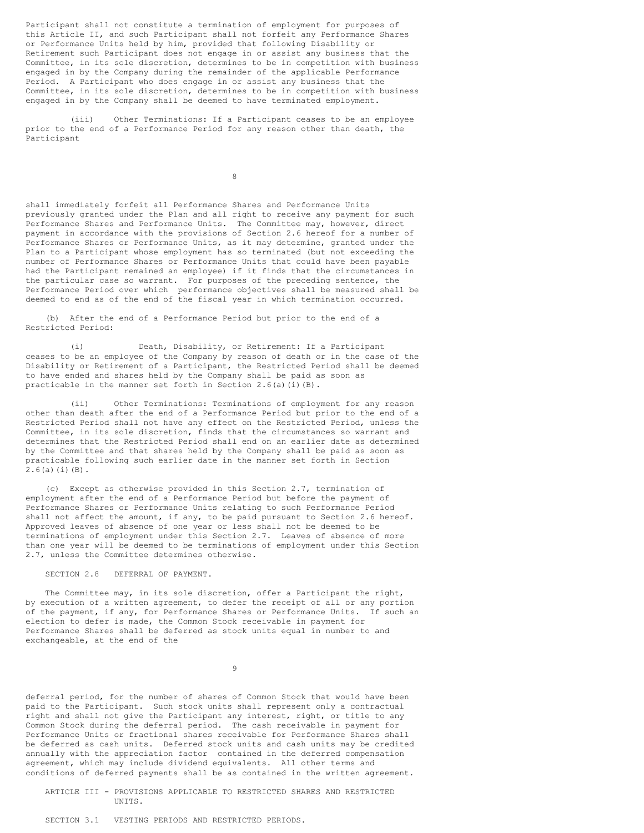Participant shall not constitute a termination of employment for purposes of this Article II, and such Participant shall not forfeit any Performance Shares or Performance Units held by him, provided that following Disability or Retirement such Participant does not engage in or assist any business that the Committee, in its sole discretion, determines to be in competition with business engaged in by the Company during the remainder of the applicable Performance Period. A Participant who does engage in or assist any business that the Committee, in its sole discretion, determines to be in competition with business engaged in by the Company shall be deemed to have terminated employment.

(iii) Other Terminations: If a Participant ceases to be an employee prior to the end of a Performance Period for any reason other than death, the Participant

8

shall immediately forfeit all Performance Shares and Performance Units previously granted under the Plan and all right to receive any payment for such Performance Shares and Performance Units. The Committee may, however, direct payment in accordance with the provisions of Section 2.6 hereof for a number of Performance Shares or Performance Units, as it may determine, granted under the Plan to a Participant whose employment has so terminated (but not exceeding the number of Performance Shares or Performance Units that could have been payable had the Participant remained an employee) if it finds that the circumstances in the particular case so warrant. For purposes of the preceding sentence, the Performance Period over which performance objectives shall be measured shall be deemed to end as of the end of the fiscal year in which termination occurred.

(b) After the end of a Performance Period but prior to the end of a Restricted Period:

(i) Death, Disability, or Retirement: If a Participant ceases to be an employee of the Company by reason of death or in the case of the Disability or Retirement of a Participant, the Restricted Period shall be deemed to have ended and shares held by the Company shall be paid as soon as practicable in the manner set forth in Section  $2.6(a)(i)(B)$ .

(ii) Other Terminations: Terminations of employment for any reason other than death after the end of a Performance Period but prior to the end of a Restricted Period shall not have any effect on the Restricted Period, unless the Committee, in its sole discretion, finds that the circumstances so warrant and determines that the Restricted Period shall end on an earlier date as determined by the Committee and that shares held by the Company shall be paid as soon as practicable following such earlier date in the manner set forth in Section  $2.6(a)(i)(B)$ .

(c) Except as otherwise provided in this Section 2.7, termination of employment after the end of a Performance Period but before the payment of Performance Shares or Performance Units relating to such Performance Period shall not affect the amount, if any, to be paid pursuant to Section 2.6 hereof. Approved leaves of absence of one year or less shall not be deemed to be terminations of employment under this Section 2.7. Leaves of absence of more than one year will be deemed to be terminations of employment under this Section 2.7, unless the Committee determines otherwise.

SECTION 2.8 DEFERRAL OF PAYMENT.

The Committee may, in its sole discretion, offer a Participant the right, by execution of a written agreement, to defer the receipt of all or any portion of the payment, if any, for Performance Shares or Performance Units. If such an election to defer is made, the Common Stock receivable in payment for Performance Shares shall be deferred as stock units equal in number to and exchangeable, at the end of the

9

deferral period, for the number of shares of Common Stock that would have been paid to the Participant. Such stock units shall represent only a contractual right and shall not give the Participant any interest, right, or title to any Common Stock during the deferral period. The cash receivable in payment for Performance Units or fractional shares receivable for Performance Shares shall be deferred as cash units. Deferred stock units and cash units may be credited annually with the appreciation factor contained in the deferred compensation agreement, which may include dividend equivalents. All other terms and conditions of deferred payments shall be as contained in the written agreement.

ARTICLE III - PROVISIONS APPLICABLE TO RESTRICTED SHARES AND RESTRICTED UNITS.

SECTION 3.1 VESTING PERIODS AND RESTRICTED PERIODS.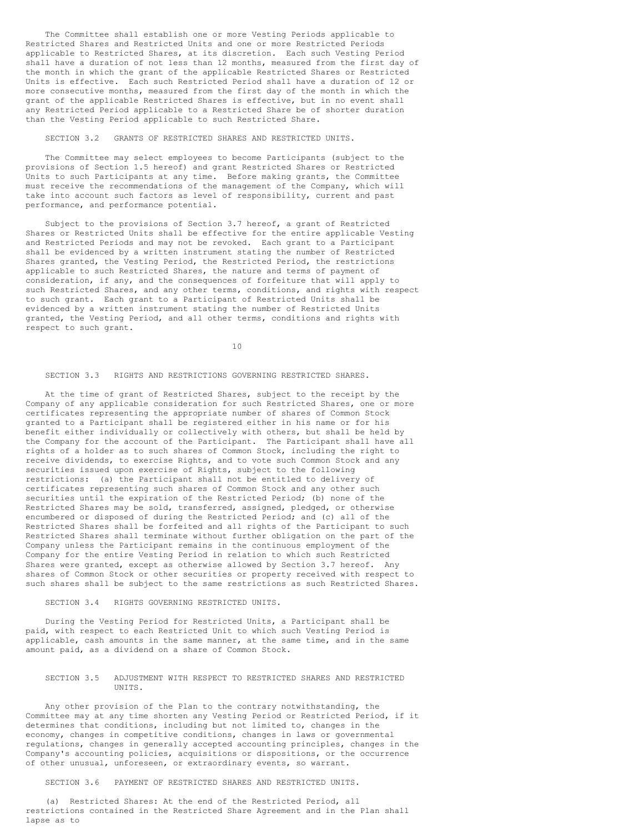The Committee shall establish one or more Vesting Periods applicable to Restricted Shares and Restricted Units and one or more Restricted Periods applicable to Restricted Shares, at its discretion. Each such Vesting Period shall have a duration of not less than 12 months, measured from the first day of the month in which the grant of the applicable Restricted Shares or Restricted Units is effective. Each such Restricted Period shall have a duration of 12 or more consecutive months, measured from the first day of the month in which the grant of the applicable Restricted Shares is effective, but in no event shall any Restricted Period applicable to a Restricted Share be of shorter duration than the Vesting Period applicable to such Restricted Share.

### SECTION 3.2 GRANTS OF RESTRICTED SHARES AND RESTRICTED UNITS.

The Committee may select employees to become Participants (subject to the provisions of Section 1.5 hereof) and grant Restricted Shares or Restricted Units to such Participants at any time. Before making grants, the Committee must receive the recommendations of the management of the Company, which will take into account such factors as level of responsibility, current and past performance, and performance potential.

Subject to the provisions of Section 3.7 hereof, a grant of Restricted Shares or Restricted Units shall be effective for the entire applicable Vesting and Restricted Periods and may not be revoked. Each grant to a Participant shall be evidenced by a written instrument stating the number of Restricted Shares granted, the Vesting Period, the Restricted Period, the restrictions applicable to such Restricted Shares, the nature and terms of payment of consideration, if any, and the consequences of forfeiture that will apply to such Restricted Shares, and any other terms, conditions, and rights with respect to such grant. Each grant to a Participant of Restricted Units shall be evidenced by a written instrument stating the number of Restricted Units granted, the Vesting Period, and all other terms, conditions and rights with respect to such grant.

10

#### SECTION 3.3 RIGHTS AND RESTRICTIONS GOVERNING RESTRICTED SHARES.

At the time of grant of Restricted Shares, subject to the receipt by the Company of any applicable consideration for such Restricted Shares, one or more certificates representing the appropriate number of shares of Common Stock granted to a Participant shall be registered either in his name or for his benefit either individually or collectively with others, but shall be held by the Company for the account of the Participant. The Participant shall have all rights of a holder as to such shares of Common Stock, including the right to receive dividends, to exercise Rights, and to vote such Common Stock and any securities issued upon exercise of Rights, subject to the following restrictions: (a) the Participant shall not be entitled to delivery of certificates representing such shares of Common Stock and any other such securities until the expiration of the Restricted Period; (b) none of the Restricted Shares may be sold, transferred, assigned, pledged, or otherwise encumbered or disposed of during the Restricted Period; and (c) all of the Restricted Shares shall be forfeited and all rights of the Participant to such Restricted Shares shall terminate without further obligation on the part of the Company unless the Participant remains in the continuous employment of the Company for the entire Vesting Period in relation to which such Restricted Shares were granted, except as otherwise allowed by Section 3.7 hereof. Any shares of Common Stock or other securities or property received with respect to such shares shall be subject to the same restrictions as such Restricted Shares.

### SECTION 3.4 RIGHTS GOVERNING RESTRICTED UNITS.

During the Vesting Period for Restricted Units, a Participant shall be paid, with respect to each Restricted Unit to which such Vesting Period is applicable, cash amounts in the same manner, at the same time, and in the same amount paid, as a dividend on a share of Common Stock.

### SECTION 3.5 ADJUSTMENT WITH RESPECT TO RESTRICTED SHARES AND RESTRICTED UNITS.

Any other provision of the Plan to the contrary notwithstanding, the Committee may at any time shorten any Vesting Period or Restricted Period, if it determines that conditions, including but not limited to, changes in the economy, changes in competitive conditions, changes in laws or governmental regulations, changes in generally accepted accounting principles, changes in the Company's accounting policies, acquisitions or dispositions, or the occurrence of other unusual, unforeseen, or extraordinary events, so warrant.

SECTION 3.6 PAYMENT OF RESTRICTED SHARES AND RESTRICTED UNITS.

(a) Restricted Shares: At the end of the Restricted Period, all restrictions contained in the Restricted Share Agreement and in the Plan shall lapse as to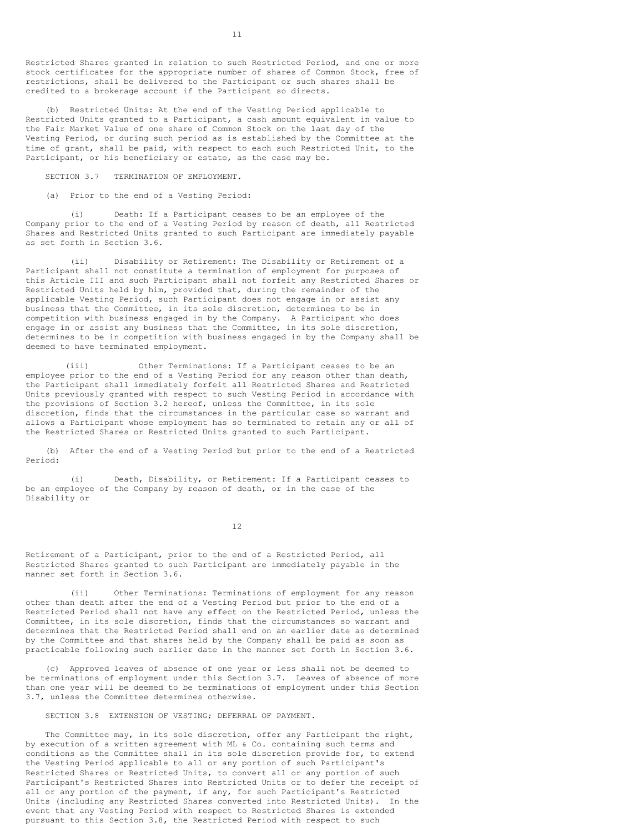Restricted Shares granted in relation to such Restricted Period, and one or more stock certificates for the appropriate number of shares of Common Stock, free of restrictions, shall be delivered to the Participant or such shares shall be credited to a brokerage account if the Participant so directs.

(b) Restricted Units: At the end of the Vesting Period applicable to Restricted Units granted to a Participant, a cash amount equivalent in value to the Fair Market Value of one share of Common Stock on the last day of the Vesting Period, or during such period as is established by the Committee at the time of grant, shall be paid, with respect to each such Restricted Unit, to the Participant, or his beneficiary or estate, as the case may be.

SECTION 3.7 TERMINATION OF EMPLOYMENT.

(a) Prior to the end of a Vesting Period:

(i) Death: If a Participant ceases to be an employee of the Company prior to the end of a Vesting Period by reason of death, all Restricted Shares and Restricted Units granted to such Participant are immediately payable as set forth in Section 3.6.

(ii) Disability or Retirement: The Disability or Retirement of a Participant shall not constitute a termination of employment for purposes of this Article III and such Participant shall not forfeit any Restricted Shares or Restricted Units held by him, provided that, during the remainder of the applicable Vesting Period, such Participant does not engage in or assist any business that the Committee, in its sole discretion, determines to be in competition with business engaged in by the Company. A Participant who does engage in or assist any business that the Committee, in its sole discretion, determines to be in competition with business engaged in by the Company shall be deemed to have terminated employment.

(iii) Other Terminations: If a Participant ceases to be an employee prior to the end of a Vesting Period for any reason other than death, the Participant shall immediately forfeit all Restricted Shares and Restricted Units previously granted with respect to such Vesting Period in accordance with the provisions of Section 3.2 hereof, unless the Committee, in its sole discretion, finds that the circumstances in the particular case so warrant and allows a Participant whose employment has so terminated to retain any or all of the Restricted Shares or Restricted Units granted to such Participant.

(b) After the end of a Vesting Period but prior to the end of a Restricted Period:

(i) Death, Disability, or Retirement: If a Participant ceases to be an employee of the Company by reason of death, or in the case of the Disability or

12

Retirement of a Participant, prior to the end of a Restricted Period, all Restricted Shares granted to such Participant are immediately payable in the manner set forth in Section 3.6.

(ii) Other Terminations: Terminations of employment for any reason other than death after the end of a Vesting Period but prior to the end of a Restricted Period shall not have any effect on the Restricted Period, unless the Committee, in its sole discretion, finds that the circumstances so warrant and determines that the Restricted Period shall end on an earlier date as determined by the Committee and that shares held by the Company shall be paid as soon as practicable following such earlier date in the manner set forth in Section 3.6.

(c) Approved leaves of absence of one year or less shall not be deemed to be terminations of employment under this Section 3.7. Leaves of absence of more than one year will be deemed to be terminations of employment under this Section 3.7, unless the Committee determines otherwise.

SECTION 3.8 EXTENSION OF VESTING; DEFERRAL OF PAYMENT.

The Committee may, in its sole discretion, offer any Participant the right, by execution of a written agreement with ML & Co. containing such terms and conditions as the Committee shall in its sole discretion provide for, to extend the Vesting Period applicable to all or any portion of such Participant's Restricted Shares or Restricted Units, to convert all or any portion of such Participant's Restricted Shares into Restricted Units or to defer the receipt of all or any portion of the payment, if any, for such Participant's Restricted Units (including any Restricted Shares converted into Restricted Units). In the event that any Vesting Period with respect to Restricted Shares is extended pursuant to this Section 3.8, the Restricted Period with respect to such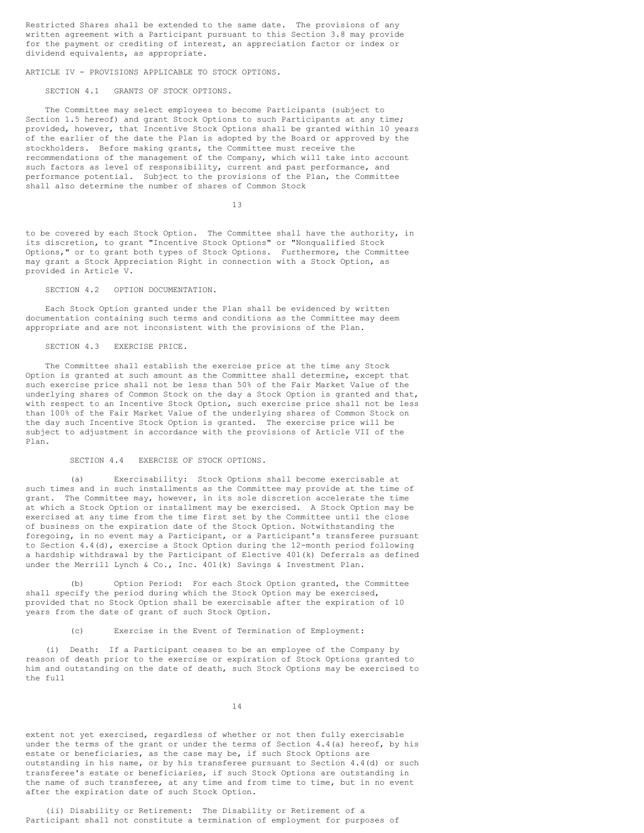Restricted Shares shall be extended to the same date. The provisions of any written agreement with a Participant pursuant to this Section 3.8 may provide for the payment or crediting of interest, an appreciation factor or index or dividend equivalents, as appropriate.

ARTICLE IV - PROVISIONS APPLICABLE TO STOCK OPTIONS.

SECTION 4.1 GRANTS OF STOCK OPTIONS.

The Committee may select employees to become Participants (subject to Section 1.5 hereof) and grant Stock Options to such Participants at any time; provided, however, that Incentive Stock Options shall be granted within 10 years of the earlier of the date the Plan is adopted by the Board or approved by the stockholders. Before making grants, the Committee must receive the recommendations of the management of the Company, which will take into account such factors as level of responsibility, current and past performance, and performance potential. Subject to the provisions of the Plan, the Committee shall also determine the number of shares of Common Stock

13

to be covered by each Stock Option. The Committee shall have the authority, in its discretion, to grant "Incentive Stock Options" or "Nonqualified Stock Options," or to grant both types of Stock Options. Furthermore, the Committee may grant a Stock Appreciation Right in connection with a Stock Option, as provided in Article V.

### SECTION 4.2 OPTION DOCUMENTATION.

Each Stock Option granted under the Plan shall be evidenced by written documentation containing such terms and conditions as the Committee may deem appropriate and are not inconsistent with the provisions of the Plan.

### SECTION 4.3 EXERCISE PRICE.

The Committee shall establish the exercise price at the time any Stock Option is granted at such amount as the Committee shall determine, except that such exercise price shall not be less than 50% of the Fair Market Value of the underlying shares of Common Stock on the day a Stock Option is granted and that, with respect to an Incentive Stock Option, such exercise price shall not be less than 100% of the Fair Market Value of the underlying shares of Common Stock on the day such Incentive Stock Option is granted. The exercise price will be subject to adjustment in accordance with the provisions of Article VII of the Plan.

#### SECTION 4.4 EXERCISE OF STOCK OPTIONS.

(a) Exercisability: Stock Options shall become exercisable at such times and in such installments as the Committee may provide at the time of grant. The Committee may, however, in its sole discretion accelerate the time at which a Stock Option or installment may be exercised. A Stock Option may be exercised at any time from the time first set by the Committee until the close of business on the expiration date of the Stock Option. Notwithstanding the foregoing, in no event may a Participant, or a Participant's transferee pursuant to Section 4.4(d), exercise a Stock Option during the 12-month period following a hardship withdrawal by the Participant of Elective 401(k) Deferrals as defined under the Merrill Lynch & Co., Inc. 401(k) Savings & Investment Plan.

(b) Option Period: For each Stock Option granted, the Committee shall specify the period during which the Stock Option may be exercised, provided that no Stock Option shall be exercisable after the expiration of 10 years from the date of grant of such Stock Option.

### (c) Exercise in the Event of Termination of Employment:

(i) Death: If a Participant ceases to be an employee of the Company by reason of death prior to the exercise or expiration of Stock Options granted to him and outstanding on the date of death, such Stock Options may be exercised to the full

14

extent not yet exercised, regardless of whether or not then fully exercisable under the terms of the grant or under the terms of Section  $4.4$  (a) hereof, by his estate or beneficiaries, as the case may be, if such Stock Options are outstanding in his name, or by his transferee pursuant to Section 4.4(d) or such transferee's estate or beneficiaries, if such Stock Options are outstanding in the name of such transferee, at any time and from time to time, but in no event after the expiration date of such Stock Option.

(ii) Disability or Retirement: The Disability or Retirement of a Participant shall not constitute a termination of employment for purposes of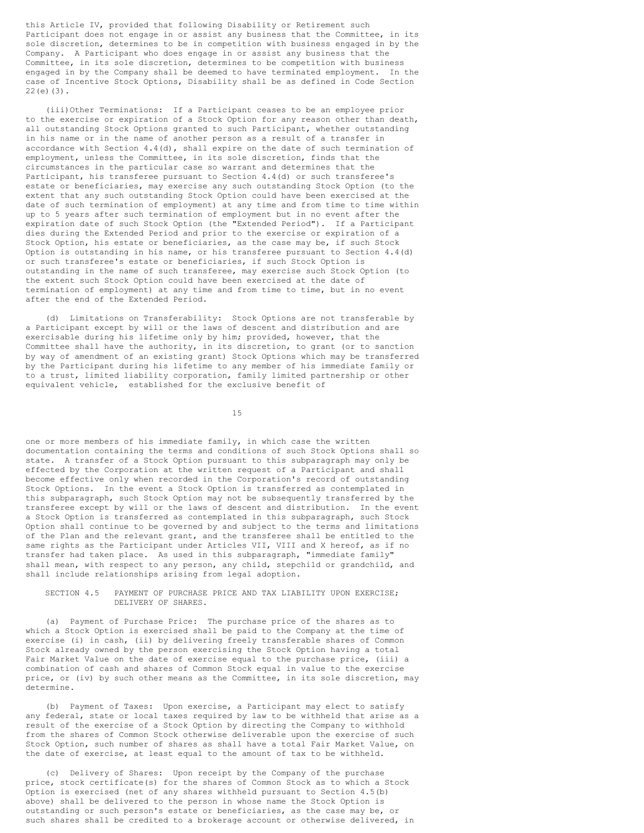this Article IV, provided that following Disability or Retirement such Participant does not engage in or assist any business that the Committee, in its sole discretion, determines to be in competition with business engaged in by the Company. A Participant who does engage in or assist any business that the Committee, in its sole discretion, determines to be competition with business engaged in by the Company shall be deemed to have terminated employment. In the case of Incentive Stock Options, Disability shall be as defined in Code Section 22(e)(3).

(iii)Other Terminations: If a Participant ceases to be an employee prior to the exercise or expiration of a Stock Option for any reason other than death, all outstanding Stock Options granted to such Participant, whether outstanding in his name or in the name of another person as a result of a transfer in accordance with Section 4.4(d), shall expire on the date of such termination of employment, unless the Committee, in its sole discretion, finds that the circumstances in the particular case so warrant and determines that the Participant, his transferee pursuant to Section 4.4(d) or such transferee's estate or beneficiaries, may exercise any such outstanding Stock Option (to the extent that any such outstanding Stock Option could have been exercised at the date of such termination of employment) at any time and from time to time within up to 5 years after such termination of employment but in no event after the expiration date of such Stock Option (the "Extended Period"). If a Participant dies during the Extended Period and prior to the exercise or expiration of a Stock Option, his estate or beneficiaries, as the case may be, if such Stock Option is outstanding in his name, or his transferee pursuant to Section 4.4(d) or such transferee's estate or beneficiaries, if such Stock Option is outstanding in the name of such transferee, may exercise such Stock Option (to the extent such Stock Option could have been exercised at the date of termination of employment) at any time and from time to time, but in no event after the end of the Extended Period.

(d) Limitations on Transferability: Stock Options are not transferable by a Participant except by will or the laws of descent and distribution and are exercisable during his lifetime only by him; provided, however, that the Committee shall have the authority, in its discretion, to grant (or to sanction by way of amendment of an existing grant) Stock Options which may be transferred by the Participant during his lifetime to any member of his immediate family or to a trust, limited liability corporation, family limited partnership or other equivalent vehicle, established for the exclusive benefit of

15

one or more members of his immediate family, in which case the written documentation containing the terms and conditions of such Stock Options shall so state. A transfer of a Stock Option pursuant to this subparagraph may only be effected by the Corporation at the written request of a Participant and shall become effective only when recorded in the Corporation's record of outstanding Stock Options. In the event a Stock Option is transferred as contemplated in this subparagraph, such Stock Option may not be subsequently transferred by the transferee except by will or the laws of descent and distribution. In the event a Stock Option is transferred as contemplated in this subparagraph, such Stock Option shall continue to be governed by and subject to the terms and limitations of the Plan and the relevant grant, and the transferee shall be entitled to the same rights as the Participant under Articles VII, VIII and X hereof, as if no transfer had taken place. As used in this subparagraph, "immediate family" shall mean, with respect to any person, any child, stepchild or grandchild, and shall include relationships arising from legal adoption.

SECTION 4.5 PAYMENT OF PURCHASE PRICE AND TAX LIABILITY UPON EXERCISE; DELIVERY OF SHARES.

(a) Payment of Purchase Price: The purchase price of the shares as to which a Stock Option is exercised shall be paid to the Company at the time of exercise (i) in cash, (ii) by delivering freely transferable shares of Common Stock already owned by the person exercising the Stock Option having a total Fair Market Value on the date of exercise equal to the purchase price, (iii) a combination of cash and shares of Common Stock equal in value to the exercise price, or (iv) by such other means as the Committee, in its sole discretion, may determine.

(b) Payment of Taxes: Upon exercise, a Participant may elect to satisfy any federal, state or local taxes required by law to be withheld that arise as a result of the exercise of a Stock Option by directing the Company to withhold from the shares of Common Stock otherwise deliverable upon the exercise of such Stock Option, such number of shares as shall have a total Fair Market Value, on the date of exercise, at least equal to the amount of tax to be withheld.

(c) Delivery of Shares: Upon receipt by the Company of the purchase price, stock certificate(s) for the shares of Common Stock as to which a Stock Option is exercised (net of any shares withheld pursuant to Section 4.5(b) above) shall be delivered to the person in whose name the Stock Option is outstanding or such person's estate or beneficiaries, as the case may be, or such shares shall be credited to a brokerage account or otherwise delivered, in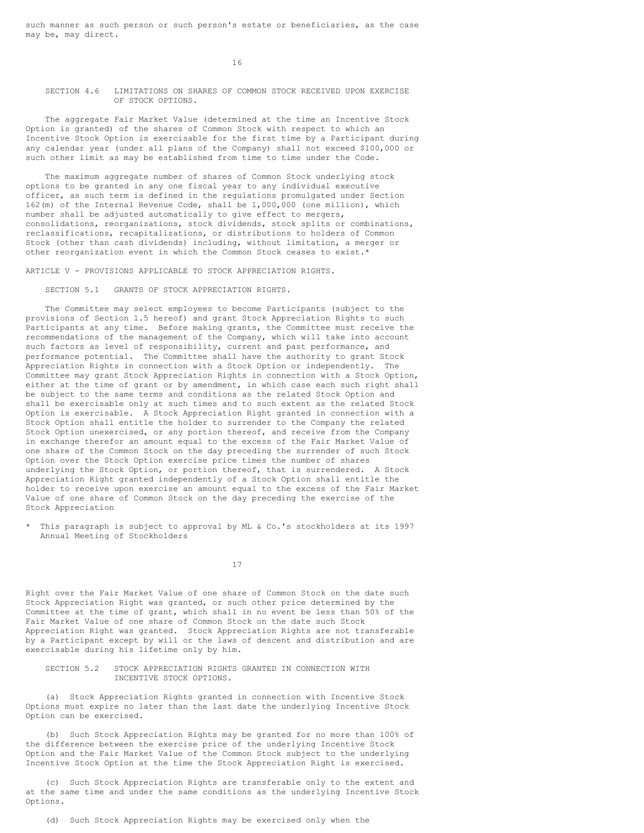such manner as such person or such person's estate or beneficiaries, as the case may be, may direct.

16

SECTION 4.6 LIMITATIONS ON SHARES OF COMMON STOCK RECEIVED UPON EXERCISE OF STOCK OPTIONS.

The aggregate Fair Market Value (determined at the time an Incentive Stock Option is granted) of the shares of Common Stock with respect to which an Incentive Stock Option is exercisable for the first time by a Participant during any calendar year (under all plans of the Company) shall not exceed \$100,000 or such other limit as may be established from time to time under the Code.

The maximum aggregate number of shares of Common Stock underlying stock options to be granted in any one fiscal year to any individual executive officer, as such term is defined in the regulations promulgated under Section 162(m) of the Internal Revenue Code, shall be 1,000,000 (one million), which number shall be adjusted automatically to give effect to mergers, consolidations, reorganizations, stock dividends, stock splits or combinations, reclassifications, recapitalizations, or distributions to holders of Common Stock (other than cash dividends) including, without limitation, a merger or other reorganization event in which the Common Stock ceases to exist.\*

ARTICLE V - PROVISIONS APPLICABLE TO STOCK APPRECIATION RIGHTS.

SECTION 5.1 GRANTS OF STOCK APPRECIATION RIGHTS.

The Committee may select employees to become Participants (subject to the provisions of Section 1.5 hereof) and grant Stock Appreciation Rights to such Participants at any time. Before making grants, the Committee must receive the recommendations of the management of the Company, which will take into account such factors as level of responsibility, current and past performance, and performance potential. The Committee shall have the authority to grant Stock Appreciation Rights in connection with a Stock Option or independently. The Committee may grant Stock Appreciation Rights in connection with a Stock Option, either at the time of grant or by amendment, in which case each such right shall be subject to the same terms and conditions as the related Stock Option and shall be exercisable only at such times and to such extent as the related Stock Option is exercisable. A Stock Appreciation Right granted in connection with a Stock Option shall entitle the holder to surrender to the Company the related Stock Option unexercised, or any portion thereof, and receive from the Company in exchange therefor an amount equal to the excess of the Fair Market Value of one share of the Common Stock on the day preceding the surrender of such Stock Option over the Stock Option exercise price times the number of shares underlying the Stock Option, or portion thereof, that is surrendered. A Stock Appreciation Right granted independently of a Stock Option shall entitle the holder to receive upon exercise an amount equal to the excess of the Fair Market Value of one share of Common Stock on the day preceding the exercise of the Stock Appreciation

\* This paragraph is subject to approval by ML & Co.'s stockholders at its 1997 Annual Meeting of Stockholders

17

Right over the Fair Market Value of one share of Common Stock on the date such Stock Appreciation Right was granted, or such other price determined by the Committee at the time of grant, which shall in no event be less than 50% of the Fair Market Value of one share of Common Stock on the date such Stock Appreciation Right was granted. Stock Appreciation Rights are not transferable by a Participant except by will or the laws of descent and distribution and are exercisable during his lifetime only by him.

SECTION 5.2 STOCK APPRECIATION RIGHTS GRANTED IN CONNECTION WITH INCENTIVE STOCK OPTIONS.

(a) Stock Appreciation Rights granted in connection with Incentive Stock Options must expire no later than the last date the underlying Incentive Stock Option can be exercised.

(b) Such Stock Appreciation Rights may be granted for no more than 100% of the difference between the exercise price of the underlying Incentive Stock Option and the Fair Market Value of the Common Stock subject to the underlying Incentive Stock Option at the time the Stock Appreciation Right is exercised.

(c) Such Stock Appreciation Rights are transferable only to the extent and at the same time and under the same conditions as the underlying Incentive Stock Options.

(d) Such Stock Appreciation Rights may be exercised only when the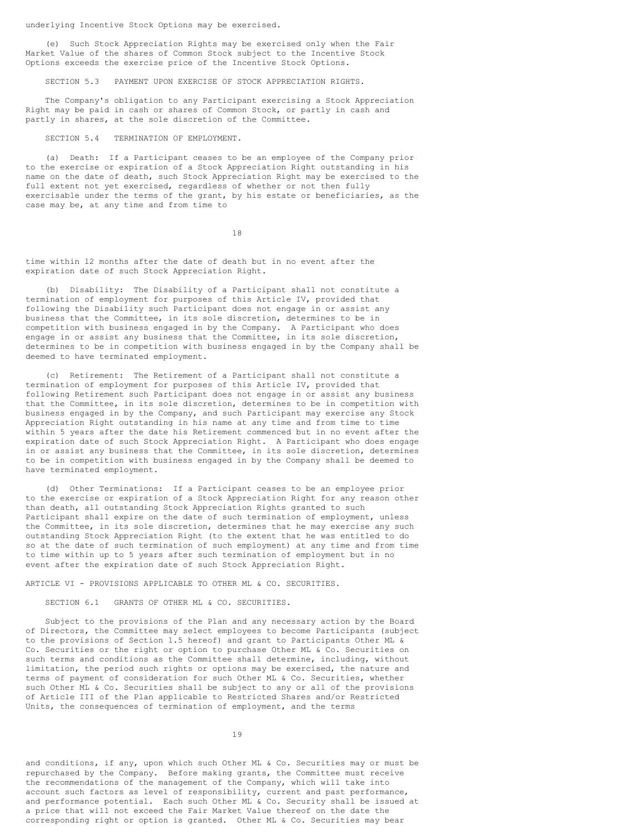underlying Incentive Stock Options may be exercised.

(e) Such Stock Appreciation Rights may be exercised only when the Fair Market Value of the shares of Common Stock subject to the Incentive Stock Options exceeds the exercise price of the Incentive Stock Options.

SECTION 5.3 PAYMENT UPON EXERCISE OF STOCK APPRECIATION RIGHTS.

The Company's obligation to any Participant exercising a Stock Appreciation Right may be paid in cash or shares of Common Stock, or partly in cash and partly in shares, at the sole discretion of the Committee.

### SECTION 5.4 TERMINATION OF EMPLOYMENT.

(a) Death: If a Participant ceases to be an employee of the Company prior to the exercise or expiration of a Stock Appreciation Right outstanding in his name on the date of death, such Stock Appreciation Right may be exercised to the full extent not yet exercised, regardless of whether or not then fully exercisable under the terms of the grant, by his estate or beneficiaries, as the case may be, at any time and from time to

18

time within l2 months after the date of death but in no event after the expiration date of such Stock Appreciation Right.

(b) Disability: The Disability of a Participant shall not constitute a termination of employment for purposes of this Article IV, provided that following the Disability such Participant does not engage in or assist any business that the Committee, in its sole discretion, determines to be in competition with business engaged in by the Company. A Participant who does engage in or assist any business that the Committee, in its sole discretion, determines to be in competition with business engaged in by the Company shall be deemed to have terminated employment.

(c) Retirement: The Retirement of a Participant shall not constitute a termination of employment for purposes of this Article IV, provided that following Retirement such Participant does not engage in or assist any business that the Committee, in its sole discretion, determines to be in competition with business engaged in by the Company, and such Participant may exercise any Stock Appreciation Right outstanding in his name at any time and from time to time within 5 years after the date his Retirement commenced but in no event after the expiration date of such Stock Appreciation Right. A Participant who does engage in or assist any business that the Committee, in its sole discretion, determines to be in competition with business engaged in by the Company shall be deemed to have terminated employment.

(d) Other Terminations: If a Participant ceases to be an employee prior to the exercise or expiration of a Stock Appreciation Right for any reason other than death, all outstanding Stock Appreciation Rights granted to such Participant shall expire on the date of such termination of employment, unless the Committee, in its sole discretion, determines that he may exercise any such outstanding Stock Appreciation Right (to the extent that he was entitled to do so at the date of such termination of such employment) at any time and from time to time within up to 5 years after such termination of employment but in no event after the expiration date of such Stock Appreciation Right.

### ARTICLE VI - PROVISIONS APPLICABLE TO OTHER ML & CO. SECURITIES.

### SECTION 6.1 GRANTS OF OTHER ML & CO. SECURITIES.

Subject to the provisions of the Plan and any necessary action by the Board of Directors, the Committee may select employees to become Participants (subject to the provisions of Section 1.5 hereof) and grant to Participants Other ML & Co. Securities or the right or option to purchase Other ML & Co. Securities on such terms and conditions as the Committee shall determine, including, without limitation, the period such rights or options may be exercised, the nature and terms of payment of consideration for such Other ML & Co. Securities, whether such Other ML & Co. Securities shall be subject to any or all of the provisions of Article III of the Plan applicable to Restricted Shares and/or Restricted Units, the consequences of termination of employment, and the terms

19

and conditions, if any, upon which such Other ML & Co. Securities may or must be repurchased by the Company. Before making grants, the Committee must receive the recommendations of the management of the Company, which will take into account such factors as level of responsibility, current and past performance, and performance potential. Each such Other ML & Co. Security shall be issued at a price that will not exceed the Fair Market Value thereof on the date the corresponding right or option is granted. Other ML & Co. Securities may bear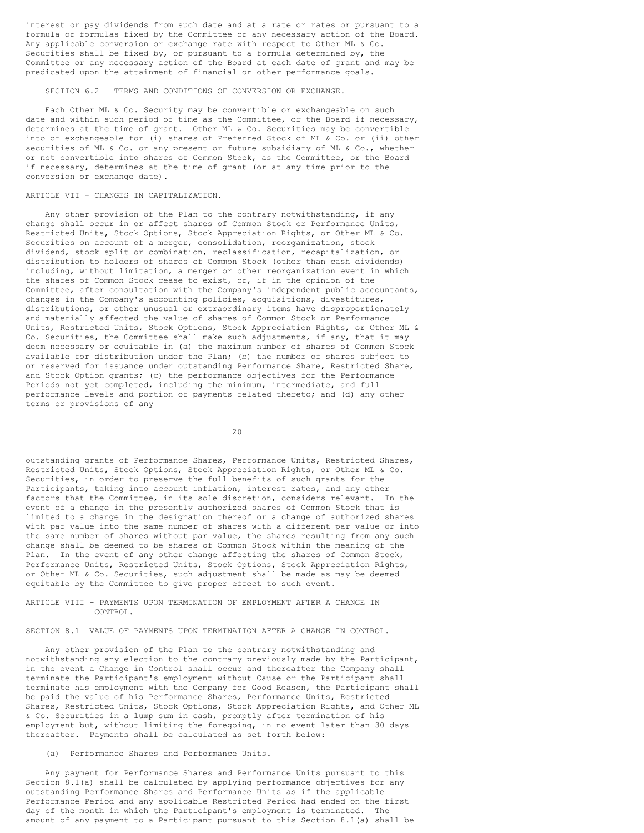interest or pay dividends from such date and at a rate or rates or pursuant to a formula or formulas fixed by the Committee or any necessary action of the Board. Any applicable conversion or exchange rate with respect to Other ML & Co. Securities shall be fixed by, or pursuant to a formula determined by, the Committee or any necessary action of the Board at each date of grant and may be predicated upon the attainment of financial or other performance goals.

SECTION 6.2 TERMS AND CONDITIONS OF CONVERSION OR EXCHANGE.

Each Other ML & Co. Security may be convertible or exchangeable on such date and within such period of time as the Committee, or the Board if necessary, determines at the time of grant. Other ML & Co. Securities may be convertible into or exchangeable for (i) shares of Preferred Stock of ML & Co. or (ii) other securities of ML & Co. or any present or future subsidiary of ML & Co., whether or not convertible into shares of Common Stock, as the Committee, or the Board if necessary, determines at the time of grant (or at any time prior to the conversion or exchange date).

### ARTICLE VII - CHANGES IN CAPITALIZATION.

Any other provision of the Plan to the contrary notwithstanding, if any change shall occur in or affect shares of Common Stock or Performance Units, Restricted Units, Stock Options, Stock Appreciation Rights, or Other ML & Co. Securities on account of a merger, consolidation, reorganization, stock dividend, stock split or combination, reclassification, recapitalization, or distribution to holders of shares of Common Stock (other than cash dividends) including, without limitation, a merger or other reorganization event in which the shares of Common Stock cease to exist, or, if in the opinion of the Committee, after consultation with the Company's independent public accountants, changes in the Company's accounting policies, acquisitions, divestitures, distributions, or other unusual or extraordinary items have disproportionately and materially affected the value of shares of Common Stock or Performance Units, Restricted Units, Stock Options, Stock Appreciation Rights, or Other ML & Co. Securities, the Committee shall make such adjustments, if any, that it may deem necessary or equitable in (a) the maximum number of shares of Common Stock available for distribution under the Plan; (b) the number of shares subject to or reserved for issuance under outstanding Performance Share, Restricted Share, and Stock Option grants; (c) the performance objectives for the Performance Periods not yet completed, including the minimum, intermediate, and full performance levels and portion of payments related thereto; and (d) any other terms or provisions of any

20

outstanding grants of Performance Shares, Performance Units, Restricted Shares, Restricted Units, Stock Options, Stock Appreciation Rights, or Other ML & Co. Securities, in order to preserve the full benefits of such grants for the Participants, taking into account inflation, interest rates, and any other factors that the Committee, in its sole discretion, considers relevant. In the event of a change in the presently authorized shares of Common Stock that is limited to a change in the designation thereof or a change of authorized shares with par value into the same number of shares with a different par value or into the same number of shares without par value, the shares resulting from any such change shall be deemed to be shares of Common Stock within the meaning of the Plan. In the event of any other change affecting the shares of Common Stock, Performance Units, Restricted Units, Stock Options, Stock Appreciation Rights, or Other ML & Co. Securities, such adjustment shall be made as may be deemed equitable by the Committee to give proper effect to such event.

### ARTICLE VIII - PAYMENTS UPON TERMINATION OF EMPLOYMENT AFTER A CHANGE IN CONTROL.

SECTION 8.1 VALUE OF PAYMENTS UPON TERMINATION AFTER A CHANGE IN CONTROL.

Any other provision of the Plan to the contrary notwithstanding and notwithstanding any election to the contrary previously made by the Participant, in the event a Change in Control shall occur and thereafter the Company shall terminate the Participant's employment without Cause or the Participant shall terminate his employment with the Company for Good Reason, the Participant shall be paid the value of his Performance Shares, Performance Units, Restricted Shares, Restricted Units, Stock Options, Stock Appreciation Rights, and Other ML & Co. Securities in a lump sum in cash, promptly after termination of his employment but, without limiting the foregoing, in no event later than 30 days thereafter. Payments shall be calculated as set forth below:

#### (a) Performance Shares and Performance Units.

Any payment for Performance Shares and Performance Units pursuant to this Section 8.1(a) shall be calculated by applying performance objectives for any outstanding Performance Shares and Performance Units as if the applicable Performance Period and any applicable Restricted Period had ended on the first day of the month in which the Participant's employment is terminated. The amount of any payment to a Participant pursuant to this Section 8.1(a) shall be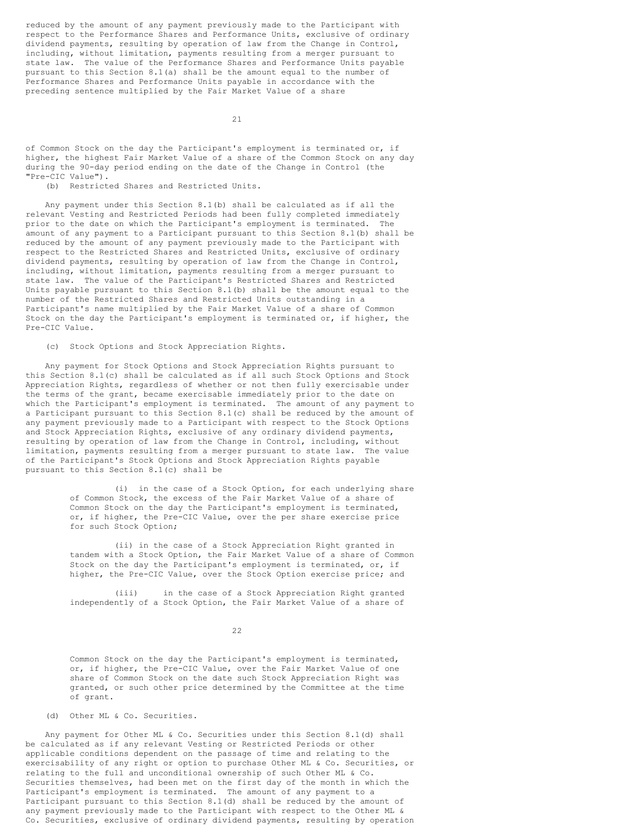reduced by the amount of any payment previously made to the Participant with respect to the Performance Shares and Performance Units, exclusive of ordinary dividend payments, resulting by operation of law from the Change in Control, including, without limitation, payments resulting from a merger pursuant to state law. The value of the Performance Shares and Performance Units payable pursuant to this Section 8.1(a) shall be the amount equal to the number of Performance Shares and Performance Units payable in accordance with the preceding sentence multiplied by the Fair Market Value of a share

21

of Common Stock on the day the Participant's employment is terminated or, if higher, the highest Fair Market Value of a share of the Common Stock on any day during the 90-day period ending on the date of the Change in Control (the "Pre-CIC Value").

(b) Restricted Shares and Restricted Units.

Any payment under this Section 8.1(b) shall be calculated as if all the relevant Vesting and Restricted Periods had been fully completed immediately prior to the date on which the Participant's employment is terminated. The amount of any payment to a Participant pursuant to this Section 8.1(b) shall be reduced by the amount of any payment previously made to the Participant with respect to the Restricted Shares and Restricted Units, exclusive of ordinary dividend payments, resulting by operation of law from the Change in Control, including, without limitation, payments resulting from a merger pursuant to state law. The value of the Participant's Restricted Shares and Restricted Units payable pursuant to this Section 8.1(b) shall be the amount equal to the number of the Restricted Shares and Restricted Units outstanding in a Participant's name multiplied by the Fair Market Value of a share of Common Stock on the day the Participant's employment is terminated or, if higher, the Pre-CIC Value.

(c) Stock Options and Stock Appreciation Rights.

Any payment for Stock Options and Stock Appreciation Rights pursuant to this Section 8.1(c) shall be calculated as if all such Stock Options and Stock Appreciation Rights, regardless of whether or not then fully exercisable under the terms of the grant, became exercisable immediately prior to the date on which the Participant's employment is terminated. The amount of any payment to a Participant pursuant to this Section 8.1(c) shall be reduced by the amount of any payment previously made to a Participant with respect to the Stock Options and Stock Appreciation Rights, exclusive of any ordinary dividend payments, resulting by operation of law from the Change in Control, including, without limitation, payments resulting from a merger pursuant to state law. The value of the Participant's Stock Options and Stock Appreciation Rights payable pursuant to this Section 8.1(c) shall be

> (i) in the case of a Stock Option, for each underlying share of Common Stock, the excess of the Fair Market Value of a share of Common Stock on the day the Participant's employment is terminated, or, if higher, the Pre-CIC Value, over the per share exercise price for such Stock Option;

> (ii) in the case of a Stock Appreciation Right granted in tandem with a Stock Option, the Fair Market Value of a share of Common Stock on the day the Participant's employment is terminated, or, if higher, the Pre-CIC Value, over the Stock Option exercise price; and

(iii) in the case of a Stock Appreciation Right granted independently of a Stock Option, the Fair Market Value of a share of

22

Common Stock on the day the Participant's employment is terminated, or, if higher, the Pre-CIC Value, over the Fair Market Value of one share of Common Stock on the date such Stock Appreciation Right was granted, or such other price determined by the Committee at the time of grant.

(d) Other ML & Co. Securities.

Any payment for Other ML & Co. Securities under this Section 8.1(d) shall be calculated as if any relevant Vesting or Restricted Periods or other applicable conditions dependent on the passage of time and relating to the exercisability of any right or option to purchase Other ML & Co. Securities, or relating to the full and unconditional ownership of such Other ML & Co. Securities themselves, had been met on the first day of the month in which the Participant's employment is terminated. The amount of any payment to a Participant pursuant to this Section 8.1(d) shall be reduced by the amount of any payment previously made to the Participant with respect to the Other ML & Co. Securities, exclusive of ordinary dividend payments, resulting by operation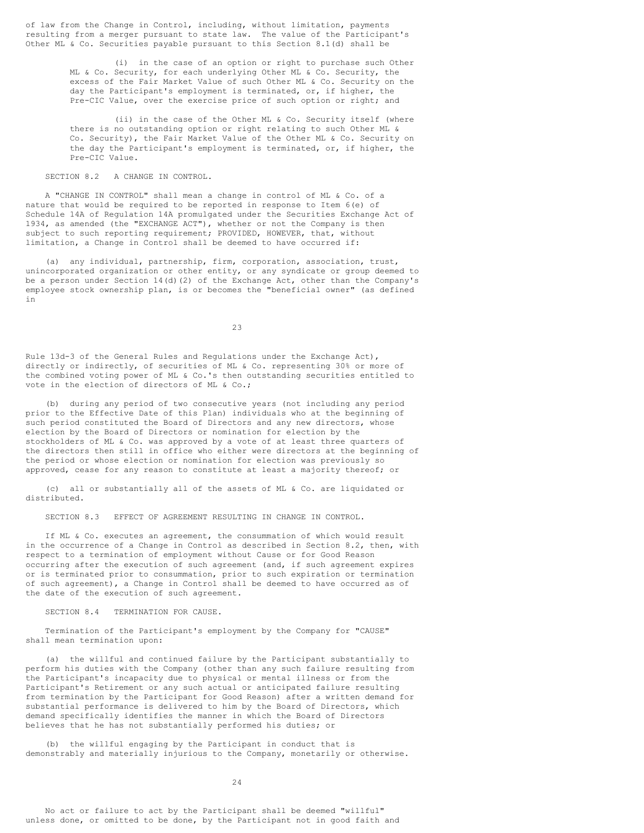of law from the Change in Control, including, without limitation, payments resulting from a merger pursuant to state law. The value of the Participant's Other ML & Co. Securities payable pursuant to this Section 8.1(d) shall be

> (i) in the case of an option or right to purchase such Other ML & Co. Security, for each underlying Other ML & Co. Security, the excess of the Fair Market Value of such Other ML & Co. Security on the day the Participant's employment is terminated, or, if higher, the Pre-CIC Value, over the exercise price of such option or right; and

> (ii) in the case of the Other ML & Co. Security itself (where there is no outstanding option or right relating to such Other ML & Co. Security), the Fair Market Value of the Other ML & Co. Security on the day the Participant's employment is terminated, or, if higher, the Pre-CIC Value.

SECTION 8.2 A CHANGE IN CONTROL.

A "CHANGE IN CONTROL" shall mean a change in control of ML & Co. of a nature that would be required to be reported in response to Item 6(e) of Schedule 14A of Regulation 14A promulgated under the Securities Exchange Act of 1934, as amended (the "EXCHANGE ACT"), whether or not the Company is then subject to such reporting requirement; PROVIDED, HOWEVER, that, without limitation, a Change in Control shall be deemed to have occurred if:

(a) any individual, partnership, firm, corporation, association, trust, unincorporated organization or other entity, or any syndicate or group deemed to be a person under Section 14(d)(2) of the Exchange Act, other than the Company's employee stock ownership plan, is or becomes the "beneficial owner" (as defined in

23

Rule 13d-3 of the General Rules and Regulations under the Exchange Act), directly or indirectly, of securities of ML & Co. representing 30% or more of the combined voting power of ML & Co.'s then outstanding securities entitled to vote in the election of directors of ML & Co.;

(b) during any period of two consecutive years (not including any period prior to the Effective Date of this Plan) individuals who at the beginning of such period constituted the Board of Directors and any new directors, whose election by the Board of Directors or nomination for election by the stockholders of ML & Co. was approved by a vote of at least three quarters of the directors then still in office who either were directors at the beginning of the period or whose election or nomination for election was previously so approved, cease for any reason to constitute at least a majority thereof; or

(c) all or substantially all of the assets of ML & Co. are liquidated or distributed.

SECTION 8.3 EFFECT OF AGREEMENT RESULTING IN CHANGE IN CONTROL.

If ML & Co. executes an agreement, the consummation of which would result in the occurrence of a Change in Control as described in Section 8.2, then, with respect to a termination of employment without Cause or for Good Reason occurring after the execution of such agreement (and, if such agreement expires or is terminated prior to consummation, prior to such expiration or termination of such agreement), a Change in Control shall be deemed to have occurred as of the date of the execution of such agreement.

SECTION 8.4 TERMINATION FOR CAUSE.

Termination of the Participant's employment by the Company for "CAUSE" shall mean termination upon:

(a) the willful and continued failure by the Participant substantially to perform his duties with the Company (other than any such failure resulting from the Participant's incapacity due to physical or mental illness or from the Participant's Retirement or any such actual or anticipated failure resulting from termination by the Participant for Good Reason) after a written demand for substantial performance is delivered to him by the Board of Directors, which demand specifically identifies the manner in which the Board of Directors believes that he has not substantially performed his duties; or

(b) the willful engaging by the Participant in conduct that is demonstrably and materially injurious to the Company, monetarily or otherwise.

24

No act or failure to act by the Participant shall be deemed "willful" unless done, or omitted to be done, by the Participant not in good faith and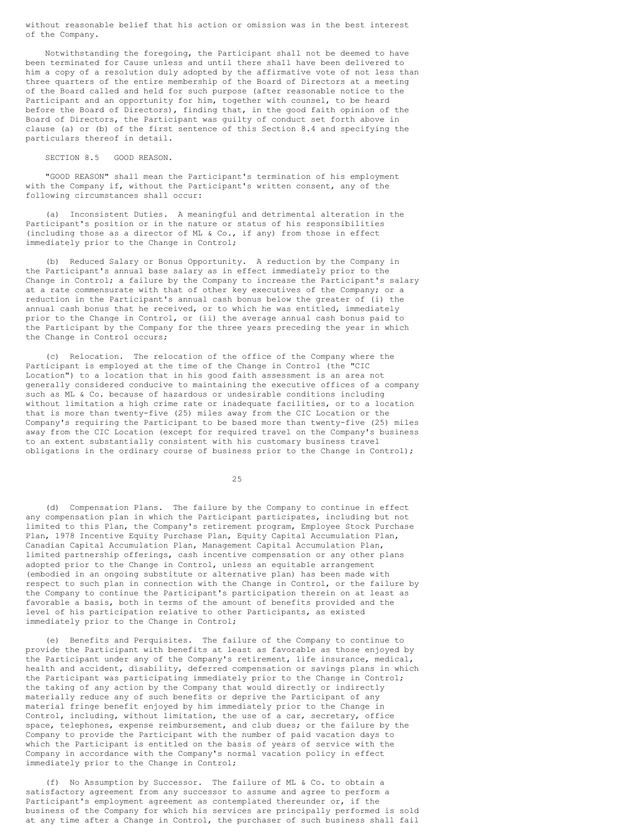without reasonable belief that his action or omission was in the best interest of the Company.

Notwithstanding the foregoing, the Participant shall not be deemed to have been terminated for Cause unless and until there shall have been delivered to him a copy of a resolution duly adopted by the affirmative vote of not less than three quarters of the entire membership of the Board of Directors at a meeting of the Board called and held for such purpose (after reasonable notice to the Participant and an opportunity for him, together with counsel, to be heard before the Board of Directors), finding that, in the good faith opinion of the Board of Directors, the Participant was guilty of conduct set forth above in clause (a) or (b) of the first sentence of this Section 8.4 and specifying the particulars thereof in detail.

#### SECTION 8.5 GOOD REASON.

"GOOD REASON" shall mean the Participant's termination of his employment with the Company if, without the Participant's written consent, any of the following circumstances shall occur:

(a) Inconsistent Duties. A meaningful and detrimental alteration in the Participant's position or in the nature or status of his responsibilities (including those as a director of ML & Co., if any) from those in effect immediately prior to the Change in Control;

(b) Reduced Salary or Bonus Opportunity. A reduction by the Company in the Participant's annual base salary as in effect immediately prior to the Change in Control; a failure by the Company to increase the Participant's salary at a rate commensurate with that of other key executives of the Company; or a reduction in the Participant's annual cash bonus below the greater of (i) the annual cash bonus that he received, or to which he was entitled, immediately prior to the Change in Control, or (ii) the average annual cash bonus paid to the Participant by the Company for the three years preceding the year in which the Change in Control occurs;

(c) Relocation. The relocation of the office of the Company where the Participant is employed at the time of the Change in Control (the "CIC Location") to a location that in his good faith assessment is an area not generally considered conducive to maintaining the executive offices of a company such as ML & Co. because of hazardous or undesirable conditions including without limitation a high crime rate or inadequate facilities, or to a location that is more than twenty-five (25) miles away from the CIC Location or the Company's requiring the Participant to be based more than twenty-five (25) miles away from the CIC Location (except for required travel on the Company's business to an extent substantially consistent with his customary business travel obligations in the ordinary course of business prior to the Change in Control);

 $25$ 

(d) Compensation Plans. The failure by the Company to continue in effect any compensation plan in which the Participant participates, including but not limited to this Plan, the Company's retirement program, Employee Stock Purchase Plan, 1978 Incentive Equity Purchase Plan, Equity Capital Accumulation Plan, Canadian Capital Accumulation Plan, Management Capital Accumulation Plan, limited partnership offerings, cash incentive compensation or any other plans adopted prior to the Change in Control, unless an equitable arrangement (embodied in an ongoing substitute or alternative plan) has been made with respect to such plan in connection with the Change in Control, or the failure by the Company to continue the Participant's participation therein on at least as favorable a basis, both in terms of the amount of benefits provided and the level of his participation relative to other Participants, as existed immediately prior to the Change in Control;

(e) Benefits and Perquisites. The failure of the Company to continue to provide the Participant with benefits at least as favorable as those enjoyed by the Participant under any of the Company's retirement, life insurance, medical, health and accident, disability, deferred compensation or savings plans in which the Participant was participating immediately prior to the Change in Control; the taking of any action by the Company that would directly or indirectly materially reduce any of such benefits or deprive the Participant of any material fringe benefit enjoyed by him immediately prior to the Change in Control, including, without limitation, the use of a car, secretary, office space, telephones, expense reimbursement, and club dues; or the failure by the Company to provide the Participant with the number of paid vacation days to which the Participant is entitled on the basis of years of service with the Company in accordance with the Company's normal vacation policy in effect immediately prior to the Change in Control;

(f) No Assumption by Successor. The failure of ML & Co. to obtain a satisfactory agreement from any successor to assume and agree to perform a Participant's employment agreement as contemplated thereunder or, if the business of the Company for which his services are principally performed is sold at any time after a Change in Control, the purchaser of such business shall fail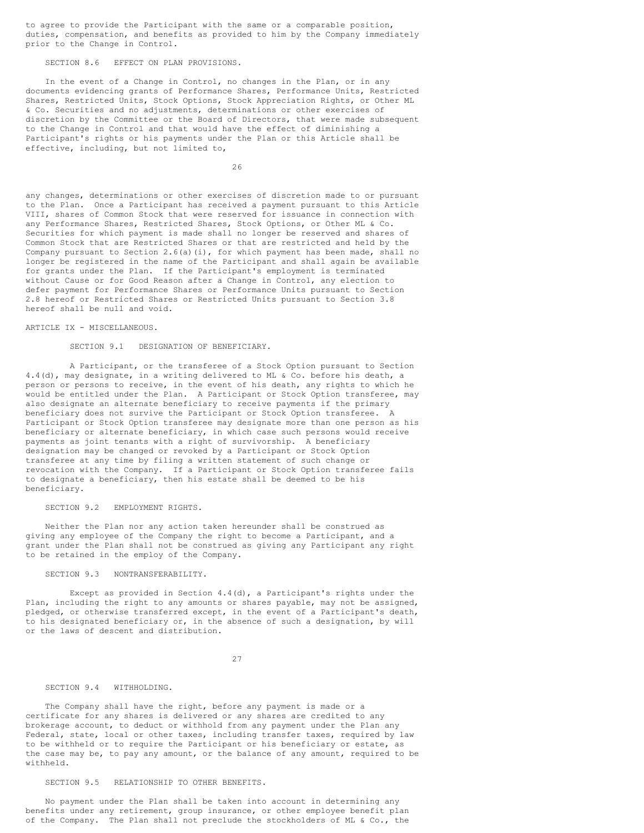to agree to provide the Participant with the same or a comparable position, duties, compensation, and benefits as provided to him by the Company immediately prior to the Change in Control.

SECTION 8.6 EFFECT ON PLAN PROVISIONS.

In the event of a Change in Control, no changes in the Plan, or in any documents evidencing grants of Performance Shares, Performance Units, Restricted Shares, Restricted Units, Stock Options, Stock Appreciation Rights, or Other ML & Co. Securities and no adjustments, determinations or other exercises of discretion by the Committee or the Board of Directors, that were made subsequent to the Change in Control and that would have the effect of diminishing a Participant's rights or his payments under the Plan or this Article shall be effective, including, but not limited to,

26

any changes, determinations or other exercises of discretion made to or pursuant to the Plan. Once a Participant has received a payment pursuant to this Article VIII, shares of Common Stock that were reserved for issuance in connection with any Performance Shares, Restricted Shares, Stock Options, or Other ML & Co. Securities for which payment is made shall no longer be reserved and shares of Common Stock that are Restricted Shares or that are restricted and held by the Company pursuant to Section 2.6(a)(i), for which payment has been made, shall no longer be registered in the name of the Participant and shall again be available for grants under the Plan. If the Participant's employment is terminated without Cause or for Good Reason after a Change in Control, any election to defer payment for Performance Shares or Performance Units pursuant to Section 2.8 hereof or Restricted Shares or Restricted Units pursuant to Section 3.8 hereof shall be null and void.

ARTICLE IX - MISCELLANEOUS.

### SECTION 9.1 DESIGNATION OF BENEFICIARY.

A Participant, or the transferee of a Stock Option pursuant to Section 4.4(d), may designate, in a writing delivered to ML & Co. before his death, a person or persons to receive, in the event of his death, any rights to which he would be entitled under the Plan. A Participant or Stock Option transferee, may also designate an alternate beneficiary to receive payments if the primary beneficiary does not survive the Participant or Stock Option transferee. A Participant or Stock Option transferee may designate more than one person as his beneficiary or alternate beneficiary, in which case such persons would receive payments as joint tenants with a right of survivorship. A beneficiary designation may be changed or revoked by a Participant or Stock Option transferee at any time by filing a written statement of such change or revocation with the Company. If a Participant or Stock Option transferee fails to designate a beneficiary, then his estate shall be deemed to be his beneficiary.

### SECTION 9.2 EMPLOYMENT RIGHTS.

Neither the Plan nor any action taken hereunder shall be construed as giving any employee of the Company the right to become a Participant, and a grant under the Plan shall not be construed as giving any Participant any right to be retained in the employ of the Company.

### SECTION 9.3 NONTRANSFERABILITY.

Except as provided in Section 4.4(d), a Participant's rights under the Plan, including the right to any amounts or shares payable, may not be assigned, pledged, or otherwise transferred except, in the event of a Participant's death, to his designated beneficiary or, in the absence of such a designation, by will or the laws of descent and distribution.

27

#### SECTION 9.4 WITHHOLDING.

The Company shall have the right, before any payment is made or a certificate for any shares is delivered or any shares are credited to any brokerage account, to deduct or withhold from any payment under the Plan any Federal, state, local or other taxes, including transfer taxes, required by law to be withheld or to require the Participant or his beneficiary or estate, as the case may be, to pay any amount, or the balance of any amount, required to be withheld.

### SECTION 9.5 RELATIONSHIP TO OTHER BENEFITS.

No payment under the Plan shall be taken into account in determining any benefits under any retirement, group insurance, or other employee benefit plan of the Company. The Plan shall not preclude the stockholders of ML & Co., the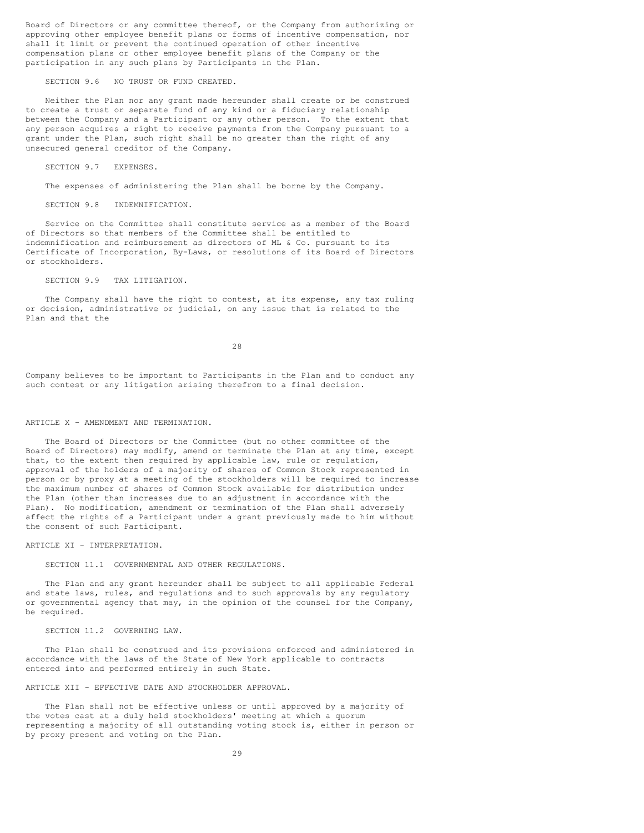Board of Directors or any committee thereof, or the Company from authorizing or approving other employee benefit plans or forms of incentive compensation, nor shall it limit or prevent the continued operation of other incentive compensation plans or other employee benefit plans of the Company or the participation in any such plans by Participants in the Plan.

SECTION 9.6 NO TRUST OR FUND CREATED.

Neither the Plan nor any grant made hereunder shall create or be construed to create a trust or separate fund of any kind or a fiduciary relationship between the Company and a Participant or any other person. To the extent that any person acquires a right to receive payments from the Company pursuant to a grant under the Plan, such right shall be no greater than the right of any unsecured general creditor of the Company.

SECTION 9.7 EXPENSES.

The expenses of administering the Plan shall be borne by the Company.

SECTION 9.8 INDEMNIFICATION.

Service on the Committee shall constitute service as a member of the Board of Directors so that members of the Committee shall be entitled to indemnification and reimbursement as directors of ML & Co. pursuant to its Certificate of Incorporation, By-Laws, or resolutions of its Board of Directors or stockholders.

SECTION 9.9 TAX LITIGATION.

The Company shall have the right to contest, at its expense, any tax ruling or decision, administrative or judicial, on any issue that is related to the Plan and that the

28

Company believes to be important to Participants in the Plan and to conduct any such contest or any litigation arising therefrom to a final decision.

### ARTICLE X - AMENDMENT AND TERMINATION.

The Board of Directors or the Committee (but no other committee of the Board of Directors) may modify, amend or terminate the Plan at any time, except that, to the extent then required by applicable law, rule or regulation, approval of the holders of a majority of shares of Common Stock represented in person or by proxy at a meeting of the stockholders will be required to increase the maximum number of shares of Common Stock available for distribution under the Plan (other than increases due to an adjustment in accordance with the Plan). No modification, amendment or termination of the Plan shall adversely affect the rights of a Participant under a grant previously made to him without the consent of such Participant.

ARTICLE XI - INTERPRETATION.

SECTION 11.1 GOVERNMENTAL AND OTHER REGULATIONS.

The Plan and any grant hereunder shall be subject to all applicable Federal and state laws, rules, and regulations and to such approvals by any regulatory or governmental agency that may, in the opinion of the counsel for the Company, be required.

SECTION 11.2 GOVERNING LAW.

The Plan shall be construed and its provisions enforced and administered in accordance with the laws of the State of New York applicable to contracts entered into and performed entirely in such State.

#### ARTICLE XII - EFFECTIVE DATE AND STOCKHOLDER APPROVAL.

The Plan shall not be effective unless or until approved by a majority of the votes cast at a duly held stockholders' meeting at which a quorum representing a majority of all outstanding voting stock is, either in person or by proxy present and voting on the Plan.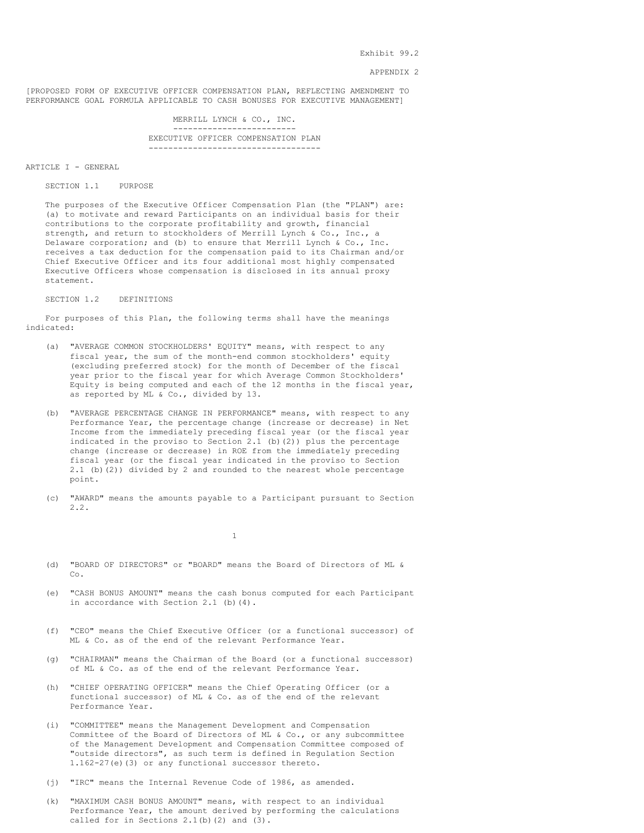Exhibit 99.2

#### APPENDIX 2

[PROPOSED FORM OF EXECUTIVE OFFICER COMPENSATION PLAN, REFLECTING AMENDMENT TO PERFORMANCE GOAL FORMULA APPLICABLE TO CASH BONUSES FOR EXECUTIVE MANAGEMENT]

-------------------------

MERRILL LYNCH & CO., INC.

EXECUTIVE OFFICER COMPENSATION PLAN -----------------------------------

ARTICLE I - GENERAL

SECTION 1.1 PURPOSE

The purposes of the Executive Officer Compensation Plan (the "PLAN") are: (a) to motivate and reward Participants on an individual basis for their contributions to the corporate profitability and growth, financial strength, and return to stockholders of Merrill Lynch & Co., Inc., a Delaware corporation; and (b) to ensure that Merrill Lynch & Co., Inc. receives a tax deduction for the compensation paid to its Chairman and/or Chief Executive Officer and its four additional most highly compensated Executive Officers whose compensation is disclosed in its annual proxy statement.

SECTION 1.2 DEFINITIONS

For purposes of this Plan, the following terms shall have the meanings indicated:

- (a) "AVERAGE COMMON STOCKHOLDERS' EQUITY" means, with respect to any fiscal year, the sum of the month-end common stockholders' equity (excluding preferred stock) for the month of December of the fiscal year prior to the fiscal year for which Average Common Stockholders' Equity is being computed and each of the 12 months in the fiscal year, as reported by ML & Co., divided by 13.
- (b) "AVERAGE PERCENTAGE CHANGE IN PERFORMANCE" means, with respect to any Performance Year, the percentage change (increase or decrease) in Net Income from the immediately preceding fiscal year (or the fiscal year indicated in the proviso to Section 2.1 (b)(2)) plus the percentage change (increase or decrease) in ROE from the immediately preceding fiscal year (or the fiscal year indicated in the proviso to Section 2.1 (b)(2)) divided by 2 and rounded to the nearest whole percentage point.
- (c) "AWARD" means the amounts payable to a Participant pursuant to Section 2.2.

1

- (d) "BOARD OF DIRECTORS" or "BOARD" means the Board of Directors of ML & Co.
- (e) "CASH BONUS AMOUNT" means the cash bonus computed for each Participant in accordance with Section 2.1 (b)(4).
- (f) "CEO" means the Chief Executive Officer (or a functional successor) of ML & Co. as of the end of the relevant Performance Year.
- (g) "CHAIRMAN" means the Chairman of the Board (or a functional successor) of ML & Co. as of the end of the relevant Performance Year.
- (h) "CHIEF OPERATING OFFICER" means the Chief Operating Officer (or a functional successor) of ML & Co. as of the end of the relevant Performance Year.
- (i) "COMMITTEE" means the Management Development and Compensation Committee of the Board of Directors of ML & Co., or any subcommittee of the Management Development and Compensation Committee composed of "outside directors", as such term is defined in Regulation Section 1.162-27(e)(3) or any functional successor thereto.
- (j) "IRC" means the Internal Revenue Code of 1986, as amended.
- (k) "MAXIMUM CASH BONUS AMOUNT" means, with respect to an individual Performance Year, the amount derived by performing the calculations called for in Sections  $2.1(b)(2)$  and  $(3)$ .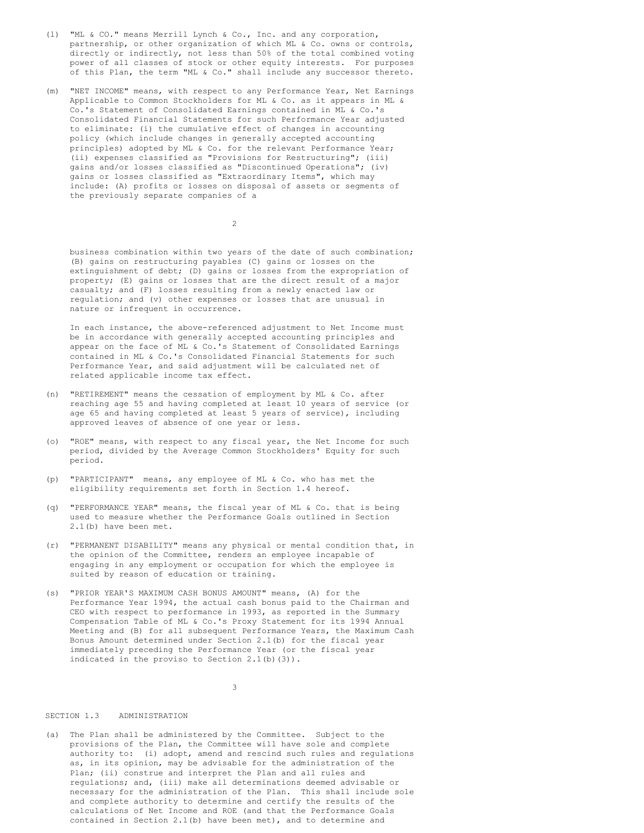- (l) "ML & CO." means Merrill Lynch & Co., Inc. and any corporation, partnership, or other organization of which ML & Co. owns or controls, directly or indirectly, not less than 50% of the total combined voting power of all classes of stock or other equity interests. For purposes of this Plan, the term "ML & Co." shall include any successor thereto.
- (m) "NET INCOME" means, with respect to any Performance Year, Net Earnings Applicable to Common Stockholders for ML & Co. as it appears in ML & Co.'s Statement of Consolidated Earnings contained in ML & Co.'s Consolidated Financial Statements for such Performance Year adjusted to eliminate: (i) the cumulative effect of changes in accounting policy (which include changes in generally accepted accounting principles) adopted by ML & Co. for the relevant Performance Year; (ii) expenses classified as "Provisions for Restructuring"; (iii) gains and/or losses classified as "Discontinued Operations"; (iv) gains or losses classified as "Extraordinary Items", which may include: (A) profits or losses on disposal of assets or segments of the previously separate companies of a

 $\overline{2}$ 

business combination within two years of the date of such combination; (B) gains on restructuring payables (C) gains or losses on the extinguishment of debt; (D) gains or losses from the expropriation of property; (E) gains or losses that are the direct result of a major casualty; and (F) losses resulting from a newly enacted law or regulation; and (v) other expenses or losses that are unusual in nature or infrequent in occurrence.

In each instance, the above-referenced adjustment to Net Income must be in accordance with generally accepted accounting principles and appear on the face of ML & Co.'s Statement of Consolidated Earnings contained in ML & Co.'s Consolidated Financial Statements for such Performance Year, and said adjustment will be calculated net of related applicable income tax effect.

- (n) "RETIREMENT" means the cessation of employment by ML & Co. after reaching age 55 and having completed at least 10 years of service (or age 65 and having completed at least 5 years of service), including approved leaves of absence of one year or less.
- (o) "ROE" means, with respect to any fiscal year, the Net Income for such period, divided by the Average Common Stockholders' Equity for such period.
- (p) "PARTICIPANT" means, any employee of ML & Co. who has met the eligibility requirements set forth in Section 1.4 hereof.
- (q) "PERFORMANCE YEAR" means, the fiscal year of ML & Co. that is being used to measure whether the Performance Goals outlined in Section 2.1(b) have been met.
- (r) "PERMANENT DISABILITY" means any physical or mental condition that, in the opinion of the Committee, renders an employee incapable of engaging in any employment or occupation for which the employee is suited by reason of education or training.
- (s) "PRIOR YEAR'S MAXIMUM CASH BONUS AMOUNT" means, (A) for the Performance Year 1994, the actual cash bonus paid to the Chairman and CEO with respect to performance in 1993, as reported in the Summary Compensation Table of ML & Co.'s Proxy Statement for its 1994 Annual Meeting and (B) for all subsequent Performance Years, the Maximum Cash Bonus Amount determined under Section 2.1(b) for the fiscal year immediately preceding the Performance Year (or the fiscal year indicated in the proviso to Section 2.1(b)(3)).

3

### SECTION 1.3 ADMINISTRATION

(a) The Plan shall be administered by the Committee. Subject to the provisions of the Plan, the Committee will have sole and complete authority to: (i) adopt, amend and rescind such rules and regulations as, in its opinion, may be advisable for the administration of the Plan; (ii) construe and interpret the Plan and all rules and regulations; and, (iii) make all determinations deemed advisable or necessary for the administration of the Plan. This shall include sole and complete authority to determine and certify the results of the calculations of Net Income and ROE (and that the Performance Goals contained in Section 2.1(b) have been met), and to determine and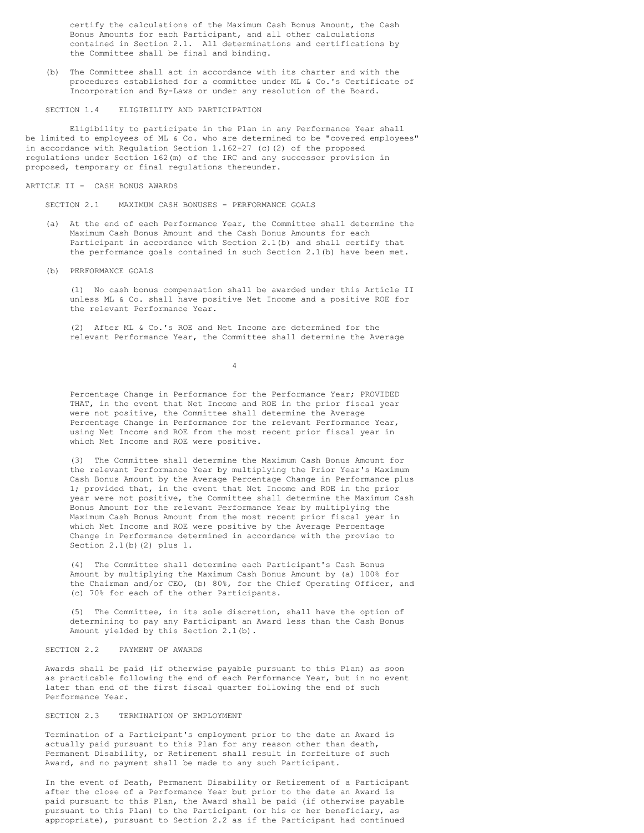certify the calculations of the Maximum Cash Bonus Amount, the Cash Bonus Amounts for each Participant, and all other calculations contained in Section 2.1. All determinations and certifications by the Committee shall be final and binding.

(b) The Committee shall act in accordance with its charter and with the procedures established for a committee under ML & Co.'s Certificate of Incorporation and By-Laws or under any resolution of the Board.

#### SECTION 1.4 ELIGIBILITY AND PARTICIPATION

Eligibility to participate in the Plan in any Performance Year shall be limited to employees of ML & Co. who are determined to be "covered employees" in accordance with Regulation Section  $1.162-27$  (c)(2) of the proposed regulations under Section 162(m) of the IRC and any successor provision in proposed, temporary or final regulations thereunder.

### ARTICLE II - CASH BONUS AWARDS

SECTION 2.1 MAXIMUM CASH BONUSES - PERFORMANCE GOALS

- (a) At the end of each Performance Year, the Committee shall determine the Maximum Cash Bonus Amount and the Cash Bonus Amounts for each Participant in accordance with Section 2.1(b) and shall certify that the performance goals contained in such Section 2.1(b) have been met.
- (b) PERFORMANCE GOALS

(1) No cash bonus compensation shall be awarded under this Article II unless ML & Co. shall have positive Net Income and a positive ROE for the relevant Performance Year.

(2) After ML & Co.'s ROE and Net Income are determined for the relevant Performance Year, the Committee shall determine the Average

4

Percentage Change in Performance for the Performance Year; PROVIDED THAT, in the event that Net Income and ROE in the prior fiscal year were not positive, the Committee shall determine the Average Percentage Change in Performance for the relevant Performance Year, using Net Income and ROE from the most recent prior fiscal year in which Net Income and ROE were positive.

(3) The Committee shall determine the Maximum Cash Bonus Amount for the relevant Performance Year by multiplying the Prior Year's Maximum Cash Bonus Amount by the Average Percentage Change in Performance plus 1; provided that, in the event that Net Income and ROE in the prior year were not positive, the Committee shall determine the Maximum Cash Bonus Amount for the relevant Performance Year by multiplying the Maximum Cash Bonus Amount from the most recent prior fiscal year in which Net Income and ROE were positive by the Average Percentage Change in Performance determined in accordance with the proviso to Section 2.1(b)(2) plus 1.

(4) The Committee shall determine each Participant's Cash Bonus Amount by multiplying the Maximum Cash Bonus Amount by (a) 100% for the Chairman and/or CEO, (b) 80%, for the Chief Operating Officer, and (c) 70% for each of the other Participants.

(5) The Committee, in its sole discretion, shall have the option of determining to pay any Participant an Award less than the Cash Bonus Amount yielded by this Section 2.1(b).

### SECTION 2.2 PAYMENT OF AWARDS

Awards shall be paid (if otherwise payable pursuant to this Plan) as soon as practicable following the end of each Performance Year, but in no event later than end of the first fiscal quarter following the end of such Performance Year.

### SECTION 2.3 TERMINATION OF EMPLOYMENT

Termination of a Participant's employment prior to the date an Award is actually paid pursuant to this Plan for any reason other than death, Permanent Disability, or Retirement shall result in forfeiture of such Award, and no payment shall be made to any such Participant.

In the event of Death, Permanent Disability or Retirement of a Participant after the close of a Performance Year but prior to the date an Award is paid pursuant to this Plan, the Award shall be paid (if otherwise payable pursuant to this Plan) to the Participant (or his or her beneficiary, as appropriate), pursuant to Section 2.2 as if the Participant had continued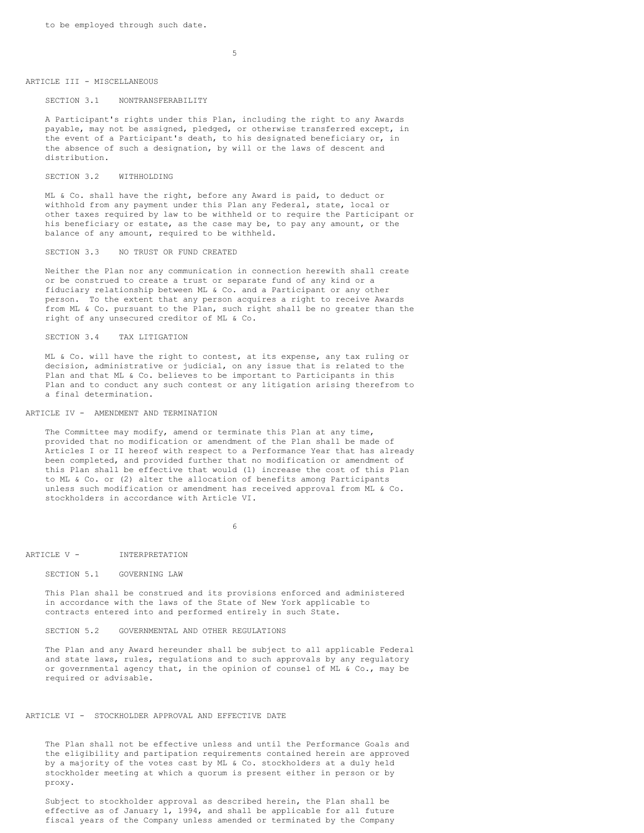#### ARTICLE III - MISCELLANEOUS

### SECTION 3.1 NONTRANSFERABILITY

A Participant's rights under this Plan, including the right to any Awards payable, may not be assigned, pledged, or otherwise transferred except, in the event of a Participant's death, to his designated beneficiary or, in the absence of such a designation, by will or the laws of descent and distribution.

#### SECTION 3.2 WITHHOLDING

ML & Co. shall have the right, before any Award is paid, to deduct or withhold from any payment under this Plan any Federal, state, local or other taxes required by law to be withheld or to require the Participant or his beneficiary or estate, as the case may be, to pay any amount, or the balance of any amount, required to be withheld.

#### SECTION 3.3 NO TRUST OR FUND CREATED

Neither the Plan nor any communication in connection herewith shall create or be construed to create a trust or separate fund of any kind or a fiduciary relationship between ML & Co. and a Participant or any other person. To the extent that any person acquires a right to receive Awards from ML & Co. pursuant to the Plan, such right shall be no greater than the right of any unsecured creditor of ML & Co.

### SECTION 3.4 TAX LITIGATION

ML & Co. will have the right to contest, at its expense, any tax ruling or decision, administrative or judicial, on any issue that is related to the Plan and that ML & Co. believes to be important to Participants in this Plan and to conduct any such contest or any litigation arising therefrom to a final determination.

#### ARTICLE IV - AMENDMENT AND TERMINATION

The Committee may modify, amend or terminate this Plan at any time, provided that no modification or amendment of the Plan shall be made of Articles I or II hereof with respect to a Performance Year that has already been completed, and provided further that no modification or amendment of this Plan shall be effective that would (1) increase the cost of this Plan to ML & Co. or (2) alter the allocation of benefits among Participants unless such modification or amendment has received approval from ML & Co. stockholders in accordance with Article VI.

6

#### ARTICLE V - INTERPRETATION

#### SECTION 5.1 GOVERNING LAW

This Plan shall be construed and its provisions enforced and administered in accordance with the laws of the State of New York applicable to contracts entered into and performed entirely in such State.

### SECTION 5.2 GOVERNMENTAL AND OTHER REGULATIONS

The Plan and any Award hereunder shall be subject to all applicable Federal and state laws, rules, regulations and to such approvals by any regulatory or governmental agency that, in the opinion of counsel of ML & Co., may be required or advisable.

### ARTICLE VI - STOCKHOLDER APPROVAL AND EFFECTIVE DATE

The Plan shall not be effective unless and until the Performance Goals and the eligibility and partipation requirements contained herein are approved by a majority of the votes cast by ML & Co. stockholders at a duly held stockholder meeting at which a quorum is present either in person or by proxy.

Subject to stockholder approval as described herein, the Plan shall be effective as of January 1, 1994, and shall be applicable for all future fiscal years of the Company unless amended or terminated by the Company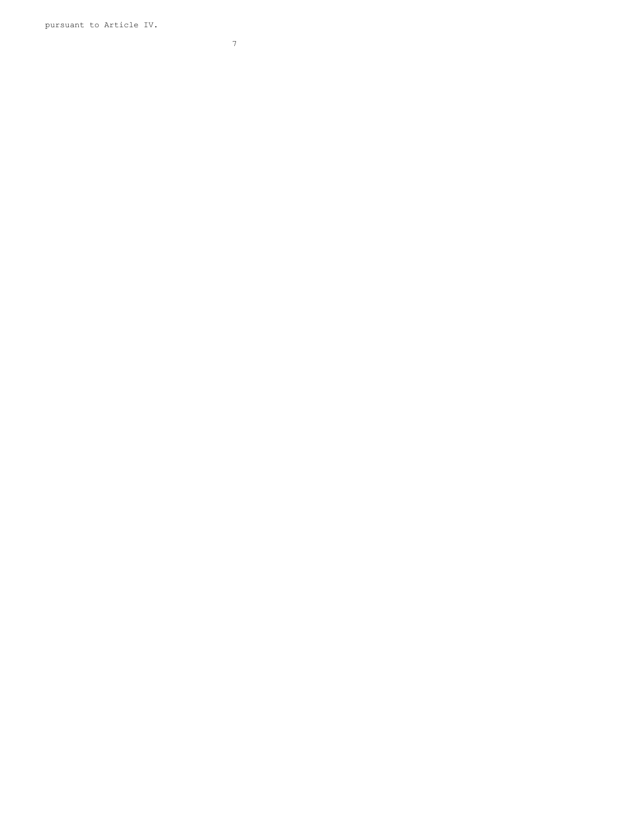pursuant to Article IV.

7